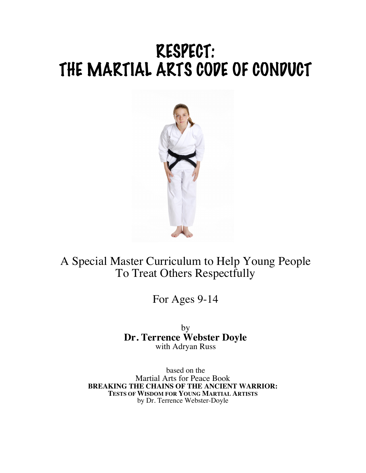# RESPECT: THE MARTIAL ARTS CODE OF CONDUCT



A Special Master Curriculum to Help Young People To Treat Others Respectfully

For Ages 9-14

by **Dr. Terrence Webster Doyle** with Adryan Russ

based on the Martial Arts for Peace Book **BREAKING THE CHAINS OF THE ANCIENT WARRIOR: TESTS OF WISDOM FOR YOUNG MARTIAL ARTISTS** by Dr. Terrence Webster-Doyle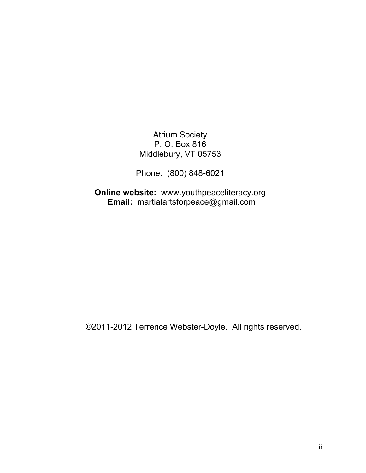Atrium Society P. O. Box 816 Middlebury, VT 05753

Phone: (800) 848-6021

**Online website:** www.youthpeaceliteracy.org **Email:** martialartsforpeace@gmail.com

©2011-2012 Terrence Webster-Doyle. All rights reserved.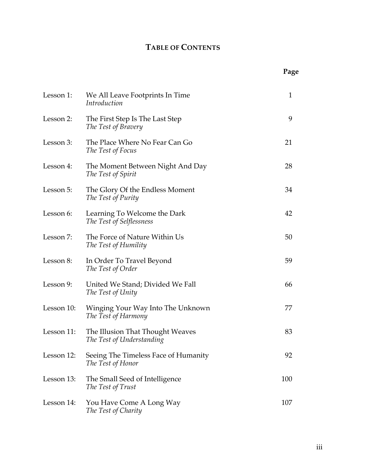# **TABLE OF CONTENTS**

|            |                                                               | Page |
|------------|---------------------------------------------------------------|------|
| Lesson 1:  | We All Leave Footprints In Time<br><i>Introduction</i>        | 1    |
| Lesson 2:  | The First Step Is The Last Step<br>The Test of Bravery        | 9    |
| Lesson 3:  | The Place Where No Fear Can Go<br>The Test of Focus           | 21   |
| Lesson 4:  | The Moment Between Night And Day<br>The Test of Spirit        |      |
| Lesson 5:  | The Glory Of the Endless Moment<br>The Test of Purity         | 34   |
| Lesson 6:  | Learning To Welcome the Dark<br>The Test of Selflessness      | 42   |
| Lesson 7:  | The Force of Nature Within Us<br>The Test of Humility         | 50   |
| Lesson 8:  | In Order To Travel Beyond<br>The Test of Order                | 59   |
| Lesson 9:  | United We Stand; Divided We Fall<br>The Test of Unity         | 66   |
| Lesson 10: | Winging Your Way Into The Unknown<br>The Test of Harmony      | 77   |
| Lesson 11: | The Illusion That Thought Weaves<br>The Test of Understanding | 83   |
| Lesson 12: | Seeing The Timeless Face of Humanity<br>The Test of Honor     | 92   |
| Lesson 13: | The Small Seed of Intelligence<br>The Test of Trust           | 100  |
| Lesson 14: | You Have Come A Long Way<br>The Test of Charity               | 107  |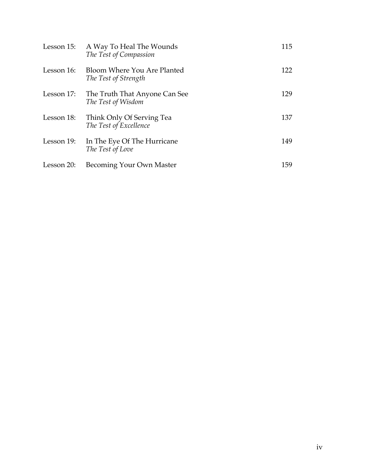| Lesson 15: | A Way To Heal The Wounds<br>The Test of Compassion  | 115 |
|------------|-----------------------------------------------------|-----|
| Lesson 16: | Bloom Where You Are Planted<br>The Test of Strength | 122 |
| Lesson 17: | The Truth That Anyone Can See<br>The Test of Wisdom | 129 |
| Lesson 18: | Think Only Of Serving Tea<br>The Test of Excellence | 137 |
| Lesson 19: | In The Eye Of The Hurricane<br>The Test of Love     | 149 |
| Lesson 20: | Becoming Your Own Master                            | 159 |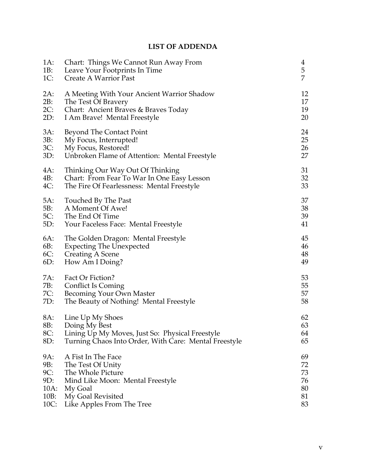## **LIST OF ADDENDA**

| $1A$ : | Chart: Things We Cannot Run Away From                 | $\overline{4}$ |
|--------|-------------------------------------------------------|----------------|
| 1B:    | Leave Your Footprints In Time                         | $\overline{5}$ |
| $1C$ : | <b>Create A Warrior Past</b>                          | $\overline{7}$ |
| 2A:    | A Meeting With Your Ancient Warrior Shadow            | 12             |
| 2B:    | The Test Of Bravery                                   | 17             |
| $2C$ : | Chart: Ancient Braves & Braves Today                  | 19             |
| 2D:    | I Am Brave! Mental Freestyle                          | 20             |
| 3A:    | Beyond The Contact Point                              | 24             |
| 3B:    | My Focus, Interrupted!                                | 25             |
| 3C:    | My Focus, Restored!                                   | 26             |
| 3D:    | Unbroken Flame of Attention: Mental Freestyle         | 27             |
| 4A:    | Thinking Our Way Out Of Thinking                      | 31             |
| 4B:    | Chart: From Fear To War In One Easy Lesson            | 32             |
| $4C$ : | The Fire Of Fearlessness: Mental Freestyle            | 33             |
| 5A:    | Touched By The Past                                   | 37             |
| 5B:    | A Moment Of Awe!                                      | 38             |
| $5C$ : | The End Of Time                                       | 39             |
| 5D:    | Your Faceless Face: Mental Freestyle                  | 41             |
| 6A:    | The Golden Dragon: Mental Freestyle                   | 45             |
| 6B:    | <b>Expecting The Unexpected</b>                       | 46             |
| $6C$ : | <b>Creating A Scene</b>                               | 48             |
| $6D$ : | How Am I Doing?                                       | 49             |
| 7A:    | Fact Or Fiction?                                      | 53             |
| 7B:    | <b>Conflict Is Coming</b>                             | 55             |
| 7C:    | Becoming Your Own Master                              | 57             |
| 7D:    | The Beauty of Nothing! Mental Freestyle               | 58             |
| 8A:    | Line Up My Shoes                                      | 62             |
| 8B:    | Doing My Best                                         | 63             |
| 8C:    | Lining Up My Moves, Just So: Physical Freestyle       | 64             |
| 8D:    | Turning Chaos Into Order, With Care: Mental Freestyle | 65             |
| 9A:    | A Fist In The Face                                    | 69             |
| 9B:    | The Test Of Unity                                     | 72             |
| 9C:    | The Whole Picture                                     | 73             |
| 9D:    | Mind Like Moon: Mental Freestyle                      | 76             |
| 10A:   | My Goal                                               | 80             |
| 10B:   | My Goal Revisited                                     | 81             |
| 10C:   | Like Apples From The Tree                             | 83             |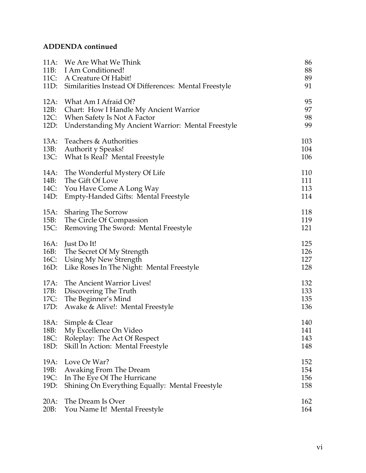## **ADDENDA continued**

| 11A:                 | We Are What We Think<br>11B: I Am Conditioned!<br>11C: A Creature Of Habit!<br>11D: Similarities Instead Of Differences: Mental Freestyle | 86<br>88<br>89<br>91     |
|----------------------|-------------------------------------------------------------------------------------------------------------------------------------------|--------------------------|
| 12A:                 | What Am I Afraid Of?                                                                                                                      | 95                       |
| 12B:                 | Chart: How I Handle My Ancient Warrior                                                                                                    | 97                       |
| 12C:                 | When Safety Is Not A Factor                                                                                                               | 98                       |
| 12D:                 | <b>Understanding My Ancient Warrior: Mental Freestyle</b>                                                                                 | 99                       |
| 13A:<br>13B:         | Teachers & Authorities<br>Authorit y Speaks!<br>13C: What Is Real? Mental Freestyle                                                       | 103<br>104<br>106        |
| 14A:                 | The Wonderful Mystery Of Life                                                                                                             | 110                      |
| 14B:                 | The Gift Of Love                                                                                                                          | 111                      |
| 14C:                 | You Have Come A Long Way                                                                                                                  | 113                      |
| 14D:                 | Empty-Handed Gifts: Mental Freestyle                                                                                                      | 114                      |
| 15A:                 | <b>Sharing The Sorrow</b>                                                                                                                 | 118                      |
| 15B:                 | The Circle Of Compassion                                                                                                                  | 119                      |
| 15C:                 | Removing The Sword: Mental Freestyle                                                                                                      | 121                      |
| 16A:<br>16C:<br>16D: | Just Do It!<br>16B: The Secret Of My Strength<br>Using My New Strength<br>Like Roses In The Night: Mental Freestyle                       | 125<br>126<br>127<br>128 |
| 17A:                 | The Ancient Warrior Lives!                                                                                                                | 132                      |
| 17B:                 | Discovering The Truth                                                                                                                     | 133                      |
| 17C:                 | The Beginner's Mind                                                                                                                       | 135                      |
| 17D:                 | Awake & Alive!: Mental Freestyle                                                                                                          | 136                      |
| 18A:                 | Simple & Clear                                                                                                                            | 140                      |
| 18B:                 | My Excellence On Video                                                                                                                    | 141                      |
| 18C:                 | Roleplay: The Act Of Respect                                                                                                              | 143                      |
| 18D:                 | Skill In Action: Mental Freestyle                                                                                                         | 148                      |
| 19A:                 | Love Or War?                                                                                                                              | 152                      |
| 19B:                 | Awaking From The Dream                                                                                                                    | 154                      |
| 19C:                 | In The Eye Of The Hurricane                                                                                                               | 156                      |
| 19D:                 | Shining On Everything Equally: Mental Freestyle                                                                                           | 158                      |
| $20A$ :              | The Dream Is Over                                                                                                                         | 162                      |
| 20B:                 | You Name It! Mental Freestyle                                                                                                             | 164                      |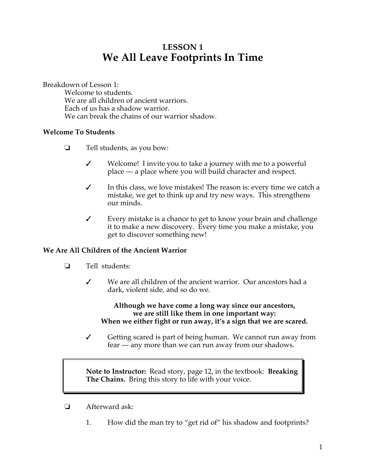# **LESSON 1 We All Leave Footprints In Time**

Breakdown of Lesson 1:

Welcome to students. We are all children of ancient warriors. Each of us has a shadow warrior. We can break the chains of our warrior shadow.

## **Welcome To Students**

- $\Box$  Tell students, as you bow:
	- $\checkmark$  Welcome! I invite you to take a journey with me to a powerful place — a place where you will build character and respect.
	- $\checkmark$  In this class, we love mistakes! The reason is: every time we catch a mistake, we get to think up and try new ways. This strengthens our minds.
	- $\checkmark$  Every mistake is a chance to get to know your brain and challenge it to make a new discovery. Every time you make a mistake, you get to discover something new!

## **We Are All Children of the Ancient Warrior**

- **Tell students:** 
	- $\checkmark$  We are all children of the ancient warrior. Our ancestors had a dark, violent side, and so do we.

#### **Although we have come a long way since our ancestors, we are still like them in one important way: When we either fight or run away, it's a sign that we are scared.**

 $\checkmark$  Getting scared is part of being human. We cannot run away from fear — any more than we can run away from our shadows.

**Note to Instructor:** Read story, page 12, in the textbook: **Breaking The Chains.** Bring this story to life with your voice.

- $\Box$  Afterward ask:
	- 1. How did the man try to "get rid of" his shadow and footprints?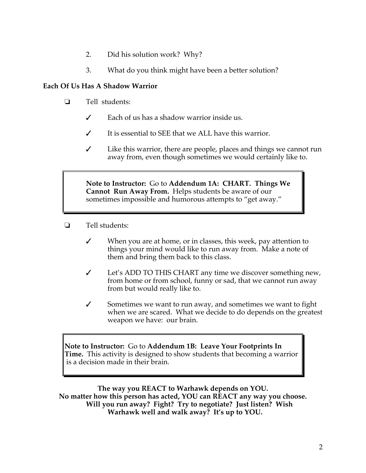- 2. Did his solution work? Why?
- 3. What do you think might have been a better solution?

## **Each Of Us Has A Shadow Warrior**

- **I** Tell students:
	- $\checkmark$  Each of us has a shadow warrior inside us.
	- $\checkmark$  It is essential to SEE that we ALL have this warrior.
	- $\checkmark$  Like this warrior, there are people, places and things we cannot run away from, even though sometimes we would certainly like to.

**Note to Instructor:** Go to **Addendum 1A: CHART. Things We Cannot Run Away From.** Helps students be aware of our sometimes impossible and humorous attempts to "get away."

- **<u>Example 1</u>** Tell students:
	- $\checkmark$  When you are at home, or in classes, this week, pay attention to things your mind would like to run away from. Make a note of them and bring them back to this class.
	- $\checkmark$  Let's ADD TO THIS CHART any time we discover something new, from home or from school, funny or sad, that we cannot run away from but would really like to.
	- $\checkmark$  Sometimes we want to run away, and sometimes we want to fight when we are scared. What we decide to do depends on the greatest weapon we have: our brain.

**Note to Instructor:** Go to **Addendum 1B: Leave Your Footprints In Time.** This activity is designed to show students that becoming a warrior is a decision made in their brain.

**The way you REACT to Warhawk depends on YOU. No matter how this person has acted, YOU can REACT any way you choose. Will you run away? Fight? Try to negotiate? Just listen? Wish Warhawk well and walk away? It's up to YOU.**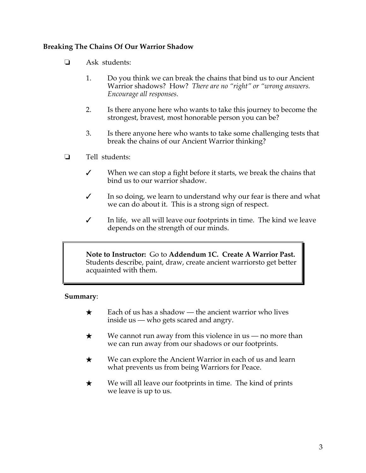## **Breaking The Chains Of Our Warrior Shadow**

- **1** Ask students:
	- 1. Do you think we can break the chains that bind us to our Ancient Warrior shadows? How? *There are no "right" or "wrong answers. Encourage all responses.*
	- 2. Is there anyone here who wants to take this journey to become the strongest, bravest, most honorable person you can be?
	- 3. Is there anyone here who wants to take some challenging tests that break the chains of our Ancient Warrior thinking?
- $\Box$  Tell students:
	- When we can stop a fight before it starts, we break the chains that bind us to our warrior shadow.
	- $\checkmark$  In so doing, we learn to understand why our fear is there and what we can do about it. This is a strong sign of respect.
	- $\checkmark$  In life, we all will leave our footprints in time. The kind we leave depends on the strength of our minds.

**Note to Instructor:** Go to **Addendum 1C. Create A Warrior Past.**  Students describe, paint, draw, create ancient warriorsto get better acquainted with them.

## **Summary**:

- $\star$  Each of us has a shadow the ancient warrior who lives inside us — who gets scared and angry.
- $\star$  We cannot run away from this violence in us no more than we can run away from our shadows or our footprints.
- $\star$  We can explore the Ancient Warrior in each of us and learn what prevents us from being Warriors for Peace.
- $\star$  We will all leave our footprints in time. The kind of prints we leave is up to us.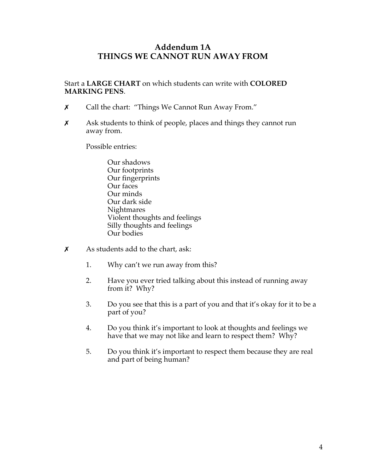## **Addendum 1A THINGS WE CANNOT RUN AWAY FROM**

Start a **LARGE CHART** on which students can write with **COLORED MARKING PENS**.

- \$ Call the chart: "Things We Cannot Run Away From."
- $\boldsymbol{\chi}$  Ask students to think of people, places and things they cannot run away from.

Possible entries:

- Our shadows Our footprints Our fingerprints Our faces Our minds Our dark side **Nightmares** Violent thoughts and feelings Silly thoughts and feelings Our bodies
- $x$  As students add to the chart, ask:
	- 1. Why can't we run away from this?
	- 2. Have you ever tried talking about this instead of running away from it? Why?
	- 3. Do you see that this is a part of you and that it's okay for it to be a part of you?
	- 4. Do you think it's important to look at thoughts and feelings we have that we may not like and learn to respect them? Why?
	- 5. Do you think it's important to respect them because they are real and part of being human?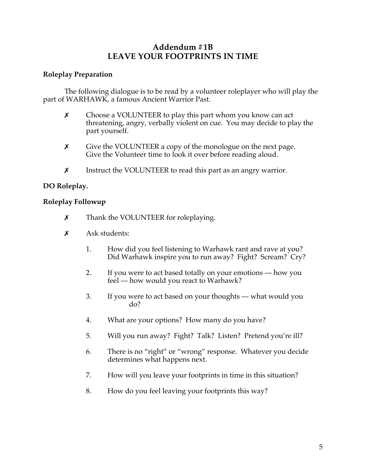## **Addendum #1B LEAVE YOUR FOOTPRINTS IN TIME**

## **Roleplay Preparation**

The following dialogue is to be read by a volunteer roleplayer who will play the part of WARHAWK, a famous Ancient Warrior Past.

- $\chi$  Choose a VOLUNTEER to play this part whom you know can act threatening, angry, verbally violent on cue. You may decide to play the part yourself.
- **x** Give the VOLUNTEER a copy of the monologue on the next page. Give the Volunteer time to look it over before reading aloud.
- **x** Instruct the VOLUNTEER to read this part as an angry warrior.

## **DO Roleplay.**

## **Roleplay Followup**

- **x** Thank the VOLUNTEER for roleplaying.
- $x$  Ask students:
	- 1. How did you feel listening to Warhawk rant and rave at you? Did Warhawk inspire you to run away? Fight? Scream? Cry?
	- 2. If you were to act based totally on your emotions how you feel — how would you react to Warhawk?
	- 3. If you were to act based on your thoughts what would you do?
	- 4. What are your options? How many do you have?
	- 5. Will you run away? Fight? Talk? Listen? Pretend you're ill?
	- 6. There is no "right" or "wrong" response. Whatever you decide determines what happens next.
	- 7. How will you leave your footprints in time in this situation?
	- 8. How do you feel leaving your footprints this way?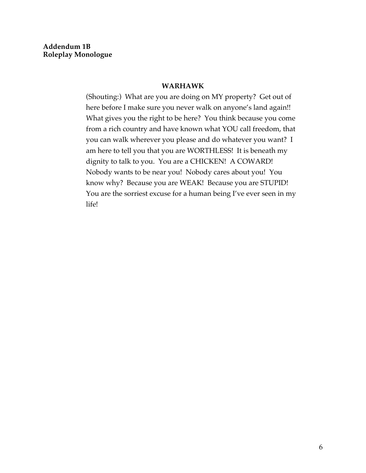#### **WARHAWK**

(Shouting:) What are you are doing on MY property? Get out of here before I make sure you never walk on anyone's land again!! What gives you the right to be here? You think because you come from a rich country and have known what YOU call freedom, that you can walk wherever you please and do whatever you want? I am here to tell you that you are WORTHLESS! It is beneath my dignity to talk to you. You are a CHICKEN! A COWARD! Nobody wants to be near you! Nobody cares about you! You know why? Because you are WEAK! Because you are STUPID! You are the sorriest excuse for a human being I've ever seen in my life!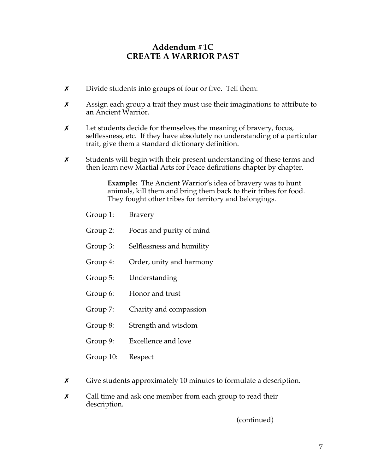## **Addendum #1C CREATE A WARRIOR PAST**

- **x** Divide students into groups of four or five. Tell them:
- $x$  Assign each group a trait they must use their imaginations to attribute to an Ancient Warrior.
- $x$  Let students decide for themselves the meaning of bravery, focus, selflessness, etc. If they have absolutely no understanding of a particular trait, give them a standard dictionary definition.
- $\chi$  Students will begin with their present understanding of these terms and then learn new Martial Arts for Peace definitions chapter by chapter.

**Example:** The Ancient Warrior's idea of bravery was to hunt animals, kill them and bring them back to their tribes for food. They fought other tribes for territory and belongings.

|   | Group 1:  | <b>Bravery</b>                                                     |
|---|-----------|--------------------------------------------------------------------|
|   | Group 2:  | Focus and purity of mind                                           |
|   | Group 3:  | Selflessness and humility                                          |
|   | Group 4:  | Order, unity and harmony                                           |
|   | Group 5:  | Understanding                                                      |
|   | Group 6:  | Honor and trust                                                    |
|   | Group 7:  | Charity and compassion                                             |
|   | Group 8:  | Strength and wisdom                                                |
|   | Group 9:  | Excellence and love                                                |
|   | Group 10: | Respect                                                            |
| X |           | Give students approximately 10 minutes to formulate a description. |

 $x$  Call time and ask one member from each group to read their description.

(continued)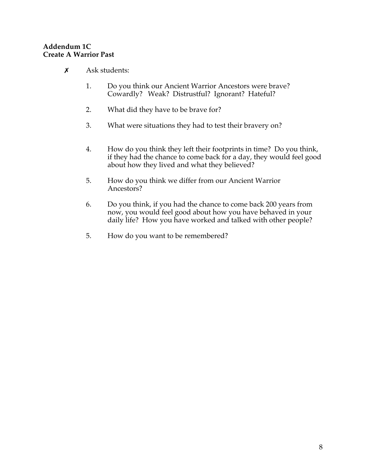## **Addendum 1C Create A Warrior Past**

- $x$  Ask students:
	- 1. Do you think our Ancient Warrior Ancestors were brave? Cowardly? Weak? Distrustful? Ignorant? Hateful?
	- 2. What did they have to be brave for?
	- 3. What were situations they had to test their bravery on?
	- 4. How do you think they left their footprints in time? Do you think, if they had the chance to come back for a day, they would feel good about how they lived and what they believed?
	- 5. How do you think we differ from our Ancient Warrior Ancestors?
	- 6. Do you think, if you had the chance to come back 200 years from now, you would feel good about how you have behaved in your daily life? How you have worked and talked with other people?
	- 5. How do you want to be remembered?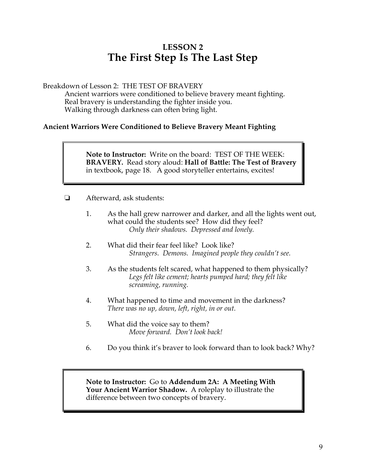# **LESSON 2 The First Step Is The Last Step**

Breakdown of Lesson 2: THE TEST OF BRAVERY

Ancient warriors were conditioned to believe bravery meant fighting. Real bravery is understanding the fighter inside you. Walking through darkness can often bring light.

## **Ancient Warriors Were Conditioned to Believe Bravery Meant Fighting**

**Note to Instructor:** Write on the board: TEST OF THE WEEK: **BRAVERY.** Read story aloud: **Hall of Battle: The Test of Bravery**  in textbook, page 18. A good storyteller entertains, excites!

- ! Afterward, ask students:
	- 1. As the hall grew narrower and darker, and all the lights went out, what could the students see? How did they feel? *Only their shadows. Depressed and lonely.*
	- 2. What did their fear feel like? Look like? *Strangers. Demons. Imagined people they couldn't see.*
	- 3. As the students felt scared, what happened to them physically? *Legs felt like cement; hearts pumped hard; they felt like screaming, running.*
	- 4. What happened to time and movement in the darkness? *There was no up, down, left, right, in or out.*
	- 5. What did the voice say to them? *Move forward. Don't look back!*
	- 6. Do you think it's braver to look forward than to look back? Why?

**Note to Instructor:** Go to **Addendum 2A: A Meeting With Your Ancient Warrior Shadow.** A roleplay to illustrate the difference between two concepts of bravery.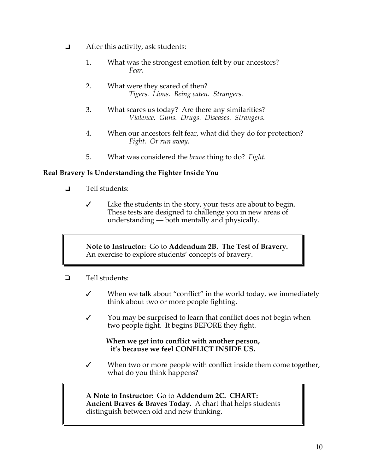- $\Box$  After this activity, ask students:
	- 1. What was the strongest emotion felt by our ancestors? *Fear.*
	- 2. What were they scared of then? *Tigers. Lions. Being eaten. Strangers.*
	- 3. What scares us today? Are there any similarities? *Violence. Guns. Drugs. Diseases. Strangers.*
	- 4. When our ancestors felt fear, what did they do for protection? *Fight. Or run away.*
	- 5. What was considered the *brave* thing to do? *Fight.*

## **Real Bravery Is Understanding the Fighter Inside You**

- $\Box$  Tell students:
	- $\checkmark$  Like the students in the story, your tests are about to begin. These tests are designed to challenge you in new areas of understanding — both mentally and physically.

**Note to Instructor:** Go to **Addendum 2B. The Test of Bravery.**  An exercise to explore students' concepts of bravery.

- $\Box$  Tell students:
	- $\checkmark$  When we talk about "conflict" in the world today, we immediately think about two or more people fighting.
	- $\checkmark$  You may be surprised to learn that conflict does not begin when two people fight. It begins BEFORE they fight.

#### **When we get into conflict with another person, it's because we feel CONFLICT INSIDE US.**

 $\checkmark$  When two or more people with conflict inside them come together, what do you think happens?

**A Note to Instructor:** Go to **Addendum 2C. CHART: Ancient Braves & Braves Today.** A chart that helps students distinguish between old and new thinking.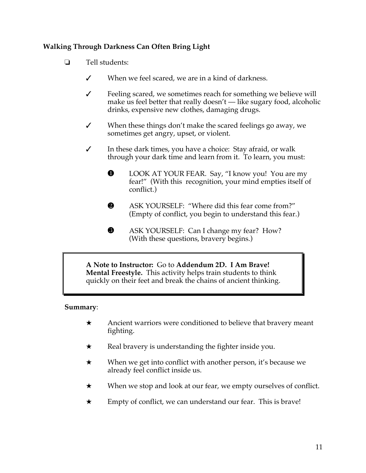## **Walking Through Darkness Can Often Bring Light**

- $\Box$  Tell students:
	- $\checkmark$  When we feel scared, we are in a kind of darkness.
	- $\checkmark$  Feeling scared, we sometimes reach for something we believe will make us feel better that really doesn't — like sugary food, alcoholic drinks, expensive new clothes, damaging drugs.
	- $\checkmark$  When these things don't make the scared feelings go away, we sometimes get angry, upset, or violent.
	- $\checkmark$  In these dark times, you have a choice: Stay afraid, or walk through your dark time and learn from it. To learn, you must:
		- **O** LOOK AT YOUR FEAR. Say, "I know you! You are my fear!" (With this recognition, your mind empties itself of conflict.)
		- &ASK YOURSELF: "Where did this fear come from?" (Empty of conflict, you begin to understand this fear.)
		- **8** ASK YOURSELF: Can I change my fear? How? (With these questions, bravery begins.)

**A Note to Instructor:** Go to **Addendum 2D. I Am Brave! Mental Freestyle.** This activity helps train students to think quickly on their feet and break the chains of ancient thinking.

## **Summary**:

- $\star$  Ancient warriors were conditioned to believe that bravery meant fighting.
- $\star$  Real bravery is understanding the fighter inside you.
- $\star$  When we get into conflict with another person, it's because we already feel conflict inside us.
- $\star$  When we stop and look at our fear, we empty ourselves of conflict.
- $\star$  Empty of conflict, we can understand our fear. This is brave!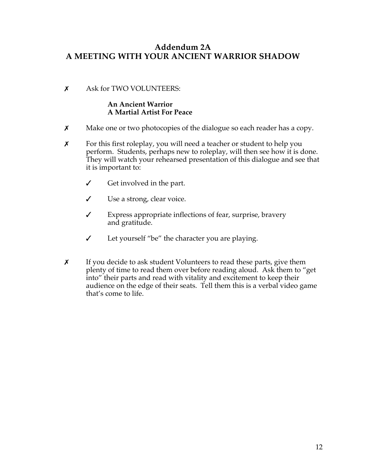## **Addendum 2A A MEETING WITH YOUR ANCIENT WARRIOR SHADOW**

## \$ Ask for TWO VOLUNTEERS:

## **An Ancient Warrior A Martial Artist For Peace**

- $x$  Make one or two photocopies of the dialogue so each reader has a copy.
- $x$  For this first roleplay, you will need a teacher or student to help you perform. Students, perhaps new to roleplay, will then see how it is done. They will watch your rehearsed presentation of this dialogue and see that it is important to:
	- $\checkmark$  Get involved in the part.
	- $\checkmark$  Use a strong, clear voice.
	- $\checkmark$  Express appropriate inflections of fear, surprise, bravery and gratitude.
	- $\checkmark$  Let yourself "be" the character you are playing.
- $x$  If you decide to ask student Volunteers to read these parts, give them plenty of time to read them over before reading aloud. Ask them to "get into" their parts and read with vitality and excitement to keep their audience on the edge of their seats. Tell them this is a verbal video game that's come to life.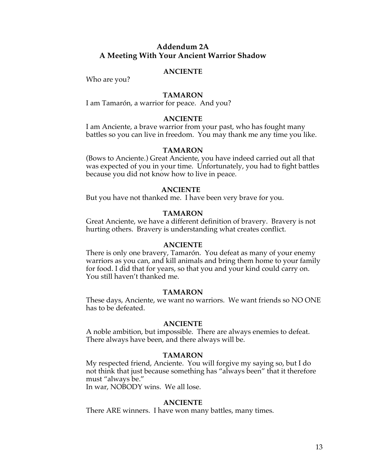## **Addendum 2A A Meeting With Your Ancient Warrior Shadow**

#### **ANCIENTE**

Who are you?

#### **TAMARON**

I am Tamarón, a warrior for peace. And you?

#### **ANCIENTE**

I am Anciente, a brave warrior from your past, who has fought many battles so you can live in freedom. You may thank me any time you like.

#### **TAMARON**

(Bows to Anciente.) Great Anciente, you have indeed carried out all that was expected of you in your time. Unfortunately, you had to fight battles because you did not know how to live in peace.

#### **ANCIENTE**

But you have not thanked me. I have been very brave for you.

#### **TAMARON**

Great Anciente, we have a different definition of bravery. Bravery is not hurting others. Bravery is understanding what creates conflict.

#### **ANCIENTE**

There is only one bravery, Tamarón. You defeat as many of your enemy warriors as you can, and kill animals and bring them home to your family for food. I did that for years, so that you and your kind could carry on. You still haven't thanked me.

#### **TAMARON**

These days, Anciente, we want no warriors. We want friends so NO ONE has to be defeated.

#### **ANCIENTE**

A noble ambition, but impossible. There are always enemies to defeat. There always have been, and there always will be.

#### **TAMARON**

My respected friend, Anciente. You will forgive my saying so, but I do not think that just because something has "always been" that it therefore must "always be."

In war, NOBODY wins. We all lose.

#### **ANCIENTE**

There ARE winners. I have won many battles, many times.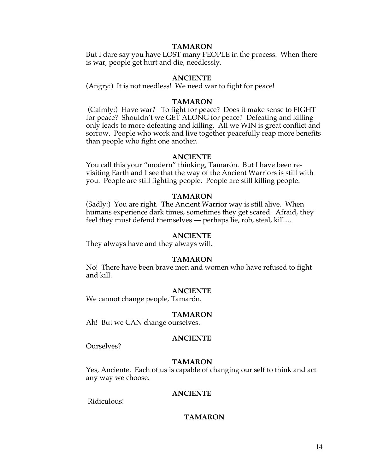#### **TAMARON**

But I dare say you have LOST many PEOPLE in the process. When there is war, people get hurt and die, needlessly.

#### **ANCIENTE**

(Angry:) It is not needless! We need war to fight for peace!

#### **TAMARON**

(Calmly:) Have war? To fight for peace? Does it make sense to FIGHT for peace? Shouldn't we GET ALONG for peace? Defeating and killing only leads to more defeating and killing. All we WIN is great conflict and sorrow. People who work and live together peacefully reap more benefits than people who fight one another.

#### **ANCIENTE**

You call this your "modern" thinking, Tamarón. But I have been revisiting Earth and I see that the way of the Ancient Warriors is still with you. People are still fighting people. People are still killing people.

#### **TAMARON**

(Sadly:) You are right. The Ancient Warrior way is still alive. When humans experience dark times, sometimes they get scared. Afraid, they feel they must defend themselves — perhaps lie, rob, steal, kill....

#### **ANCIENTE**

They always have and they always will.

#### **TAMARON**

No! There have been brave men and women who have refused to fight and kill.

#### **ANCIENTE**

We cannot change people, Tamarón.

#### **TAMARON**

Ah! But we CAN change ourselves.

#### **ANCIENTE**

Ourselves?

#### **TAMARON**

Yes, Anciente. Each of us is capable of changing our self to think and act any way we choose.

#### **ANCIENTE**

Ridiculous!

#### **TAMARON**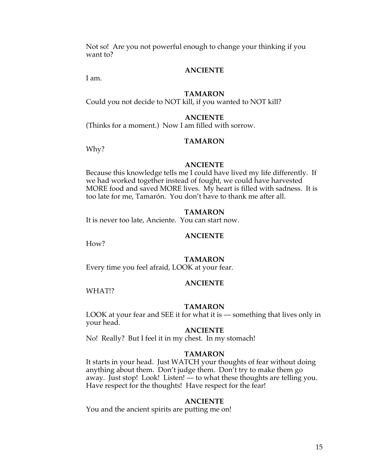Not so! Are you not powerful enough to change your thinking if you want to?

## **ANCIENTE**

I am.

#### **TAMARON**

Could you not decide to NOT kill, if you wanted to NOT kill?

#### **ANCIENTE**

(Thinks for a moment.) Now I am filled with sorrow.

#### **TAMARON**

Why?

#### **ANCIENTE**

Because this knowledge tells me I could have lived my life differently. If we had worked together instead of fought, we could have harvested MORE food and saved MORE lives. My heart is filled with sadness. It is too late for me, Tamarón. You don't have to thank me after all.

#### **TAMARON**

It is never too late, Anciente. You can start now.

#### **ANCIENTE**

How?

#### **TAMARON**

Every time you feel afraid, LOOK at your fear.

#### **ANCIENTE**

WHAT!?

#### **TAMARON**

LOOK at your fear and SEE it for what it is — something that lives only in your head.

#### **ANCIENTE**

No! Really? But I feel it in my chest. In my stomach!

#### **TAMARON**

It starts in your head. Just WATCH your thoughts of fear without doing anything about them. Don't judge them. Don't try to make them go away. Just stop! Look! Listen! — to what these thoughts are telling you. Have respect for the thoughts! Have respect for the fear!

#### **ANCIENTE**

You and the ancient spirits are putting me on!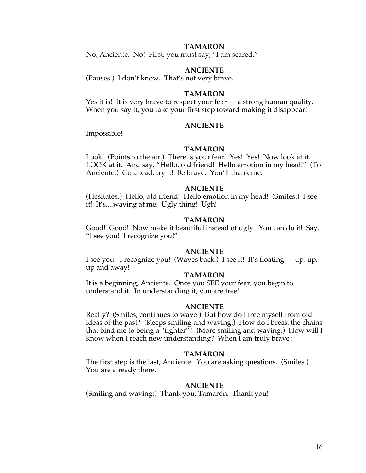#### **TAMARON**

No, Anciente. No! First, you must say, "I am scared."

#### **ANCIENTE**

(Pauses.) I don't know. That's not very brave.

#### **TAMARON**

Yes it is! It is very brave to respect your fear - a strong human quality. When you say it, you take your first step toward making it disappear!

#### **ANCIENTE**

Impossible!

#### **TAMARON**

Look! (Points to the air.) There is your fear! Yes! Yes! Now look at it. LOOK at it. And say, "Hello, old friend! Hello emotion in my head!" (To Anciente:) Go ahead, try it! Be brave. You'll thank me.

#### **ANCIENTE**

(Hesitates.) Hello, old friend! Hello emotion in my head! (Smiles.) I see it! It's....waving at me. Ugly thing! Ugh!

#### **TAMARON**

Good! Good! Now make it beautiful instead of ugly. You can do it! Say, "I see you! I recognize you!"

#### **ANCIENTE**

I see you! I recognize you! (Waves back.) I see it! It's floating — up, up, up and away!

#### **TAMARON**

It is a beginning, Anciente. Once you SEE your fear, you begin to understand it. In understanding it, you are free!

#### **ANCIENTE**

Really? (Smiles, continues to wave.) But how do I free myself from old ideas of the past? (Keeps smiling and waving.) How do I break the chains that bind me to being a "fighter"? (More smiling and waving.) How will I know when I reach new understanding? When I am truly brave?

#### **TAMARON**

The first step is the last, Anciente. You are asking questions. (Smiles.) You are already there.

#### **ANCIENTE**

(Smiling and waving:) Thank you, Tamarón. Thank you!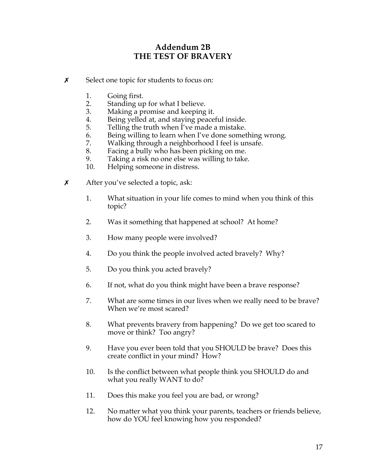## **Addendum 2B THE TEST OF BRAVERY**

- **x** Select one topic for students to focus on:
	-
	- 1. Going first.<br>2. Standing up Standing up for what I believe.
	- 3. Making a promise and keeping it.
	- 4. Being yelled at, and staying peaceful inside.
	- 5. Telling the truth when I've made a mistake.
	- 6. Being willing to learn when I've done something wrong.
	- 7. Walking through a neighborhood I feel is unsafe.
	- 8. Facing a bully who has been picking on me.<br>9. Taking a risk no one else was willing to take
	- Taking a risk no one else was willing to take.
	- 10. Helping someone in distress.
- $x$  After you've selected a topic, ask:
	- 1. What situation in your life comes to mind when you think of this topic?
	- 2. Was it something that happened at school? At home?
	- 3. How many people were involved?
	- 4. Do you think the people involved acted bravely? Why?
	- 5. Do you think you acted bravely?
	- 6. If not, what do you think might have been a brave response?
	- 7. What are some times in our lives when we really need to be brave? When we're most scared?
	- 8. What prevents bravery from happening? Do we get too scared to move or think? Too angry?
	- 9. Have you ever been told that you SHOULD be brave? Does this create conflict in your mind? How?
	- 10. Is the conflict between what people think you SHOULD do and what you really WANT to do?
	- 11. Does this make you feel you are bad, or wrong?
	- 12. No matter what you think your parents, teachers or friends believe, how do YOU feel knowing how you responded?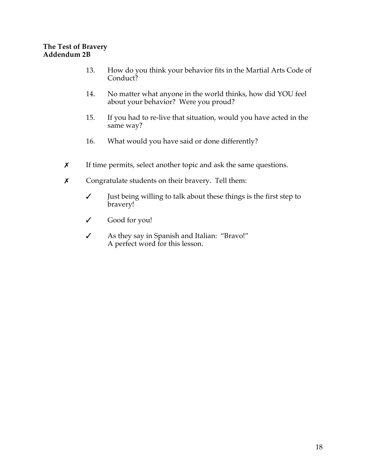## **The Test of Bravery Addendum 2B**

- 13. How do you think your behavior fits in the Martial Arts Code of Conduct?
- 14. No matter what anyone in the world thinks, how did YOU feel about your behavior? Were you proud?
- 15. If you had to re-live that situation, would you have acted in the same way?
- 16. What would you have said or done differently?
- **x** If time permits, select another topic and ask the same questions.
- **x** Congratulate students on their bravery. Tell them:
	- $\checkmark$  Just being willing to talk about these things is the first step to bravery!
	- " Good for you!
	- " As they say in Spanish and Italian: "Bravo!" A perfect word for this lesson.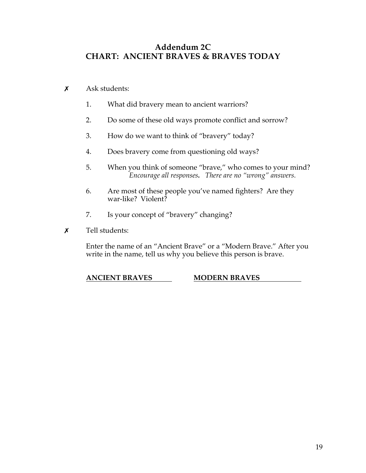## **Addendum 2C CHART: ANCIENT BRAVES & BRAVES TODAY**

- $x$  Ask students:
	- 1. What did bravery mean to ancient warriors?
	- 2. Do some of these old ways promote conflict and sorrow?
	- 3. How do we want to think of "bravery" today?
	- 4. Does bravery come from questioning old ways?
	- 5. When you think of someone "brave," who comes to your mind? *Encourage all responses. There are no "wrong" answers.*
	- 6. Are most of these people you've named fighters? Are they war-like? Violent?
	- 7. Is your concept of "bravery" changing?
- $x$  Tell students:

Enter the name of an "Ancient Brave" or a "Modern Brave." After you write in the name, tell us why you believe this person is brave.

## **ANCIENT BRAVES MODERN BRAVES**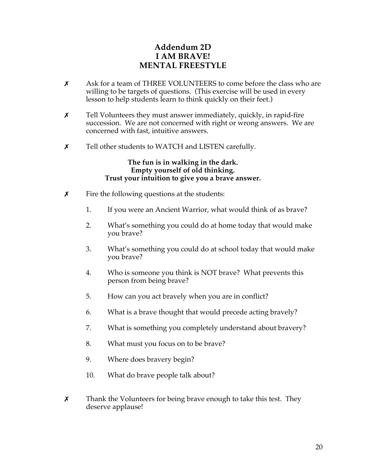## **Addendum 2D I AM BRAVE! MENTAL FREESTYLE**

- $\boldsymbol{\chi}$  Ask for a team of THREE VOLUNTEERS to come before the class who are willing to be targets of questions. (This exercise will be used in every lesson to help students learn to think quickly on their feet.)
- $\chi$  Tell Volunteers they must answer immediately, quickly, in rapid-fire succession. We are not concerned with right or wrong answers. We are concerned with fast, intuitive answers.
- **x** Tell other students to WATCH and LISTEN carefully.

#### **The fun is in walking in the dark. Empty yourself of old thinking. Trust your intuition to give you a brave answer.**

- $\boldsymbol{\chi}$  Fire the following questions at the students:
	- 1. If you were an Ancient Warrior, what would think of as brave?
	- 2. What's something you could do at home today that would make you brave?
	- 3. What's something you could do at school today that would make you brave?
	- 4. Who is someone you think is NOT brave? What prevents this person from being brave?
	- 5. How can you act bravely when you are in conflict?
	- 6. What is a brave thought that would precede acting bravely?
	- 7. What is something you completely understand about bravery?
	- 8. What must you focus on to be brave?
	- 9. Where does bravery begin?
	- 10. What do brave people talk about?
- $\chi$  Thank the Volunteers for being brave enough to take this test. They deserve applause!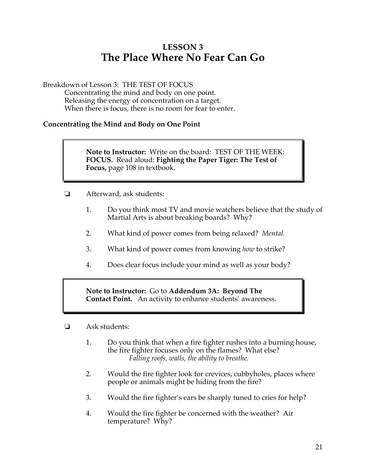# **LESSON 3 The Place Where No Fear Can Go**

Breakdown of Lesson 3: THE TEST OF FOCUS

Concentrating the mind and body on one point. Releasing the energy of concentration on a target. When there is focus, there is no room for fear to enter.

## **Concentrating the Mind and Body on One Point**

**Note to Instructor:** Write on the board: TEST OF THE WEEK: **FOCUS.** Read aloud: **Fighting the Paper Tiger: The Test of Focus,** page 108 in textbook.

- ! Afterward, ask students:
	- 1. Do you think most TV and movie watchers believe that the study of Martial Arts is about breaking boards? Why?
	- 2. What kind of power comes from being relaxed? *Mental.*
	- 3. What kind of power comes from knowing *how* to strike?
	- 4. Does clear focus include your mind as well as your body?

**Note to Instructor:** Go to **Addendum 3A: Beyond The Contact Point.** An activity to enhance students' awareness.

- $\Box$  Ask students:
	- 1. Do you think that when a fire fighter rushes into a burning house, the fire fighter focuses only on the flames? What else? *Falling roofs, walls, the ability to breathe.*
	- 2. Would the fire fighter look for crevices, cubbyholes, places where people or animals might be hiding from the fire?
	- 3. Would the fire fighter's ears be sharply tuned to cries for help?
	- 4. Would the fire fighter be concerned with the weather? Air temperature? Why?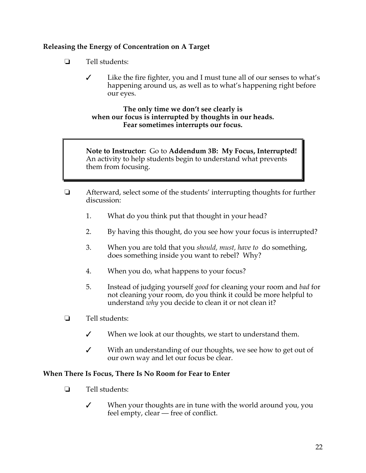## **Releasing the Energy of Concentration on A Target**

- $\Box$  Tell students:
	- $\checkmark$  Like the fire fighter, you and I must tune all of our senses to what's happening around us, as well as to what's happening right before our eyes.

#### **The only time we don't see clearly is when our focus is interrupted by thoughts in our heads. Fear sometimes interrupts our focus.**

**Note to Instructor:** Go to **Addendum 3B: My Focus, Interrupted!**  An activity to help students begin to understand what prevents them from focusing.

- $\Box$  Afterward, select some of the students' interrupting thoughts for further discussion:
	- 1. What do you think put that thought in your head?
	- 2. By having this thought, do you see how your focus is interrupted?
	- 3. When you are told that you *should, must, have to* do something, does something inside you want to rebel? Why?
	- 4. When you do, what happens to your focus?
	- 5. Instead of judging yourself *good* for cleaning your room and *bad* for not cleaning your room, do you think it could be more helpful to understand *why* you decide to clean it or not clean it?
- $\Box$  Tell students:
	- $\checkmark$  When we look at our thoughts, we start to understand them.
	- $\checkmark$  With an understanding of our thoughts, we see how to get out of our own way and let our focus be clear.

## **When There Is Focus, There Is No Room for Fear to Enter**

- $\Box$  Tell students:
	- $\checkmark$  When your thoughts are in tune with the world around you, you feel empty, clear — free of conflict.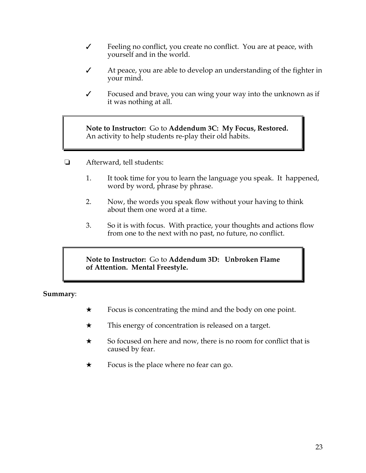- $\checkmark$  Feeling no conflict, you create no conflict. You are at peace, with yourself and in the world.
- $\checkmark$  At peace, you are able to develop an understanding of the fighter in your mind.
- $\checkmark$  Focused and brave, you can wing your way into the unknown as if it was nothing at all.

**Note to Instructor:** Go to **Addendum 3C: My Focus, Restored.** An activity to help students re-play their old habits.

- **E** Afterward, tell students:
	- 1. It took time for you to learn the language you speak. It happened, word by word, phrase by phrase.
	- 2. Now, the words you speak flow without your having to think about them one word at a time.
	- 3. So it is with focus. With practice, your thoughts and actions flow from one to the next with no past, no future, no conflict.

**Note to Instructor:** Go to **Addendum 3D: Unbroken Flame of Attention. Mental Freestyle.**

**Summary**:

- $\star$  Focus is concentrating the mind and the body on one point.
- $\star$  This energy of concentration is released on a target.
- $\star$  So focused on here and now, there is no room for conflict that is caused by fear.
- $\star$  Focus is the place where no fear can go.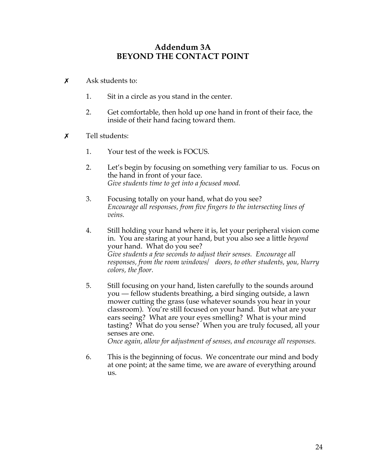## **Addendum 3A BEYOND THE CONTACT POINT**

- $\boldsymbol{\mathsf{x}}$  Ask students to:
	- 1. Sit in a circle as you stand in the center.
	- 2. Get comfortable, then hold up one hand in front of their face, the inside of their hand facing toward them.
- $\boldsymbol{\mathsf{x}}$  Tell students:
	- 1. Your test of the week is FOCUS.
	- 2. Let's begin by focusing on something very familiar to us. Focus on the hand in front of your face. *Give students time to get into a focused mood.*
	- 3. Focusing totally on your hand, what do you see? *Encourage all responses, from five fingers to the intersecting lines of veins.*
	- 4. Still holding your hand where it is, let your peripheral vision come in. You are staring at your hand, but you also see a little *beyond* your hand. What do you see? *Give students a few seconds to adjust their senses. Encourage all responses, from the room windows/ doors, to other students, you, blurry colors, the floor.*
	- 5. Still focusing on your hand, listen carefully to the sounds around you — fellow students breathing, a bird singing outside, a lawn mower cutting the grass (use whatever sounds you hear in your classroom). You're still focused on your hand. But what are your ears seeing? What are your eyes smelling? What is your mind tasting? What do you sense? When you are truly focused, all your senses are one. *Once again, allow for adjustment of senses, and encourage all responses.*

6. This is the beginning of focus. We concentrate our mind and body

at one point; at the same time, we are aware of everything around us.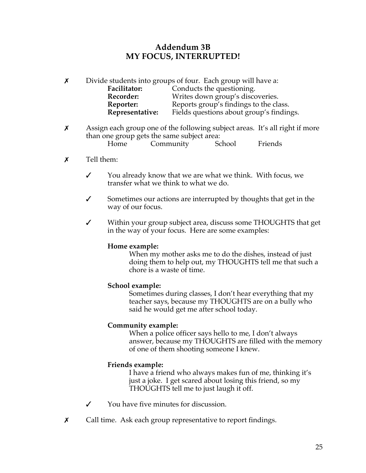## **Addendum 3B MY FOCUS, INTERRUPTED!**

 $\chi$  Divide students into groups of four. Each group will have a: Facilitator: Conducts the questioning. **Recorder:** Writes down group's discoveries. **Reporter:** Reports group's findings to the class. **Representative:** Fields questions about group's findings.

 $x$  Assign each group one of the following subject areas. It's all right if more than one group gets the same subject area: Home Community School Friends

#### $\chi$  Tell them:

- $\checkmark$  You already know that we are what we think. With focus, we transfer what we think to what we do.
- $\checkmark$  Sometimes our actions are interrupted by thoughts that get in the way of our focus.
- V Within your group subject area, discuss some THOUGHTS that get in the way of your focus. Here are some examples:

#### **Home example:**

When my mother asks me to do the dishes, instead of just doing them to help out, my THOUGHTS tell me that such a chore is a waste of time.

#### **School example:**

Sometimes during classes, I don't hear everything that my teacher says, because my THOUGHTS are on a bully who said he would get me after school today.

#### **Community example:**

When a police officer says hello to me, I don't always answer, because my THOUGHTS are filled with the memory of one of them shooting someone I knew.

#### **Friends example:**

I have a friend who always makes fun of me, thinking it's just a joke. I get scared about losing this friend, so my THOUGHTS tell me to just laugh it off.

- $\checkmark$  You have five minutes for discussion.
- **X** Call time. Ask each group representative to report findings.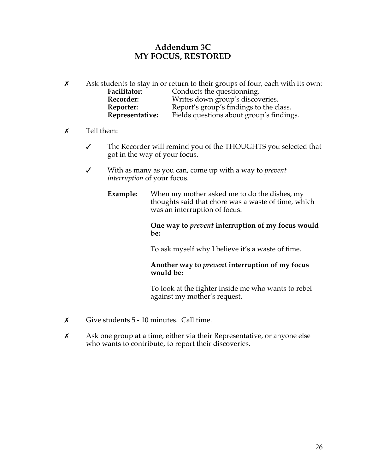## **Addendum 3C MY FOCUS, RESTORED**

- $\chi$  Ask students to stay in or return to their groups of four, each with its own: Facilitator: Conducts the questionning.<br> **Recorder:** Writes down group's discov Writes down group's discoveries. Reporter: Report's group's findings to the class.<br>
Representative: Fields questions about group's finding Fields questions about group's findings.
- $x$  Tell them:
	- " The Recorder will remind you of the THOUGHTS you selected that got in the way of your focus.
	- " With as many as you can, come up with a way to *prevent interruption* of your focus.
		- **Example:** When my mother asked me to do the dishes, my thoughts said that chore was a waste of time, which was an interruption of focus.

#### **One way to** *prevent* **interruption of my focus would be:**

To ask myself why I believe it's a waste of time.

## **Another way to** *prevent* **interruption of my focus would be:**

To look at the fighter inside me who wants to rebel against my mother's request.

- $\chi$  Give students 5 10 minutes. Call time.
- $x$  Ask one group at a time, either via their Representative, or anyone else who wants to contribute, to report their discoveries.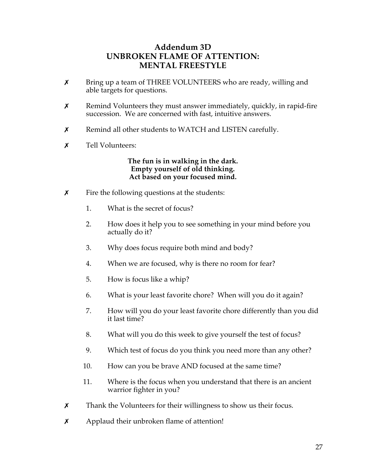## **Addendum 3D UNBROKEN FLAME OF ATTENTION: MENTAL FREESTYLE**

- **X** Bring up a team of THREE VOLUNTEERS who are ready, willing and able targets for questions.
- $x$  Remind Volunteers they must answer immediately, quickly, in rapid-fire succession. We are concerned with fast, intuitive answers.
- $x$  Remind all other students to WATCH and LISTEN carefully.
- \$ Tell Volunteers:

**The fun is in walking in the dark. Empty yourself of old thinking. Act based on your focused mind.** 

- $\boldsymbol{\chi}$  Fire the following questions at the students:
	- 1. What is the secret of focus?
	- 2. How does it help you to see something in your mind before you actually do it?
	- 3. Why does focus require both mind and body?
	- 4. When we are focused, why is there no room for fear?
	- 5. How is focus like a whip?
	- 6. What is your least favorite chore? When will you do it again?
	- 7. How will you do your least favorite chore differently than you did it last time?
	- 8. What will you do this week to give yourself the test of focus?
	- 9. Which test of focus do you think you need more than any other?
	- 10. How can you be brave AND focused at the same time?
	- 11. Where is the focus when you understand that there is an ancient warrior fighter in you?
- $\chi$  Thank the Volunteers for their willingness to show us their focus.
- $\boldsymbol{\chi}$  Applaud their unbroken flame of attention!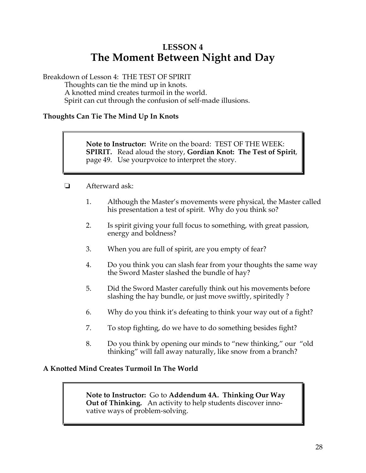# **LESSON 4 The Moment Between Night and Day**

Breakdown of Lesson 4: THE TEST OF SPIRIT

Thoughts can tie the mind up in knots. A knotted mind creates turmoil in the world. Spirit can cut through the confusion of self-made illusions.

## **Thoughts Can Tie The Mind Up In Knots**

**Note to Instructor:** Write on the board: TEST OF THE WEEK: **SPIRIT.** Read aloud the story, **Gordian Knot: The Test of Spirit**, page 49. Use yourpvoice to interpret the story.

- **d** Afterward ask:
	- 1. Although the Master's movements were physical, the Master called his presentation a test of spirit. Why do you think so?
	- 2. Is spirit giving your full focus to something, with great passion, energy and boldness?
	- 3. When you are full of spirit, are you empty of fear?
	- 4. Do you think you can slash fear from your thoughts the same way the Sword Master slashed the bundle of hay?
	- 5. Did the Sword Master carefully think out his movements before slashing the hay bundle, or just move swiftly, spiritedly ?
	- 6. Why do you think it's defeating to think your way out of a fight?
	- 7. To stop fighting, do we have to do something besides fight?
	- 8. Do you think by opening our minds to "new thinking," our "old thinking" will fall away naturally, like snow from a branch?

## **A Knotted Mind Creates Turmoil In The World**

**Note to Instructor:** Go to **Addendum 4A. Thinking Our Way Out of Thinking.** An activity to help students discover innovative ways of problem-solving.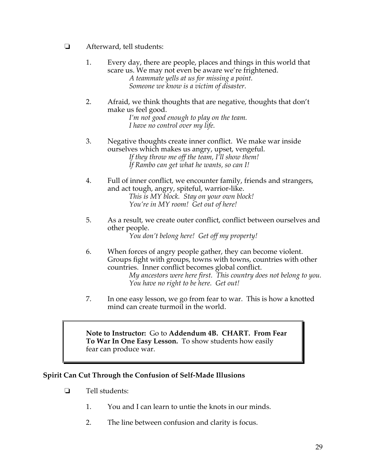- **E** Afterward, tell students:
	- 1. Every day, there are people, places and things in this world that scare us. We may not even be aware we're frightened. *A teammate yells at us for missing a point. Someone we know is a victim of disaster.*
	- 2. Afraid, we think thoughts that are negative, thoughts that don't make us feel good.

*I'm not good enough to play on the team. I have no control over my life.*

- 3. Negative thoughts create inner conflict. We make war inside ourselves which makes us angry, upset, vengeful. *If they throw me off the team, I'll show them! If Rambo can get what he wants, so can I!*
- 4. Full of inner conflict, we encounter family, friends and strangers, and act tough, angry, spiteful, warrior-like. *This is MY block. Stay on your own block! You're in MY room! Get out of here!*
- 5. As a result, we create outer conflict, conflict between ourselves and other people.

*You don't belong here! Get off my property!*

6. When forces of angry people gather, they can become violent. Groups fight with groups, towns with towns, countries with other countries. Inner conflict becomes global conflict.

*My ancestors were here first. This country does not belong to you. You have no right to be here. Get out!*

7. In one easy lesson, we go from fear to war. This is how a knotted mind can create turmoil in the world.

**Note to Instructor:** Go to **Addendum 4B. CHART. From Fear To War In One Easy Lesson.** To show students how easily fear can produce war.

## **Spirit Can Cut Through the Confusion of Self-Made Illusions**

- $\Box$  Tell students:
	- 1. You and I can learn to untie the knots in our minds.
	- 2. The line between confusion and clarity is focus.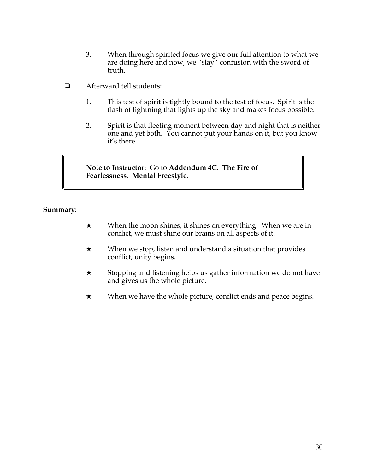- 3. When through spirited focus we give our full attention to what we are doing here and now, we "slay" confusion with the sword of truth.
- ! Afterward tell students:
	- 1. This test of spirit is tightly bound to the test of focus. Spirit is the flash of lightning that lights up the sky and makes focus possible.
	- 2. Spirit is that fleeting moment between day and night that is neither one and yet both. You cannot put your hands on it, but you know it's there.

**Note to Instructor:** Go to **Addendum 4C. The Fire of Fearlessness. Mental Freestyle.**

#### **Summary**:

- $\star$  When the moon shines, it shines on everything. When we are in conflict, we must shine our brains on all aspects of it.
- $\star$  When we stop, listen and understand a situation that provides conflict, unity begins.
- $\star$  Stopping and listening helps us gather information we do not have and gives us the whole picture.
- $\star$  When we have the whole picture, conflict ends and peace begins.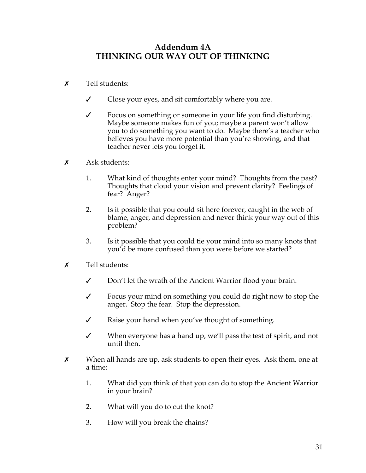# **Addendum 4A THINKING OUR WAY OUT OF THINKING**

- $\boldsymbol{\mathsf{x}}$  Tell students:
	- $\checkmark$  Close your eyes, and sit comfortably where you are.
	- $\checkmark$  Focus on something or someone in your life you find disturbing. Maybe someone makes fun of you; maybe a parent won't allow you to do something you want to do. Maybe there's a teacher who believes you have more potential than you're showing, and that teacher never lets you forget it.
- $\boldsymbol{\mathsf{x}}$  Ask students:
	- 1. What kind of thoughts enter your mind? Thoughts from the past? Thoughts that cloud your vision and prevent clarity? Feelings of fear? Anger?
	- 2. Is it possible that you could sit here forever, caught in the web of blame, anger, and depression and never think your way out of this problem?
	- 3. Is it possible that you could tie your mind into so many knots that you'd be more confused than you were before we started?
- $\boldsymbol{x}$  Tell students:
	- $\checkmark$  Don't let the wrath of the Ancient Warrior flood your brain.
	- $\checkmark$  Focus your mind on something you could do right now to stop the anger. Stop the fear. Stop the depression.
	- $\mathcal V$  Raise your hand when you've thought of something.
	- $\checkmark$  When everyone has a hand up, we'll pass the test of spirit, and not until then.
- $\times$  When all hands are up, ask students to open their eyes. Ask them, one at a time:
	- 1. What did you think of that you can do to stop the Ancient Warrior in your brain?
	- 2. What will you do to cut the knot?
	- 3. How will you break the chains?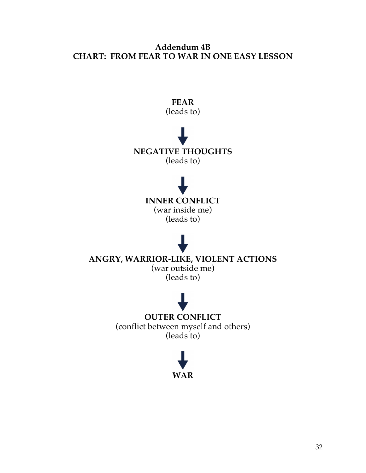# **Addendum 4B CHART: FROM FEAR TO WAR IN ONE EASY LESSON**



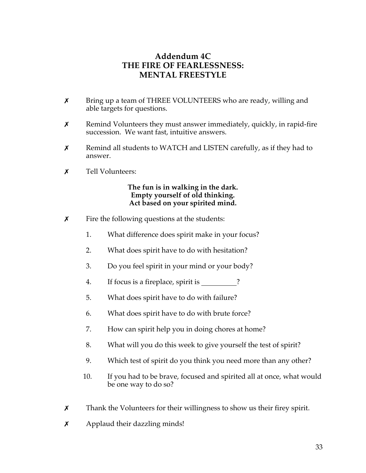# **Addendum 4C THE FIRE OF FEARLESSNESS: MENTAL FREESTYLE**

- **X** Bring up a team of THREE VOLUNTEERS who are ready, willing and able targets for questions.
- $x$  Remind Volunteers they must answer immediately, quickly, in rapid-fire succession. We want fast, intuitive answers.
- $x$  Remind all students to WATCH and LISTEN carefully, as if they had to answer.
- **x** Tell Volunteers:

### **The fun is in walking in the dark. Empty yourself of old thinking. Act based on your spirited mind.**

- $\boldsymbol{\chi}$  Fire the following questions at the students:
	- 1. What difference does spirit make in your focus?
	- 2. What does spirit have to do with hesitation?
	- 3. Do you feel spirit in your mind or your body?
	- 4. If focus is a fireplace, spirit is \_\_\_\_\_\_\_\_?
	- 5. What does spirit have to do with failure?
	- 6. What does spirit have to do with brute force?
	- 7. How can spirit help you in doing chores at home?
	- 8. What will you do this week to give yourself the test of spirit?
	- 9. Which test of spirit do you think you need more than any other?
	- 10. If you had to be brave, focused and spirited all at once, what would be one way to do so?
- $x$  Thank the Volunteers for their willingness to show us their firey spirit.
- $x$  Applaud their dazzling minds!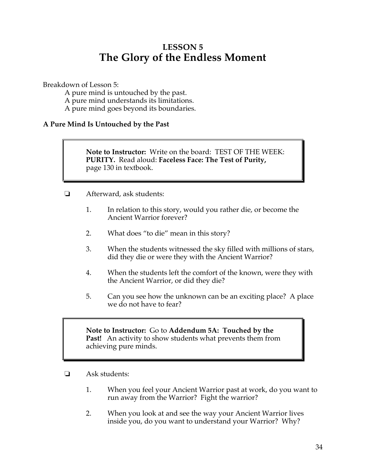# **LESSON 5 The Glory of the Endless Moment**

Breakdown of Lesson 5:

A pure mind is untouched by the past.

A pure mind understands its limitations.

A pure mind goes beyond its boundaries.

## **A Pure Mind Is Untouched by the Past**

**Note to Instructor:** Write on the board: TEST OF THE WEEK: **PURITY.** Read aloud: **Faceless Face: The Test of Purity,**  page 130 in textbook.

- ! Afterward, ask students:
	- 1. In relation to this story, would you rather die, or become the Ancient Warrior forever?
	- 2. What does "to die" mean in this story?
	- 3. When the students witnessed the sky filled with millions of stars, did they die or were they with the Ancient Warrior?
	- 4. When the students left the comfort of the known, were they with the Ancient Warrior, or did they die?
	- 5. Can you see how the unknown can be an exciting place? A place we do not have to fear?

**Note to Instructor:** Go to **Addendum 5A: Touched by the Past!** An activity to show students what prevents them from achieving pure minds.

- $\Box$  Ask students:
	- 1. When you feel your Ancient Warrior past at work, do you want to run away from the Warrior? Fight the warrior?
	- 2. When you look at and see the way your Ancient Warrior lives inside you, do you want to understand your Warrior? Why?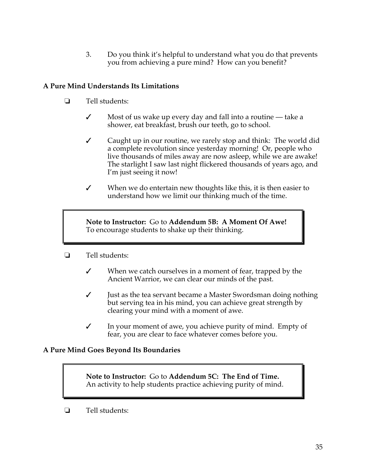3. Do you think it's helpful to understand what you do that prevents you from achieving a pure mind? How can you benefit?

## **A Pure Mind Understands Its Limitations**

- $\Box$  Tell students:
	- $\checkmark$  Most of us wake up every day and fall into a routine take a shower, eat breakfast, brush our teeth, go to school.
	- $\checkmark$  Caught up in our routine, we rarely stop and think: The world did a complete revolution since yesterday morning! Or, people who live thousands of miles away are now asleep, while we are awake! The starlight I saw last night flickered thousands of years ago, and I'm just seeing it now!
	- $\checkmark$  When we do entertain new thoughts like this, it is then easier to understand how we limit our thinking much of the time.

**Note to Instructor:** Go to **Addendum 5B: A Moment Of Awe!**  To encourage students to shake up their thinking.

- $\Box$  Tell students:
	- $\checkmark$  When we catch ourselves in a moment of fear, trapped by the Ancient Warrior, we can clear our minds of the past.
	- $\checkmark$  Just as the tea servant became a Master Swordsman doing nothing but serving tea in his mind, you can achieve great strength by clearing your mind with a moment of awe.
	- $\checkmark$  In your moment of awe, you achieve purity of mind. Empty of fear, you are clear to face whatever comes before you.

### **A Pure Mind Goes Beyond Its Boundaries**

**Note to Instructor:** Go to **Addendum 5C: The End of Time.**  An activity to help students practice achieving purity of mind.

 $\Box$  Tell students: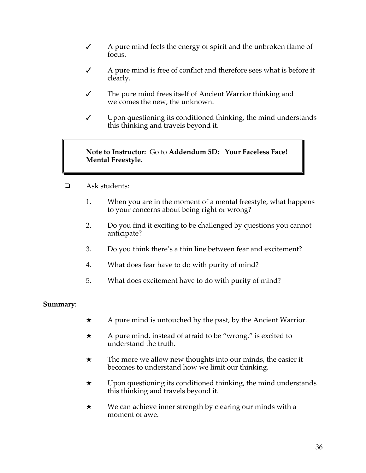- $\angle$  A pure mind feels the energy of spirit and the unbroken flame of focus.
- $\sqrt{\phantom{a}}$  A pure mind is free of conflict and therefore sees what is before it clearly.
- $\checkmark$  The pure mind frees itself of Ancient Warrior thinking and welcomes the new, the unknown.
- $\checkmark$  Upon questioning its conditioned thinking, the mind understands this thinking and travels beyond it.

### **Note to Instructor:** Go to **Addendum 5D: Your Faceless Face! Mental Freestyle.**

- $\Box$  Ask students:
	- 1. When you are in the moment of a mental freestyle, what happens to your concerns about being right or wrong?
	- 2. Do you find it exciting to be challenged by questions you cannot anticipate?
	- 3. Do you think there's a thin line between fear and excitement?
	- 4. What does fear have to do with purity of mind?
	- 5. What does excitement have to do with purity of mind?

### **Summary**:

- $\star$  A pure mind is untouched by the past, by the Ancient Warrior.
- $\star$  A pure mind, instead of afraid to be "wrong," is excited to understand the truth.
- $\star$  The more we allow new thoughts into our minds, the easier it becomes to understand how we limit our thinking.
- $\star$  Upon questioning its conditioned thinking, the mind understands this thinking and travels beyond it.
- $\star$  We can achieve inner strength by clearing our minds with a moment of awe.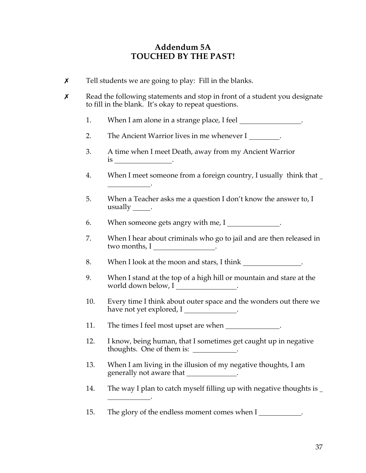## **Addendum 5A TOUCHED BY THE PAST!**

 $\chi$  Tell students we are going to play: Fill in the blanks.

.

.

- **x** Read the following statements and stop in front of a student you designate to fill in the blank. It's okay to repeat questions.
	- 1. When I am alone in a strange place, I feel **with the U** is the U is the U.
	- 2. The Ancient Warrior lives in me whenever I.
	- 3. A time when I meet Death, away from my Ancient Warrior is .
	- 4. When I meet someone from a foreign country, I usually think that
	- 5. When a Teacher asks me a question I don't know the answer to, I usually .
	- 6. When someone gets angry with me, I .
	- 7. When I hear about criminals who go to jail and are then released in two months, I .
	- 8. When I look at the moon and stars, I think .
	- 9. When I stand at the top of a high hill or mountain and stare at the world down below, I .
	- 10. Every time I think about outer space and the wonders out there we have not yet explored, I
	- 11. The times I feel most upset are when \_\_\_\_\_\_\_\_\_\_\_\_\_.
	- 12. I know, being human, that I sometimes get caught up in negative thoughts. One of them is: .
	- 13. When I am living in the illusion of my negative thoughts, I am generally not aware that .
	- 14. The way I plan to catch myself filling up with negative thoughts is
	- 15. The glory of the endless moment comes when I .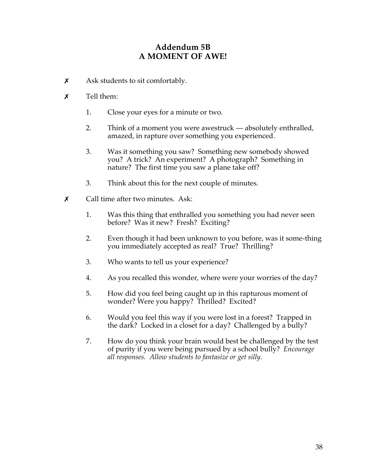# **Addendum 5B A MOMENT OF AWE!**

- $\boldsymbol{\chi}$  Ask students to sit comfortably.
- $\boldsymbol{x}$  Tell them:
	- 1. Close your eyes for a minute or two.
	- 2. Think of a moment you were awestruck absolutely enthralled, amazed, in rapture over something you experienced.
	- 3. Was it something you saw? Something new somebody showed you? A trick? An experiment? A photograph? Something in nature? The first time you saw a plane take off?
	- 3. Think about this for the next couple of minutes.
- $\chi$  Call time after two minutes. Ask:
	- 1. Was this thing that enthralled you something you had never seen before? Was it new? Fresh? Exciting?
	- 2. Even though it had been unknown to you before, was it some-thing you immediately accepted as real? True? Thrilling?
	- 3. Who wants to tell us your experience?
	- 4. As you recalled this wonder, where were your worries of the day?
	- 5. How did you feel being caught up in this rapturous moment of wonder? Were you happy? Thrilled? Excited?
	- 6. Would you feel this way if you were lost in a forest? Trapped in the dark? Locked in a closet for a day? Challenged by a bully?
	- 7. How do you think your brain would best be challenged by the test of purity if you were being pursued by a school bully? *Encourage all responses. Allow students to fantasize or get silly.*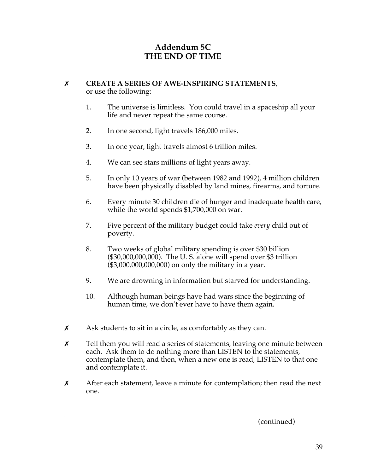# **Addendum 5C THE END OF TIME**

#### \$ **CREATE A SERIES OF AWE-INSPIRING STATEMENTS**, or use the following:

- 1. The universe is limitless. You could travel in a spaceship all your life and never repeat the same course.
- 2. In one second, light travels 186,000 miles.
- 3. In one year, light travels almost 6 trillion miles.
- 4. We can see stars millions of light years away.
- 5. In only 10 years of war (between 1982 and 1992), 4 million children have been physically disabled by land mines, firearms, and torture.
- 6. Every minute 30 children die of hunger and inadequate health care, while the world spends \$1,700,000 on war.
- 7. Five percent of the military budget could take *every* child out of poverty.
- 8. Two weeks of global military spending is over \$30 billion (\$30,000,000,000). The U. S. alone will spend over \$3 trillion (\$3,000,000,000,000) on only the military in a year.
- 9. We are drowning in information but starved for understanding.
- 10. Although human beings have had wars since the beginning of human time, we don't ever have to have them again.
- $x$  Ask students to sit in a circle, as comfortably as they can.
- $x$  Tell them you will read a series of statements, leaving one minute between each. Ask them to do nothing more than LISTEN to the statements, contemplate them, and then, when a new one is read, LISTEN to that one and contemplate it.
- $x$  After each statement, leave a minute for contemplation; then read the next one.

(continued)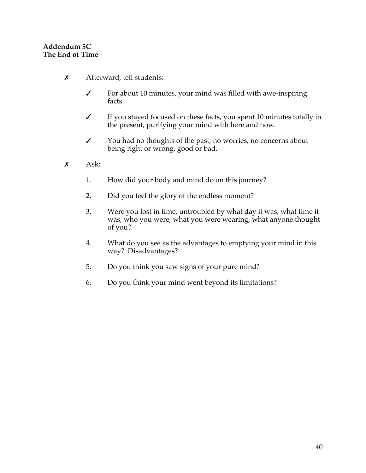### **Addendum 5C The End of Time**

- $x$  Afterward, tell students:
	- $\checkmark$  For about 10 minutes, your mind was filled with awe-inspiring facts.
	- $\checkmark$  If you stayed focused on these facts, you spent 10 minutes totally in the present, purifying your mind with here and now.
	- $\checkmark$  You had no thoughts of the past, no worries, no concerns about being right or wrong, good or bad.
- $x \quad \text{Ask:}$ 
	- 1. How did your body and mind do on this journey?
	- 2. Did you feel the glory of the endless moment?
	- 3. Were you lost in time, untroubled by what day it was, what time it was, who you were, what you were wearing, what anyone thought of you?
	- 4. What do you see as the advantages to emptying your mind in this way? Disadvantages?
	- 5. Do you think you saw signs of your pure mind?
	- 6. Do you think your mind went beyond its limitations?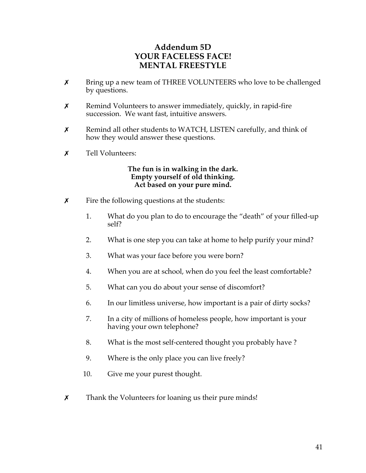# **Addendum 5D YOUR FACELESS FACE! MENTAL FREESTYLE**

- **X** Bring up a new team of THREE VOLUNTEERS who love to be challenged by questions.
- $x$  Remind Volunteers to answer immediately, quickly, in rapid-fire succession. We want fast, intuitive answers.
- **x** Remind all other students to WATCH, LISTEN carefully, and think of how they would answer these questions.
- $\boldsymbol{x}$  Tell Volunteers:

#### **The fun is in walking in the dark. Empty yourself of old thinking. Act based on your pure mind.**

- $\boldsymbol{\chi}$  Fire the following questions at the students:
	- 1. What do you plan to do to encourage the "death" of your filled-up self?
	- 2. What is one step you can take at home to help purify your mind?
	- 3. What was your face before you were born?
	- 4. When you are at school, when do you feel the least comfortable?
	- 5. What can you do about your sense of discomfort?
	- 6. In our limitless universe, how important is a pair of dirty socks?
	- 7. In a city of millions of homeless people, how important is your having your own telephone?
	- 8. What is the most self-centered thought you probably have ?
	- 9. Where is the only place you can live freely?
	- 10. Give me your purest thought.
- **x** Thank the Volunteers for loaning us their pure minds!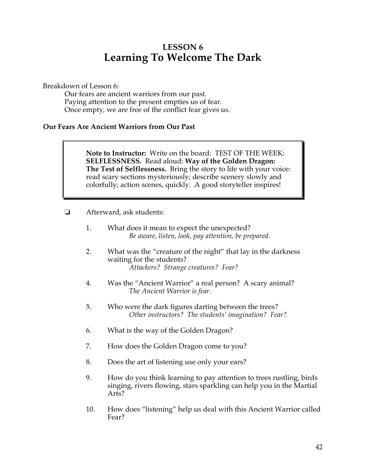# **LESSON 6 Learning To Welcome The Dark**

Breakdown of Lesson 6:

Our fears are ancient warriors from our past. Paying attention to the present empties us of fear. Once empty, we are free of the conflict fear gives us.

### **Our Fears Are Ancient Warriors from Our Past**

**Note to Instructor:** Write on the board: TEST OF THE WEEK: **SELFLESSNESS.** Read aloud: **Way of the Golden Dragon: The Test of Selflessness.** Bring the story to life with your voice: read scary sections mysteriously; describe scenery slowly and colorfully; action scenes, quickly. A good storyteller inspires!

- $\Box$  Afterward, ask students:
	- 1. What does it mean to expect the unexpected? *Be aware, listen, look, pay attention, be prepared.*
	- 2. What was the "creature of the night" that lay in the darkness waiting for the students? *Attackers? Strange creatures? Fear?*
	- 4. Was the "Ancient Warrior" a real person? A scary animal? *The Ancient Warrior is fear.*
	- 5. Who were the dark figures darting between the trees? *Other instructors? The students' imagination? Fear?*
	- 6. What is the way of the Golden Dragon?
	- 7. How does the Golden Dragon come to you?
	- 8. Does the art of listening use only your ears?
	- 9. How do you think learning to pay attention to trees rustling, birds singing, rivers flowing, stars sparkling can help you in the Martial Arts?
	- 10. How does "listening" help us deal with this Ancient Warrior called Fear?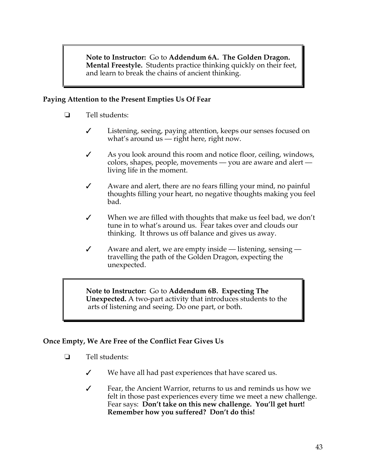**Note to Instructor:** Go to **Addendum 6A. The Golden Dragon. Mental Freestyle.** Students practice thinking quickly on their feet, and learn to break the chains of ancient thinking.

### **Paying Attention to the Present Empties Us Of Fear**

- $\Box$  Tell students:
	- " Listening, seeing, paying attention, keeps our senses focused on what's around us — right here, right now.
	- $\mathcal I$  As you look around this room and notice floor, ceiling, windows, colors, shapes, people, movements — you are aware and alert living life in the moment.
	- $\checkmark$  Aware and alert, there are no fears filling your mind, no painful thoughts filling your heart, no negative thoughts making you feel bad.
	- $\checkmark$  When we are filled with thoughts that make us feel bad, we don't tune in to what's around us. Fear takes over and clouds our thinking. It throws us off balance and gives us away.
	- $\checkmark$  Aware and alert, we are empty inside listening, sensing travelling the path of the Golden Dragon, expecting the unexpected.

**Note to Instructor:** Go to **Addendum 6B. Expecting The Unexpected.** A two-part activity that introduces students to the arts of listening and seeing. Do one part, or both.

## **Once Empty, We Are Free of the Conflict Fear Gives Us**

- $\Box$  Tell students:
	- $\checkmark$  We have all had past experiences that have scared us.
	- $\checkmark$  Fear, the Ancient Warrior, returns to us and reminds us how we felt in those past experiences every time we meet a new challenge. Fear says: **Don't take on this new challenge. You'll get hurt! Remember how you suffered? Don't do this!**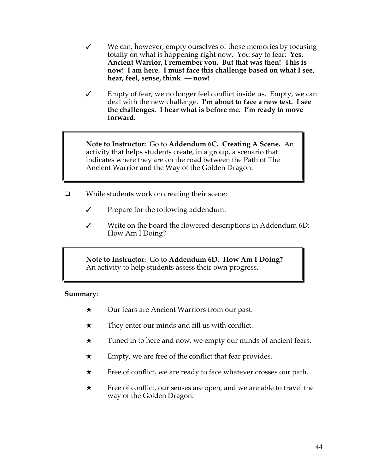- $\checkmark$  We can, however, empty ourselves of those memories by focusing totally on what is happening right now. You say to fear: **Yes, Ancient Warrior, I remember you. But that was then! This is now! I am here. I must face this challenge based on what I see, hear, feel, sense, think — now!**
- $\checkmark$  Empty of fear, we no longer feel conflict inside us. Empty, we can deal with the new challenge. **I'm about to face a new test. I see the challenges. I hear what is before me. I'm ready to move forward.**

**Note to Instructor:** Go to **Addendum 6C. Creating A Scene.** An activity that helps students create, in a group, a scenario that indicates where they are on the road between the Path of The Ancient Warrior and the Way of the Golden Dragon.

- $\Box$  While students work on creating their scene:
	- $\checkmark$  Prepare for the following addendum.
	- $\checkmark$  Write on the board the flowered descriptions in Addendum 6D: How Am I Doing?

**Note to Instructor:** Go to **Addendum 6D. How Am I Doing?**  An activity to help students assess their own progress.

#### **Summary**:

- $\star$  Our fears are Ancient Warriors from our past.
- $\star$  They enter our minds and fill us with conflict.
- $\star$  Tuned in to here and now, we empty our minds of ancient fears.
- $\star$  Empty, we are free of the conflict that fear provides.
- $\star$  Free of conflict, we are ready to face whatever crosses our path.
- $\star$  Free of conflict, our senses are open, and we are able to travel the way of the Golden Dragon.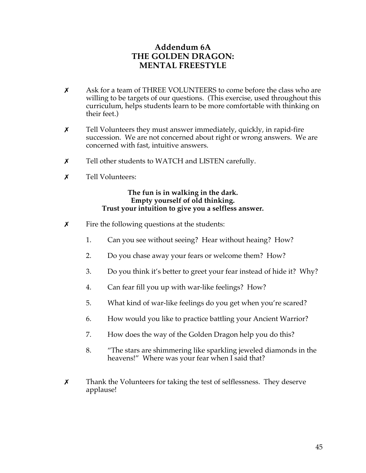# **Addendum 6A THE GOLDEN DRAGON: MENTAL FREESTYLE**

- $\chi$  Ask for a team of THREE VOLUNTEERS to come before the class who are willing to be targets of our questions. (This exercise, used throughout this curriculum, helps students learn to be more comfortable with thinking on their feet.)
- $x$  Tell Volunteers they must answer immediately, quickly, in rapid-fire succession. We are not concerned about right or wrong answers. We are concerned with fast, intuitive answers.
- $\chi$  Tell other students to WATCH and LISTEN carefully.
- **x** Tell Volunteers:

#### **The fun is in walking in the dark. Empty yourself of old thinking. Trust your intuition to give you a selfless answer.**

- $\boldsymbol{\chi}$  Fire the following questions at the students:
	- 1. Can you see without seeing? Hear without heaing? How?
	- 2. Do you chase away your fears or welcome them? How?
	- 3. Do you think it's better to greet your fear instead of hide it? Why?
	- 4. Can fear fill you up with war-like feelings? How?
	- 5. What kind of war-like feelings do you get when you're scared?
	- 6. How would you like to practice battling your Ancient Warrior?
	- 7. How does the way of the Golden Dragon help you do this?
	- 8. "The stars are shimmering like sparkling jeweled diamonds in the heavens!" Where was your fear when I said that?
- $\chi$  Thank the Volunteers for taking the test of selflessness. They deserve applause!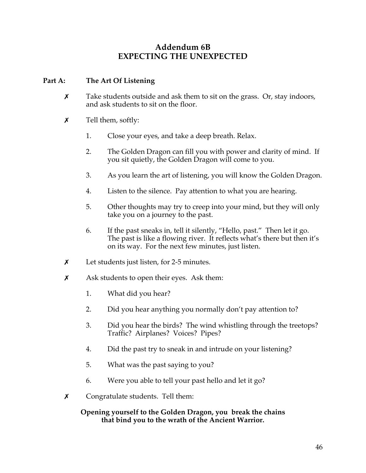## **Addendum 6B EXPECTING THE UNEXPECTED**

## **Part A: The Art Of Listening**

- $x$  Take students outside and ask them to sit on the grass. Or, stay indoors, and ask students to sit on the floor.
- $\chi$  Tell them, softly:
	- 1. Close your eyes, and take a deep breath. Relax.
	- 2. The Golden Dragon can fill you with power and clarity of mind. If you sit quietly, the Golden Dragon will come to you.
	- 3. As you learn the art of listening, you will know the Golden Dragon.
	- 4. Listen to the silence. Pay attention to what you are hearing.
	- 5. Other thoughts may try to creep into your mind, but they will only take you on a journey to the past.
	- 6. If the past sneaks in, tell it silently, "Hello, past." Then let it go. The past is like a flowing river. It reflects what's there but then it's on its way. For the next few minutes, just listen.
- $x$  Let students just listen, for 2-5 minutes.
- $\boldsymbol{\chi}$  Ask students to open their eyes. Ask them:
	- 1. What did you hear?
	- 2. Did you hear anything you normally don't pay attention to?
	- 3. Did you hear the birds? The wind whistling through the treetops? Traffic? Airplanes? Voices? Pipes?
	- 4. Did the past try to sneak in and intrude on your listening?
	- 5. What was the past saying to you?
	- 6. Were you able to tell your past hello and let it go?
- $\chi$  Congratulate students. Tell them:

### **Opening yourself to the Golden Dragon, you break the chains that bind you to the wrath of the Ancient Warrior.**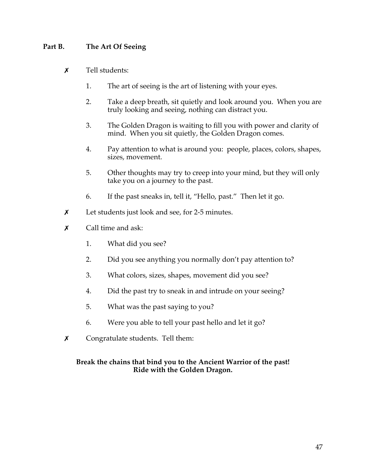## **Part B. The Art Of Seeing**

- $\boldsymbol{\mathsf{x}}$  Tell students:
	- 1. The art of seeing is the art of listening with your eyes.
	- 2. Take a deep breath, sit quietly and look around you. When you are truly looking and seeing, nothing can distract you.
	- 3. The Golden Dragon is waiting to fill you with power and clarity of mind. When you sit quietly, the Golden Dragon comes.
	- 4. Pay attention to what is around you: people, places, colors, shapes, sizes, movement.
	- 5. Other thoughts may try to creep into your mind, but they will only take you on a journey to the past.
	- 6. If the past sneaks in, tell it, "Hello, past." Then let it go.
- $x$  Let students just look and see, for 2-5 minutes.
- $\boldsymbol{\mathsf{x}}$  Call time and ask:
	- 1. What did you see?
	- 2. Did you see anything you normally don't pay attention to?
	- 3. What colors, sizes, shapes, movement did you see?
	- 4. Did the past try to sneak in and intrude on your seeing?
	- 5. What was the past saying to you?
	- 6. Were you able to tell your past hello and let it go?
- $\times$  Congratulate students. Tell them:

### **Break the chains that bind you to the Ancient Warrior of the past! Ride with the Golden Dragon.**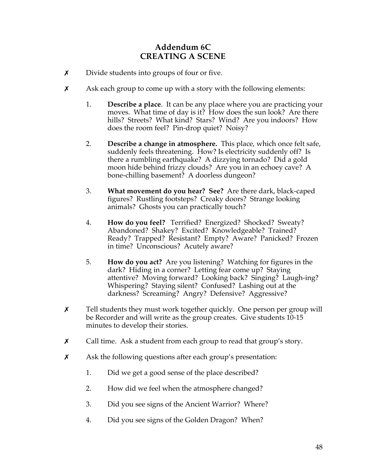# **Addendum 6C CREATING A SCENE**

- $\boldsymbol{\chi}$  Divide students into groups of four or five.
- $\boldsymbol{\chi}$  Ask each group to come up with a story with the following elements:
	- 1. **Describe a place**. It can be any place where you are practicing your moves. What time of day is it? How does the sun look? Are there hills? Streets? What kind? Stars? Wind? Are you indoors? How does the room feel? Pin-drop quiet? Noisy?
	- 2. **Describe a change in atmosphere.** This place, which once felt safe, suddenly feels threatening. How? Is electricity suddenly off? Is there a rumbling earthquake? A dizzying tornado? Did a gold moon hide behind frizzy clouds? Are you in an echoey cave? A bone-chilling basement? A doorless dungeon?
	- 3. **What movement do you hear? See?** Are there dark, black-caped figures? Rustling footsteps? Creaky doors? Strange looking animals? Ghosts you can practically touch?
	- 4. **How do you feel?** Terrified? Energized? Shocked? Sweaty? Abandoned? Shakey? Excited? Knowledgeable? Trained? Ready? Trapped? Resistant? Empty? Aware? Panicked? Frozen in time? Unconscious? Acutely aware?
	- 5. **How do you act?** Are you listening? Watching for figures in the dark? Hiding in a corner? Letting fear come up? Staying attentive? Moving forward? Looking back? Singing? Laugh-ing? Whispering? Staying silent? Confused? Lashing out at the darkness? Screaming? Angry? Defensive? Aggressive?
- $x$  Tell students they must work together quickly. One person per group will be Recorder and will write as the group creates. Give students 10-15 minutes to develop their stories.
- $x$  Call time. Ask a student from each group to read that group's story.
- $x$  Ask the following questions after each group's presentation:
	- 1. Did we get a good sense of the place described?
	- 2. How did we feel when the atmosphere changed?
	- 3. Did you see signs of the Ancient Warrior? Where?
	- 4. Did you see signs of the Golden Dragon? When?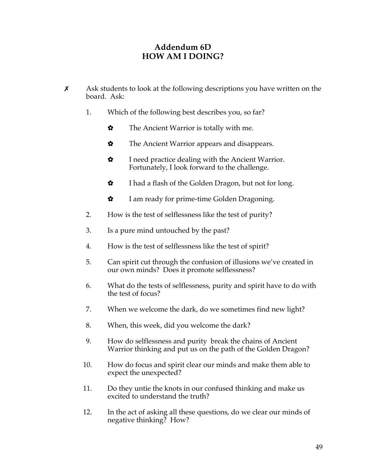# **Addendum 6D HOW AM I DOING?**

- $x$  Ask students to look at the following descriptions you have written on the board. Ask:
	- 1. Which of the following best describes you, so far?
		- $\bullet$  The Ancient Warrior is totally with me.
		- $\boldsymbol{\hat{\mathsf{s}}}$  The Ancient Warrior appears and disappears.
		- $\mathbf{\hat{x}}$  I need practice dealing with the Ancient Warrior. Fortunately, I look forward to the challenge.
		- $\bullet$  I had a flash of the Golden Dragon, but not for long.
		- $\bullet$  I am ready for prime-time Golden Dragoning.
	- 2. How is the test of selflessness like the test of purity?
	- 3. Is a pure mind untouched by the past?
	- 4. How is the test of selflessness like the test of spirit?
	- 5. Can spirit cut through the confusion of illusions we've created in our own minds? Does it promote selflessness?
	- 6. What do the tests of selflessness, purity and spirit have to do with the test of focus?
	- 7. When we welcome the dark, do we sometimes find new light?
	- 8. When, this week, did you welcome the dark?
	- 9. How do selflessness and purity break the chains of Ancient Warrior thinking and put us on the path of the Golden Dragon?
	- 10. How do focus and spirit clear our minds and make them able to expect the unexpected?
	- 11. Do they untie the knots in our confused thinking and make us excited to understand the truth?
	- 12. In the act of asking all these questions, do we clear our minds of negative thinking? How?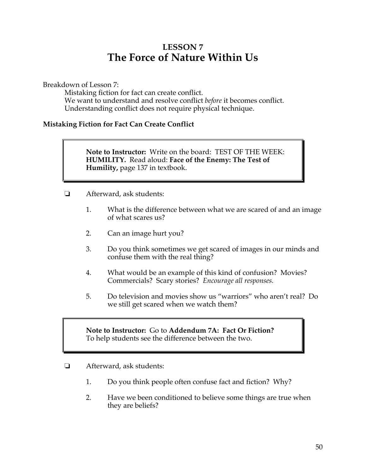# **LESSON 7 The Force of Nature Within Us**

Breakdown of Lesson 7:

Mistaking fiction for fact can create conflict. We want to understand and resolve conflict *before* it becomes conflict. Understanding conflict does not require physical technique.

### **Mistaking Fiction for Fact Can Create Conflict**

**Note to Instructor:** Write on the board: TEST OF THE WEEK: **HUMILITY.** Read aloud: **Face of the Enemy: The Test of Humility,** page 137 in textbook.

- ! Afterward, ask students:
	- 1. What is the difference between what we are scared of and an image of what scares us?
	- 2. Can an image hurt you?
	- 3. Do you think sometimes we get scared of images in our minds and confuse them with the real thing?
	- 4. What would be an example of this kind of confusion? Movies? Commercials? Scary stories? *Encourage all responses.*
	- 5. Do television and movies show us "warriors" who aren't real? Do we still get scared when we watch them?

### **Note to Instructor:** Go to **Addendum 7A: Fact Or Fiction?** To help students see the difference between the two.

- **E** Afterward, ask students:
	- 1. Do you think people often confuse fact and fiction? Why?
	- 2. Have we been conditioned to believe some things are true when they are beliefs?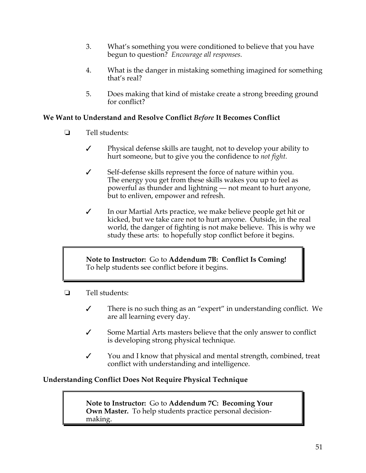- 3. What's something you were conditioned to believe that you have begun to question? *Encourage all responses.*
- 4. What is the danger in mistaking something imagined for something that's real?
- 5. Does making that kind of mistake create a strong breeding ground for conflict?

## **We Want to Understand and Resolve Conflict** *Before* **It Becomes Conflict**

- ! Tell students:
	- $\checkmark$  Physical defense skills are taught, not to develop your ability to hurt someone, but to give you the confidence to *not fight.*
	- $\checkmark$  Self-defense skills represent the force of nature within you. The energy you get from these skills wakes you up to feel as powerful as thunder and lightning — not meant to hurt anyone, but to enliven, empower and refresh.
	- $\checkmark$  In our Martial Arts practice, we make believe people get hit or kicked, but we take care not to hurt anyone. Outside, in the real world, the danger of fighting is not make believe. This is why we study these arts: to hopefully stop conflict before it begins.

**Note to Instructor:** Go to **Addendum 7B: Conflict Is Coming!**  To help students see conflict before it begins.

- $\Box$  Tell students:
	- $\checkmark$  There is no such thing as an "expert" in understanding conflict. We are all learning every day.
	- $\checkmark$  Some Martial Arts masters believe that the only answer to conflict is developing strong physical technique.
	- $\checkmark$  You and I know that physical and mental strength, combined, treat conflict with understanding and intelligence.

## **Understanding Conflict Does Not Require Physical Technique**

**Note to Instructor:** Go to **Addendum 7C: Becoming Your Own Master.** To help students practice personal decisionmaking.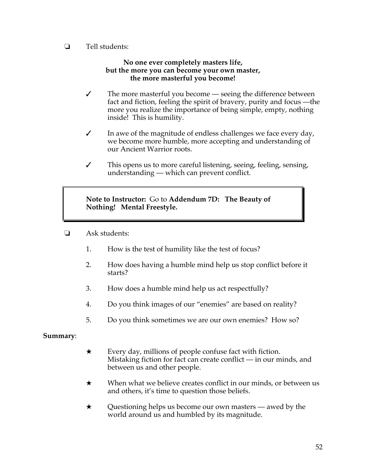$\Box$  Tell students:

### **No one ever completely masters life, but the more you can become your own master, the more masterful you become!**

- $\checkmark$  The more masterful you become seeing the difference between fact and fiction, feeling the spirit of bravery, purity and focus —the more you realize the importance of being simple, empty, nothing inside! This is humility.
- $\checkmark$  In awe of the magnitude of endless challenges we face every day, we become more humble, more accepting and understanding of our Ancient Warrior roots.
- $\checkmark$  This opens us to more careful listening, seeing, feeling, sensing, understanding — which can prevent conflict.

**Note to Instructor:** Go to **Addendum 7D: The Beauty of Nothing! Mental Freestyle.**

- $\Box$  Ask students:
	- 1. How is the test of humility like the test of focus?
	- 2. How does having a humble mind help us stop conflict before it starts?
	- 3. How does a humble mind help us act respectfully?
	- 4. Do you think images of our "enemies" are based on reality?
	- 5. Do you think sometimes we are our own enemies? How so?

### **Summary**:

- $\star$  Every day, millions of people confuse fact with fiction. Mistaking fiction for fact can create conflict — in our minds, and between us and other people.
- $\star$  When what we believe creates conflict in our minds, or between us and others, it's time to question those beliefs.
- $\star$  Questioning helps us become our own masters awed by the world around us and humbled by its magnitude.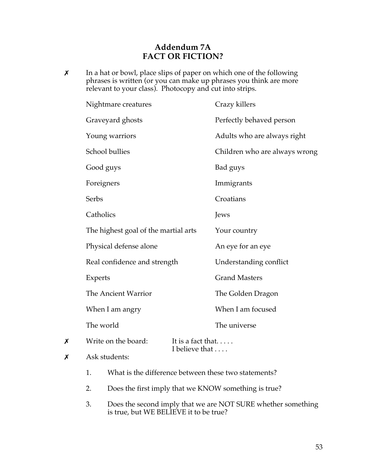## **Addendum 7A FACT OR FICTION?**

**x** In a hat or bowl, place slips of paper on which one of the following phrases is written (or you can make up phrases you think are more relevant to your class). Photocopy and cut into strips.

|   | Nightmare creatures                  |                                     | Crazy killers                 |
|---|--------------------------------------|-------------------------------------|-------------------------------|
|   | Graveyard ghosts                     |                                     | Perfectly behaved person      |
|   | Young warriors                       |                                     | Adults who are always right   |
|   | School bullies                       |                                     | Children who are always wrong |
|   | Good guys                            |                                     | Bad guys                      |
|   | Foreigners                           |                                     | Immigrants                    |
|   | Serbs                                |                                     | Croatians                     |
|   | Catholics                            |                                     | Jews                          |
|   | The highest goal of the martial arts |                                     | Your country                  |
|   | Physical defense alone               |                                     | An eye for an eye             |
|   | Real confidence and strength         |                                     | Understanding conflict        |
|   | Experts                              |                                     | <b>Grand Masters</b>          |
|   | The Ancient Warrior                  |                                     | The Golden Dragon             |
|   | When I am angry                      |                                     | When I am focused             |
|   | The world                            |                                     | The universe                  |
| Х | Write on the board:                  | It is a fact that<br>I believe that |                               |

- $x$  Ask students:
	- 1. What is the difference between these two statements?
	- 2. Does the first imply that we KNOW something is true?
	- 3. Does the second imply that we are NOT SURE whether something is true, but WE BELIEVE it to be true?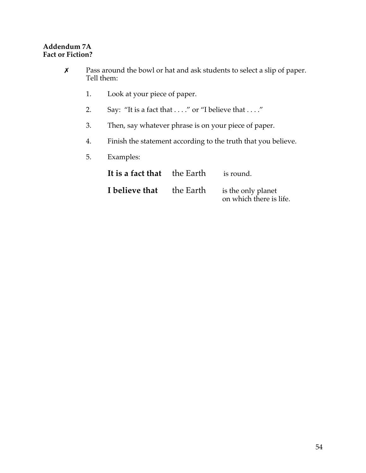## **Addendum 7A Fact or Fiction?**

| Х | Pass around the bowl or hat and ask students to select a slip of paper.<br>Tell them: |                                                                  |           |                                               |  |  |
|---|---------------------------------------------------------------------------------------|------------------------------------------------------------------|-----------|-----------------------------------------------|--|--|
|   | 1.                                                                                    | Look at your piece of paper.                                     |           |                                               |  |  |
|   | 2.                                                                                    | Say: "It is a fact that $\dots$ ." or "I believe that $\dots$ ." |           |                                               |  |  |
|   | 3.                                                                                    | Then, say whatever phrase is on your piece of paper.             |           |                                               |  |  |
|   | 4.                                                                                    | Finish the statement according to the truth that you believe.    |           |                                               |  |  |
|   | 5.                                                                                    | Examples:                                                        |           |                                               |  |  |
|   |                                                                                       | It is a fact that                                                | the Earth | is round.                                     |  |  |
|   |                                                                                       | I believe that                                                   | the Earth | is the only planet<br>on which there is life. |  |  |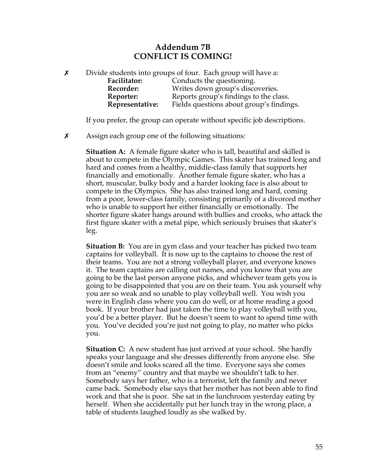## **Addendum 7B CONFLICT IS COMING!**

 $x$  Divide students into groups of four. Each group will have a:

**Facilitator:** Conducts the questioning. **Recorder:** Writes down group's discoveries. **Reporter:** Reports group's findings to the class. **Representative:** Fields questions about group's findings.

If you prefer, the group can operate without specific job descriptions.

 $\boldsymbol{\chi}$  Assign each group one of the following situations:

**Situation A:** A female figure skater who is tall, beautiful and skilled is about to compete in the Olympic Games. This skater has trained long and hard and comes from a healthy, middle-class family that supports her financially and emotionally. Another female figure skater, who has a short, muscular, bulky body and a harder looking face is also about to compete in the Olympics. She has also trained long and hard, coming from a poor, lower-class family, consisting primarily of a divorced mother who is unable to support her either financially or emotionally. The shorter figure skater hangs around with bullies and crooks, who attack the first figure skater with a metal pipe, which seriously bruises that skater's leg.

**Situation B:** You are in gym class and your teacher has picked two team captains for volleyball. It is now up to the captains to choose the rest of their teams. You are not a strong volleyball player, and everyone knows it. The team captains are calling out names, and you know that you are going to be the last person anyone picks, and whichever team gets you is going to be disappointed that you are on their team. You ask yourself why you are so weak and so unable to play volleyball well. You wish you were in English class where you can do well, or at home reading a good book. If your brother had just taken the time to play volleyball with you, you'd be a better player. But he doesn't seem to want to spend time with you. You've decided you're just not going to play, no matter who picks you.

**Situation C:** A new student has just arrived at your school. She hardly speaks your language and she dresses differently from anyone else. She doesn't smile and looks scared all the time. Everyone says she comes from an "enemy" country and that maybe we shouldn't talk to her. Somebody says her father, who is a terrorist, left the family and never came back. Somebody else says that her mother has not been able to find work and that she is poor. She sat in the lunchroom yesterday eating by herself. When she accidentally put her lunch tray in the wrong place, a table of students laughed loudly as she walked by.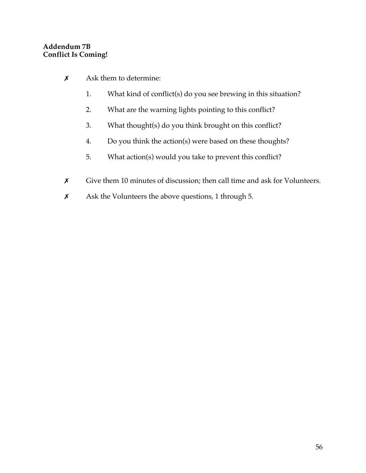## **Addendum 7B Conflict Is Coming!**

- $x$  Ask them to determine:
	- 1. What kind of conflict(s) do you see brewing in this situation?
	- 2. What are the warning lights pointing to this conflict?
	- 3. What thought(s) do you think brought on this conflict?
	- 4. Do you think the action(s) were based on these thoughts?
	- 5. What action(s) would you take to prevent this conflict?
- X Give them 10 minutes of discussion; then call time and ask for Volunteers.
- $x$  Ask the Volunteers the above questions, 1 through 5.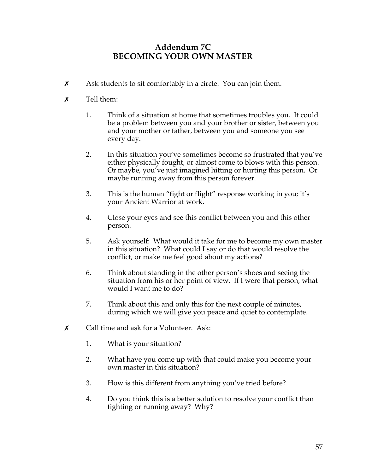# **Addendum 7C BECOMING YOUR OWN MASTER**

 $x$  Ask students to sit comfortably in a circle. You can join them.

## $x$  Tell them:

- 1. Think of a situation at home that sometimes troubles you. It could be a problem between you and your brother or sister, between you and your mother or father, between you and someone you see every day.
- 2. In this situation you've sometimes become so frustrated that you've either physically fought, or almost come to blows with this person. Or maybe, you've just imagined hitting or hurting this person. Or maybe running away from this person forever.
- 3. This is the human "fight or flight" response working in you; it's your Ancient Warrior at work.
- 4. Close your eyes and see this conflict between you and this other person.
- 5. Ask yourself: What would it take for me to become my own master in this situation? What could I say or do that would resolve the conflict, or make me feel good about my actions?
- 6. Think about standing in the other person's shoes and seeing the situation from his or her point of view. If I were that person, what would I want me to do?
- 7. Think about this and only this for the next couple of minutes, during which we will give you peace and quiet to contemplate.
- $\boldsymbol{\mathsf{X}}$  Call time and ask for a Volunteer. Ask:
	- 1. What is your situation?
	- 2. What have you come up with that could make you become your own master in this situation?
	- 3. How is this different from anything you've tried before?
	- 4. Do you think this is a better solution to resolve your conflict than fighting or running away? Why?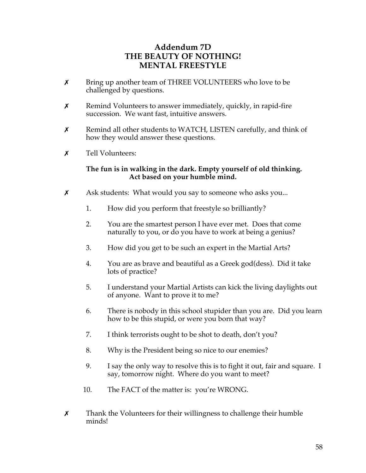# **Addendum 7D THE BEAUTY OF NOTHING! MENTAL FREESTYLE**

- $\chi$  Bring up another team of THREE VOLUNTEERS who love to be challenged by questions.
- $x$  Remind Volunteers to answer immediately, quickly, in rapid-fire succession. We want fast, intuitive answers.
- $x$  Remind all other students to WATCH, LISTEN carefully, and think of how they would answer these questions.
- $\boldsymbol{x}$  Tell Volunteers:

### **The fun is in walking in the dark. Empty yourself of old thinking. Act based on your humble mind.**

- $x$  Ask students: What would you say to someone who asks you...
	- 1. How did you perform that freestyle so brilliantly?
	- 2. You are the smartest person I have ever met. Does that come naturally to you, or do you have to work at being a genius?
	- 3. How did you get to be such an expert in the Martial Arts?
	- 4. You are as brave and beautiful as a Greek god(dess). Did it take lots of practice?
	- 5. I understand your Martial Artists can kick the living daylights out of anyone. Want to prove it to me?
	- 6. There is nobody in this school stupider than you are. Did you learn how to be this stupid, or were you born that way?
	- 7. I think terrorists ought to be shot to death, don't you?
	- 8. Why is the President being so nice to our enemies?
	- 9. I say the only way to resolve this is to fight it out, fair and square. I say, tomorrow night. Where do you want to meet?
	- 10. The FACT of the matter is: you're WRONG.
- $x$  Thank the Volunteers for their willingness to challenge their humble minds!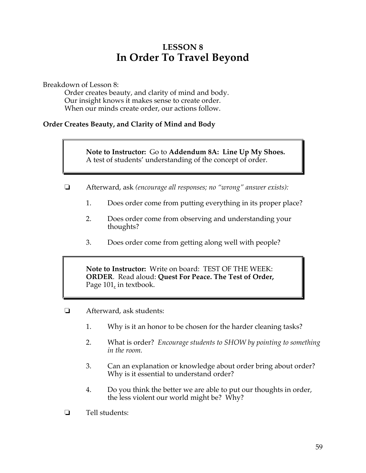# **LESSON 8 In Order To Travel Beyond**

Breakdown of Lesson 8:

Order creates beauty, and clarity of mind and body. Our insight knows it makes sense to create order. When our minds create order, our actions follow.

### **Order Creates Beauty, and Clarity of Mind and Body**

**Note to Instructor:** Go to **Addendum 8A: Line Up My Shoes.**  A test of students' understanding of the concept of order.

- ! Afterward, ask *(encourage all responses; no "wrong" answer exists):*
	- 1. Does order come from putting everything in its proper place?
	- 2. Does order come from observing and understanding your thoughts?
	- 3. Does order come from getting along well with people?

**Note to Instructor:** Write on board: TEST OF THE WEEK: **ORDER**. Read aloud: **Quest For Peace. The Test of Order,**  Page 101, in textbook.

- $\Box$  Afterward, ask students:
	- 1. Why is it an honor to be chosen for the harder cleaning tasks?
	- 2. What is order? *Encourage students to SHOW by pointing to something in the room.*
	- 3. Can an explanation or knowledge about order bring about order? Why is it essential to understand order?
	- 4. Do you think the better we are able to put our thoughts in order, the less violent our world might be? Why?
- $\Box$  Tell students: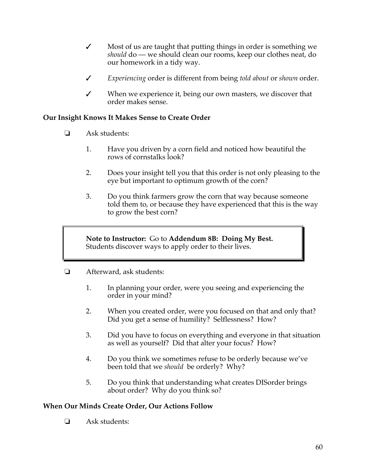- $\checkmark$  Most of us are taught that putting things in order is something we *should* do — we should clean our rooms, keep our clothes neat, do our homework in a tidy way.
- " *Experiencing* order is different from being *told about* or *shown* order.
- $\checkmark$  When we experience it, being our own masters, we discover that order makes sense.

## **Our Insight Knows It Makes Sense to Create Order**

- $\Box$  Ask students:
	- 1. Have you driven by a corn field and noticed how beautiful the rows of cornstalks look?
	- 2. Does your insight tell you that this order is not only pleasing to the eye but important to optimum growth of the corn?
	- 3. Do you think farmers grow the corn that way because someone told them to, or because they have experienced that this is the way to grow the best corn?

**Note to Instructor:** Go to **Addendum 8B: Doing My Best.**  Students discover ways to apply order to their lives.

- $\Box$  Afterward, ask students:
	- 1. In planning your order, were you seeing and experiencing the order in your mind?
	- 2. When you created order, were you focused on that and only that? Did you get a sense of humility? Selflessness? How?
	- 3. Did you have to focus on everything and everyone in that situation as well as yourself? Did that alter your focus? How?
	- 4. Do you think we sometimes refuse to be orderly because we've been told that we *should* be orderly? Why?
	- 5. Do you think that understanding what creates DISorder brings about order? Why do you think so?

### **When Our Minds Create Order, Our Actions Follow**

 $\Box$  Ask students: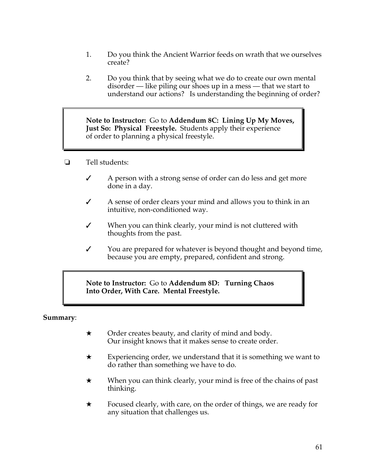- 1. Do you think the Ancient Warrior feeds on wrath that we ourselves create?
- 2. Do you think that by seeing what we do to create our own mental disorder — like piling our shoes up in a mess — that we start to understand our actions? Is understanding the beginning of order?

**Note to Instructor:** Go to **Addendum 8C: Lining Up My Moves, Just So: Physical Freestyle.** Students apply their experience of order to planning a physical freestyle.

- ! Tell students:
	- $\angle$  A person with a strong sense of order can do less and get more done in a day.
	- $\checkmark$  A sense of order clears your mind and allows you to think in an intuitive, non-conditioned way.
	- $\checkmark$  When you can think clearly, your mind is not cluttered with thoughts from the past.
	- $\checkmark$  You are prepared for whatever is beyond thought and beyond time, because you are empty, prepared, confident and strong.

**Note to Instructor:** Go to **Addendum 8D: Turning Chaos Into Order, With Care. Mental Freestyle.**

### **Summary**:

- $\star$  Order creates beauty, and clarity of mind and body. Our insight knows that it makes sense to create order.
- $\star$  Experiencing order, we understand that it is something we want to do rather than something we have to do.
- $\star$  When you can think clearly, your mind is free of the chains of past thinking.
- $\star$  Focused clearly, with care, on the order of things, we are ready for any situation that challenges us.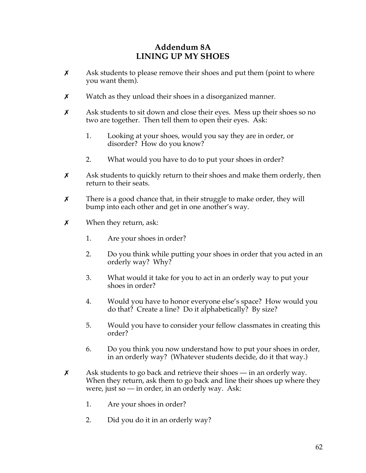# **Addendum 8A LINING UP MY SHOES**

- $\boldsymbol{\chi}$  Ask students to please remove their shoes and put them (point to where you want them).
- $x$  Watch as they unload their shoes in a disorganized manner.
- $\boldsymbol{\chi}$  Ask students to sit down and close their eyes. Mess up their shoes so no two are together. Then tell them to open their eyes. Ask:
	- 1. Looking at your shoes, would you say they are in order, or disorder? How do you know?
	- 2. What would you have to do to put your shoes in order?
- $\chi$  Ask students to quickly return to their shoes and make them orderly, then return to their seats.
- $x$  There is a good chance that, in their struggle to make order, they will bump into each other and get in one another's way.
- $x$  When they return, ask:
	- 1. Are your shoes in order?
	- 2. Do you think while putting your shoes in order that you acted in an orderly way? Why?
	- 3. What would it take for you to act in an orderly way to put your shoes in order?
	- 4. Would you have to honor everyone else's space? How would you do that? Create a line? Do it alphabetically? By size?
	- 5. Would you have to consider your fellow classmates in creating this order?
	- 6. Do you think you now understand how to put your shoes in order, in an orderly way? (Whatever students decide, do it that way.)
- $x$  Ask students to go back and retrieve their shoes in an orderly way. When they return, ask them to go back and line their shoes up where they were, just so  $-$  in order, in an orderly way. Ask:
	- 1. Are your shoes in order?
	- 2. Did you do it in an orderly way?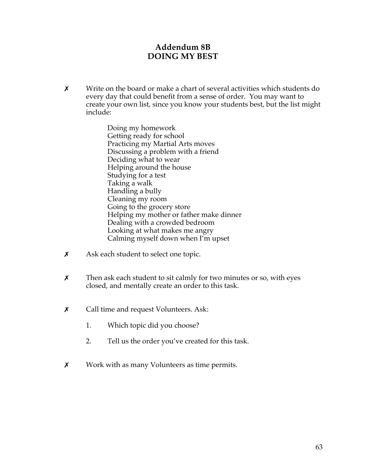# **Addendum 8B DOING MY BEST**

X Write on the board or make a chart of several activities which students do every day that could benefit from a sense of order. You may want to create your own list, since you know your students best, but the list might include:

> Doing my homework Getting ready for school Practicing my Martial Arts moves Discussing a problem with a friend Deciding what to wear Helping around the house Studying for a test Taking a walk Handling a bully Cleaning my room Going to the grocery store Helping my mother or father make dinner Dealing with a crowded bedroom Looking at what makes me angry Calming myself down when I'm upset

- $x$  Ask each student to select one topic.
- $x$  Then ask each student to sit calmly for two minutes or so, with eyes closed, and mentally create an order to this task.
- **x** Call time and request Volunteers. Ask:
	- 1. Which topic did you choose?
	- 2. Tell us the order you've created for this task.
- **x** Work with as many Volunteers as time permits.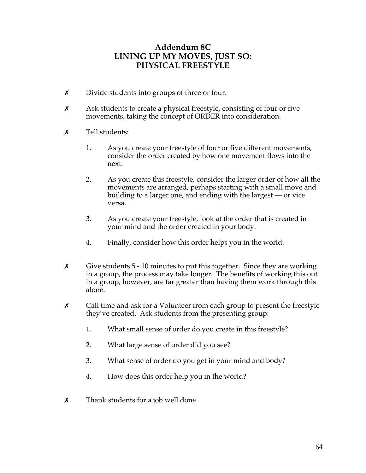# **Addendum 8C LINING UP MY MOVES, JUST SO: PHYSICAL FREESTYLE**

- $x$  Divide students into groups of three or four.
- $x$  Ask students to create a physical freestyle, consisting of four or five movements, taking the concept of ORDER into consideration.
- $\boldsymbol{x}$  Tell students:
	- 1. As you create your freestyle of four or five different movements, consider the order created by how one movement flows into the next.
	- 2. As you create this freestyle, consider the larger order of how all the movements are arranged, perhaps starting with a small move and building to a larger one, and ending with the largest — or vice versa.
	- 3. As you create your freestyle, look at the order that is created in your mind and the order created in your body.
	- 4. Finally, consider how this order helps you in the world.
- $\boldsymbol{\chi}$  Give students 5 10 minutes to put this together. Since they are working in a group, the process may take longer. The benefits of working this out in a group, however, are far greater than having them work through this alone.
- $\chi$  Call time and ask for a Volunteer from each group to present the freestyle they've created. Ask students from the presenting group:
	- 1. What small sense of order do you create in this freestyle?
	- 2. What large sense of order did you see?
	- 3. What sense of order do you get in your mind and body?
	- 4. How does this order help you in the world?
- $\boldsymbol{\chi}$  Thank students for a job well done.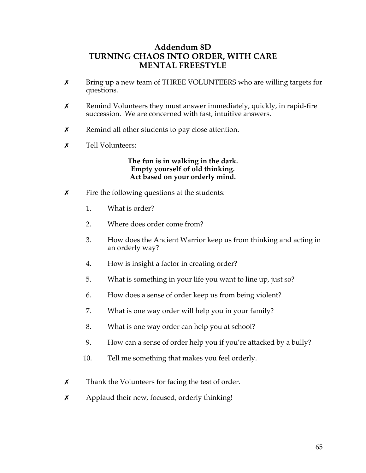# **Addendum 8D TURNING CHAOS INTO ORDER, WITH CARE MENTAL FREESTYLE**

- **x** Bring up a new team of THREE VOLUNTEERS who are willing targets for questions.
- $x$  Remind Volunteers they must answer immediately, quickly, in rapid-fire succession. We are concerned with fast, intuitive answers.
- $x$  Remind all other students to pay close attention.
- \$ Tell Volunteers:

**The fun is in walking in the dark. Empty yourself of old thinking. Act based on your orderly mind.** 

- $\boldsymbol{\chi}$  Fire the following questions at the students:
	- 1. What is order?
	- 2. Where does order come from?
	- 3. How does the Ancient Warrior keep us from thinking and acting in an orderly way?
	- 4. How is insight a factor in creating order?
	- 5. What is something in your life you want to line up, just so?
	- 6. How does a sense of order keep us from being violent?
	- 7. What is one way order will help you in your family?
	- 8. What is one way order can help you at school?
	- 9. How can a sense of order help you if you're attacked by a bully?
	- 10. Tell me something that makes you feel orderly.
- $x$  Thank the Volunteers for facing the test of order.
- $x$  Applaud their new, focused, orderly thinking!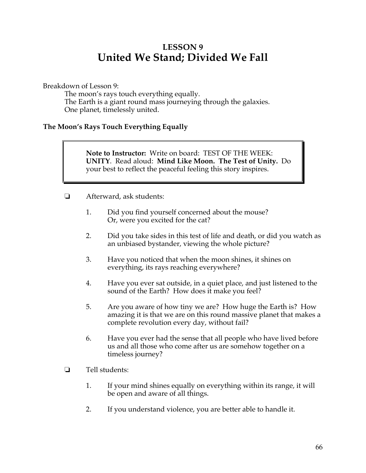# **LESSON 9 United We Stand; Divided We Fall**

Breakdown of Lesson 9:

The moon's rays touch everything equally. The Earth is a giant round mass journeying through the galaxies. One planet, timelessly united.

## **The Moon's Rays Touch Everything Equally**

**Note to Instructor:** Write on board: TEST OF THE WEEK: **UNITY**. Read aloud: **Mind Like Moon. The Test of Unity.** Do your best to reflect the peaceful feeling this story inspires.

- $\Box$  Afterward, ask students:
	- 1. Did you find yourself concerned about the mouse? Or, were you excited for the cat?
	- 2. Did you take sides in this test of life and death, or did you watch as an unbiased bystander, viewing the whole picture?
	- 3. Have you noticed that when the moon shines, it shines on everything, its rays reaching everywhere?
	- 4. Have you ever sat outside, in a quiet place, and just listened to the sound of the Earth? How does it make you feel?
	- 5. Are you aware of how tiny we are? How huge the Earth is? How amazing it is that we are on this round massive planet that makes a complete revolution every day, without fail?
	- 6. Have you ever had the sense that all people who have lived before us and all those who come after us are somehow together on a timeless journey?
- $\Box$  Tell students:
	- 1. If your mind shines equally on everything within its range, it will be open and aware of all things.
	- 2. If you understand violence, you are better able to handle it.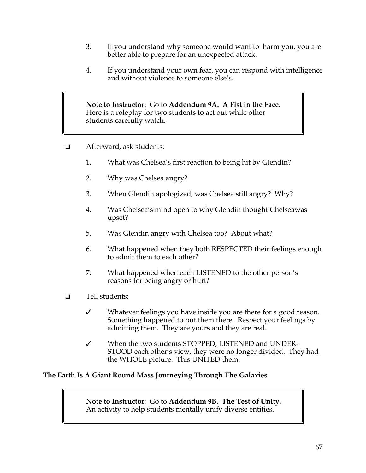- 3. If you understand why someone would want to harm you, you are better able to prepare for an unexpected attack.
- 4. If you understand your own fear, you can respond with intelligence and without violence to someone else's.

**Note to Instructor:** Go to **Addendum 9A. A Fist in the Face.**  Here is a roleplay for two students to act out while other students carefully watch.

- **E** Afterward, ask students:
	- 1. What was Chelsea's first reaction to being hit by Glendin?
	- 2. Why was Chelsea angry?
	- 3. When Glendin apologized, was Chelsea still angry? Why?
	- 4. Was Chelsea's mind open to why Glendin thought Chelseawas upset?
	- 5. Was Glendin angry with Chelsea too? About what?
	- 6. What happened when they both RESPECTED their feelings enough to admit them to each other?
	- 7. What happened when each LISTENED to the other person's reasons for being angry or hurt?
- $\Box$  Tell students:
	- $\checkmark$  Whatever feelings you have inside you are there for a good reason. Something happened to put them there. Respect your feelings by admitting them. They are yours and they are real.
	- " When the two students STOPPED, LISTENED and UNDER-STOOD each other's view, they were no longer divided. They had the WHOLE picture. This UNITED them.

## **The Earth Is A Giant Round Mass Journeying Through The Galaxies**

**Note to Instructor:** Go to **Addendum 9B. The Test of Unity.**  An activity to help students mentally unify diverse entities.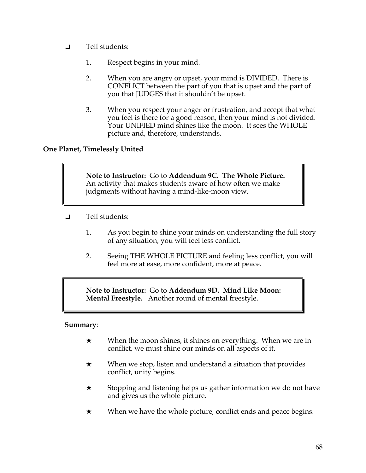- $\Box$  Tell students:
	- 1. Respect begins in your mind.
	- 2. When you are angry or upset, your mind is DIVIDED. There is CONFLICT between the part of you that is upset and the part of you that JUDGES that it shouldn't be upset.
	- 3. When you respect your anger or frustration, and accept that what you feel is there for a good reason, then your mind is not divided. Your UNIFIED mind shines like the moon. It sees the WHOLE picture and, therefore, understands.

# **One Planet, Timelessly United**

**Note to Instructor:** Go to **Addendum 9C. The Whole Picture.**  An activity that makes students aware of how often we make judgments without having a mind-like-moon view.

- $\Box$  Tell students:
	- 1. As you begin to shine your minds on understanding the full story of any situation, you will feel less conflict.
	- 2. Seeing THE WHOLE PICTURE and feeling less conflict, you will feel more at ease, more confident, more at peace.

**Note to Instructor:** Go to **Addendum 9D. Mind Like Moon: Mental Freestyle.** Another round of mental freestyle.

### **Summary**:

- $\star$  When the moon shines, it shines on everything. When we are in conflict, we must shine our minds on all aspects of it.
- $\star$  When we stop, listen and understand a situation that provides conflict, unity begins.
- $\star$  Stopping and listening helps us gather information we do not have and gives us the whole picture.
- $\star$  When we have the whole picture, conflict ends and peace begins.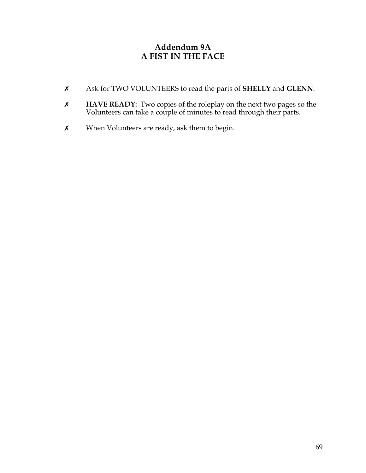# **Addendum 9A A FIST IN THE FACE**

- \$ Ask for TWO VOLUNTEERS to read the parts of **SHELLY** and **GLENN**.
- \$ **HAVE READY:** Two copies of the roleplay on the next two pages so the Volunteers can take a couple of minutes to read through their parts.
- $x$  When Volunteers are ready, ask them to begin.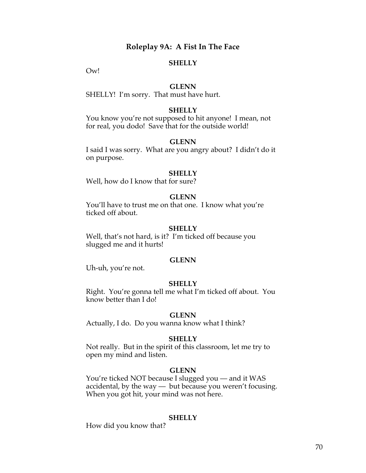## **Roleplay 9A: A Fist In The Face**

#### **SHELLY**

Ow!

#### **GLENN**

SHELLY! I'm sorry. That must have hurt.

#### **SHELLY**

You know you're not supposed to hit anyone! I mean, not for real, you dodo! Save that for the outside world!

#### **GLENN**

I said I was sorry. What are you angry about? I didn't do it on purpose.

#### **SHELLY**

Well, how do I know that for sure?

#### **GLENN**

You'll have to trust me on that one. I know what you're ticked off about.

#### **SHELLY**

Well, that's not hard, is it? I'm ticked off because you slugged me and it hurts!

#### **GLENN**

Uh-uh, you're not.

#### **SHELLY**

Right. You're gonna tell me what I'm ticked off about. You know better than I do!

#### **GLENN**

Actually, I do. Do you wanna know what I think?

#### **SHELLY**

Not really. But in the spirit of this classroom, let me try to open my mind and listen.

#### **GLENN**

You're ticked NOT because I slugged you — and it WAS accidental, by the way — but because you weren't focusing. When you got hit, your mind was not here.

#### **SHELLY**

How did you know that?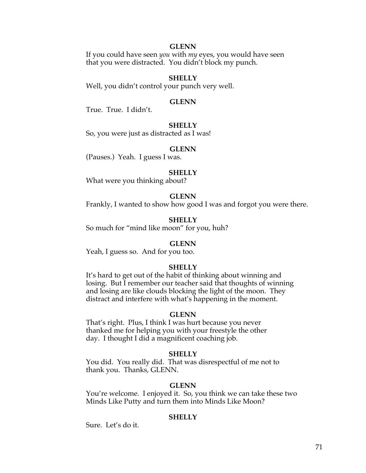#### **GLENN**

If you could have seen *you* with *my* eyes, you would have seen that you were distracted. You didn't block my punch.

#### **SHELLY**

Well, you didn't control your punch very well.

#### **GLENN**

True. True. I didn't.

#### **SHELLY**

So, you were just as distracted as I was!

#### **GLENN**

(Pauses.) Yeah. I guess I was.

#### **SHELLY**

What were you thinking about?

#### **GLENN**

Frankly, I wanted to show how good I was and forgot you were there.

**SHELLY**

So much for "mind like moon" for you, huh?

#### **GLENN**

Yeah, I guess so. And for you too.

#### **SHELLY**

It's hard to get out of the habit of thinking about winning and losing. But I remember our teacher said that thoughts of winning and losing are like clouds blocking the light of the moon. They distract and interfere with what's happening in the moment.

#### **GLENN**

That's right. Plus, I think I was hurt because you never thanked me for helping you with your freestyle the other day. I thought I did a magnificent coaching job.

#### **SHELLY**

You did. You really did. That was disrespectful of me not to thank you. Thanks, GLENN.

#### **GLENN**

You're welcome. I enjoyed it. So, you think we can take these two Minds Like Putty and turn them into Minds Like Moon?

#### **SHELLY**

Sure. Let's do it.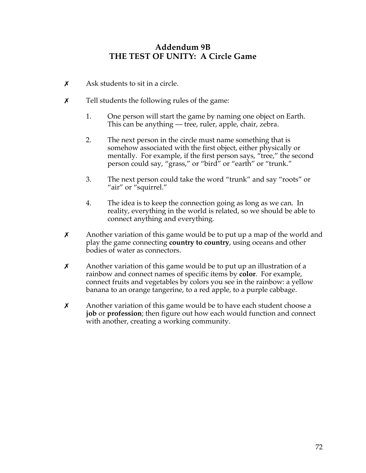# **Addendum 9B THE TEST OF UNITY: A Circle Game**

- $\boldsymbol{\chi}$  Ask students to sit in a circle.
- $\chi$  Tell students the following rules of the game:
	- 1. One person will start the game by naming one object on Earth. This can be anything — tree, ruler, apple, chair, zebra.
	- 2. The next person in the circle must name something that is somehow associated with the first object, either physically or mentally. For example, if the first person says, "tree," the second person could say, "grass," or "bird" or "earth" or "trunk."
	- 3. The next person could take the word "trunk" and say "roots" or "air" or "squirrel."
	- 4. The idea is to keep the connection going as long as we can. In reality, everything in the world is related, so we should be able to connect anything and everything.
- $x$  Another variation of this game would be to put up a map of the world and play the game connecting **country to country**, using oceans and other bodies of water as connectors.
- $x$  Another variation of this game would be to put up an illustration of a rainbow and connect names of specific items by **color**. For example, connect fruits and vegetables by colors you see in the rainbow: a yellow banana to an orange tangerine, to a red apple, to a purple cabbage.
- $x$  Another variation of this game would be to have each student choose a **job** or **profession**; then figure out how each would function and connect with another, creating a working community.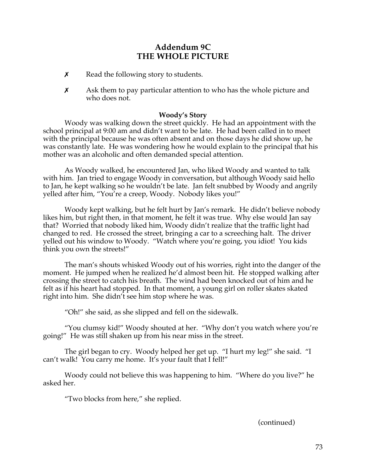# **Addendum 9C THE WHOLE PICTURE**

- $x$  Read the following story to students.
- $\chi$  Ask them to pay particular attention to who has the whole picture and who does not.

## **Woody's Story**

Woody was walking down the street quickly. He had an appointment with the school principal at 9:00 am and didn't want to be late. He had been called in to meet with the principal because he was often absent and on those days he did show up, he was constantly late. He was wondering how he would explain to the principal that his mother was an alcoholic and often demanded special attention.

As Woody walked, he encountered Jan, who liked Woody and wanted to talk with him. Jan tried to engage Woody in conversation, but although Woody said hello to Jan, he kept walking so he wouldn't be late. Jan felt snubbed by Woody and angrily yelled after him, "You're a creep, Woody. Nobody likes you!"

Woody kept walking, but he felt hurt by Jan's remark. He didn't believe nobody likes him, but right then, in that moment, he felt it was true. Why else would Jan say that? Worried that nobody liked him, Woody didn't realize that the traffic light had changed to red. He crossed the street, bringing a car to a screeching halt. The driver yelled out his window to Woody. "Watch where you're going, you idiot! You kids think you own the streets!"

The man's shouts whisked Woody out of his worries, right into the danger of the moment. He jumped when he realized he'd almost been hit. He stopped walking after crossing the street to catch his breath. The wind had been knocked out of him and he felt as if his heart had stopped. In that moment, a young girl on roller skates skated right into him. She didn't see him stop where he was.

"Oh!" she said, as she slipped and fell on the sidewalk.

"You clumsy kid!" Woody shouted at her. "Why don't you watch where you're going!" He was still shaken up from his near miss in the street.

The girl began to cry. Woody helped her get up. "I hurt my leg!" she said. "I can't walk! You carry me home. It's your fault that I fell!"

Woody could not believe this was happening to him. "Where do you live?" he asked her.

"Two blocks from here," she replied.

(continued)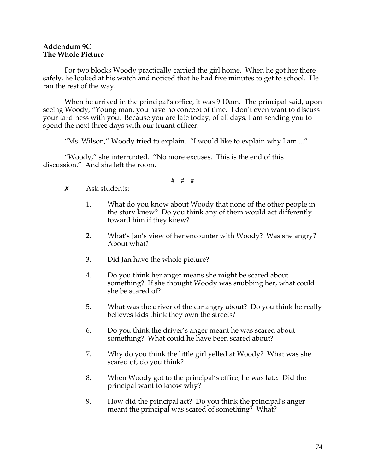### **Addendum 9C The Whole Picture**

For two blocks Woody practically carried the girl home. When he got her there safely, he looked at his watch and noticed that he had five minutes to get to school. He ran the rest of the way.

When he arrived in the principal's office, it was 9:10am. The principal said, upon seeing Woody, "Young man, you have no concept of time. I don't even want to discuss your tardiness with you. Because you are late today, of all days, I am sending you to spend the next three days with our truant officer.

"Ms. Wilson," Woody tried to explain. "I would like to explain why I am...."

"Woody," she interrupted. "No more excuses. This is the end of this discussion." And she left the room.

# # #

- $\boldsymbol{\mathsf{x}}$  Ask students:
	- 1. What do you know about Woody that none of the other people in the story knew? Do you think any of them would act differently toward him if they knew?
	- 2. What's Jan's view of her encounter with Woody? Was she angry? About what?
	- 3. Did Jan have the whole picture?
	- 4. Do you think her anger means she might be scared about something? If she thought Woody was snubbing her, what could she be scared of?
	- 5. What was the driver of the car angry about? Do you think he really believes kids think they own the streets?
	- 6. Do you think the driver's anger meant he was scared about something? What could he have been scared about?
	- 7. Why do you think the little girl yelled at Woody? What was she scared of, do you think?
	- 8. When Woody got to the principal's office, he was late. Did the principal want to know why?
	- 9. How did the principal act? Do you think the principal's anger meant the principal was scared of something? What?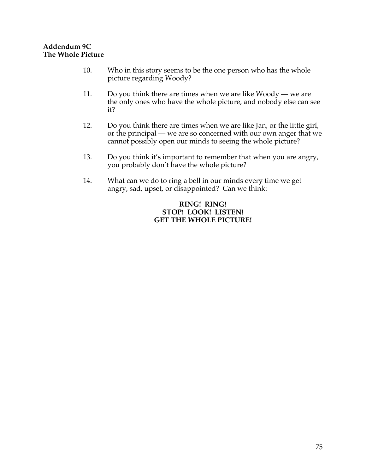### **Addendum 9C The Whole Picture**

- 10. Who in this story seems to be the one person who has the whole picture regarding Woody?
- 11. Do you think there are times when we are like Woody we are the only ones who have the whole picture, and nobody else can see it?
- 12. Do you think there are times when we are like Jan, or the little girl, or the principal — we are so concerned with our own anger that we cannot possibly open our minds to seeing the whole picture?
- 13. Do you think it's important to remember that when you are angry, you probably don't have the whole picture?
- 14. What can we do to ring a bell in our minds every time we get angry, sad, upset, or disappointed? Can we think:

## **RING! RING! STOP! LOOK! LISTEN! GET THE WHOLE PICTURE!**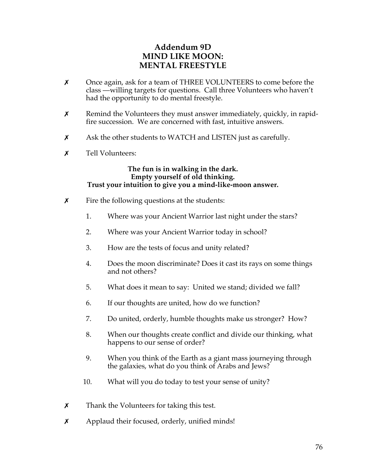# **Addendum 9D MIND LIKE MOON: MENTAL FREESTYLE**

- $\times$  Once again, ask for a team of THREE VOLUNTEERS to come before the class —willing targets for questions. Call three Volunteers who haven't had the opportunity to do mental freestyle.
- $x$  Remind the Volunteers they must answer immediately, quickly, in rapidfire succession. We are concerned with fast, intuitive answers.
- $\chi$  Ask the other students to WATCH and LISTEN just as carefully.
- $\boldsymbol{x}$  Tell Volunteers:

**The fun is in walking in the dark. Empty yourself of old thinking. Trust your intuition to give you a mind-like-moon answer.** 

- $\boldsymbol{\chi}$  Fire the following questions at the students:
	- 1. Where was your Ancient Warrior last night under the stars?
	- 2. Where was your Ancient Warrior today in school?
	- 3. How are the tests of focus and unity related?
	- 4. Does the moon discriminate? Does it cast its rays on some things and not others?
	- 5. What does it mean to say: United we stand; divided we fall?
	- 6. If our thoughts are united, how do we function?
	- 7. Do united, orderly, humble thoughts make us stronger? How?
	- 8. When our thoughts create conflict and divide our thinking, what happens to our sense of order?
	- 9. When you think of the Earth as a giant mass journeying through the galaxies, what do you think of Arabs and Jews?
	- 10. What will you do today to test your sense of unity?
- $\boldsymbol{\chi}$  Thank the Volunteers for taking this test.
- $\boldsymbol{\chi}$  Applaud their focused, orderly, unified minds!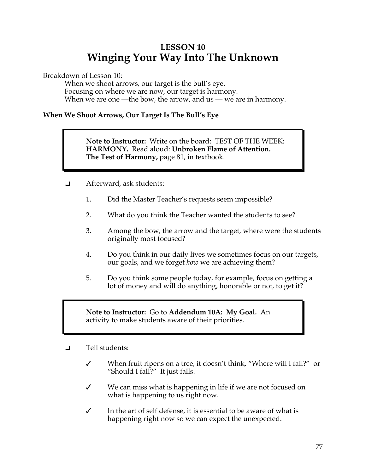# **LESSON 10 Winging Your Way Into The Unknown**

Breakdown of Lesson 10:

When we shoot arrows, our target is the bull's eye. Focusing on where we are now, our target is harmony. When we are one —the bow, the arrow, and us — we are in harmony.

# **When We Shoot Arrows, Our Target Is The Bull's Eye**

**Note to Instructor:** Write on the board: TEST OF THE WEEK: **HARMONY.** Read aloud: **Unbroken Flame of Attention. The Test of Harmony,** page 81, in textbook.

- ! Afterward, ask students:
	- 1. Did the Master Teacher's requests seem impossible?
	- 2. What do you think the Teacher wanted the students to see?
	- 3. Among the bow, the arrow and the target, where were the students originally most focused?
	- 4. Do you think in our daily lives we sometimes focus on our targets, our goals, and we forget *how* we are achieving them?
	- 5. Do you think some people today, for example, focus on getting a lot of money and will do anything, honorable or not, to get it?

**Note to Instructor:** Go to **Addendum 10A: My Goal.** An activity to make students aware of their priorities.

- $\Box$  Tell students:
	- $\checkmark$  When fruit ripens on a tree, it doesn't think, "Where will I fall?" or "Should I fall?" It just falls.
	- $\checkmark$  We can miss what is happening in life if we are not focused on what is happening to us right now.
	- $\checkmark$  In the art of self defense, it is essential to be aware of what is happening right now so we can expect the unexpected.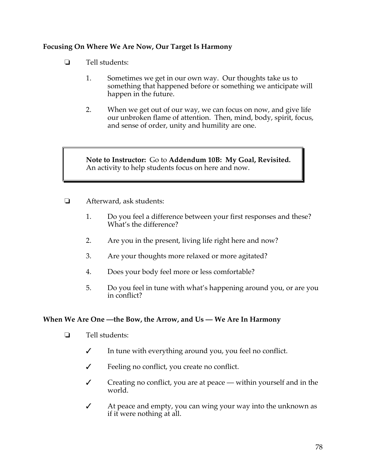# **Focusing On Where We Are Now, Our Target Is Harmony**

- $\Box$  Tell students:
	- 1. Sometimes we get in our own way. Our thoughts take us to something that happened before or something we anticipate will happen in the future.
	- 2. When we get out of our way, we can focus on now, and give life our unbroken flame of attention. Then, mind, body, spirit, focus, and sense of order, unity and humility are one.

**Note to Instructor:** Go to **Addendum 10B: My Goal, Revisited.**  An activity to help students focus on here and now.

- $\Box$  Afterward, ask students:
	- 1. Do you feel a difference between your first responses and these? What's the difference?
	- 2. Are you in the present, living life right here and now?
	- 3. Are your thoughts more relaxed or more agitated?
	- 4. Does your body feel more or less comfortable?
	- 5. Do you feel in tune with what's happening around you, or are you in conflict?

### **When We Are One —the Bow, the Arrow, and Us — We Are In Harmony**

- $\Box$  Tell students:
	- $\checkmark$  In tune with everything around you, you feel no conflict.
	- $\checkmark$  Feeling no conflict, you create no conflict.
	- $\checkmark$  Creating no conflict, you are at peace within yourself and in the world.
	- $\checkmark$  At peace and empty, you can wing your way into the unknown as if it were nothing at all.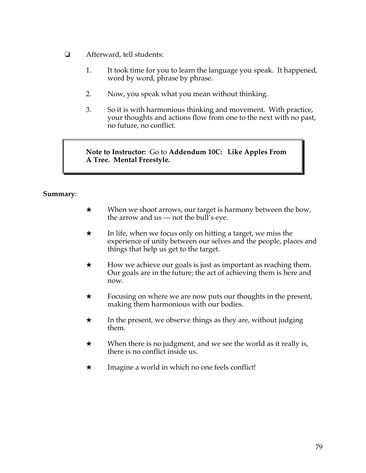- **E** Afterward, tell students:
	- 1. It took time for you to learn the language you speak. It happened, word by word, phrase by phrase.
	- 2. Now, you speak what you mean without thinking.
	- 3. So it is with harmonious thinking and movement. With practice, your thoughts and actions flow from one to the next with no past, no future, no conflict.

**Note to Instructor:** Go to **Addendum 10C: Like Apples From A Tree. Mental Freestyle.**

## **Summary**:

- $\star$  When we shoot arrows, our target is harmony between the bow, the arrow and  $us$  — not the bull's eye.
- $\star$  In life, when we focus only on hitting a target, we miss the experience of unity between our selves and the people, places and things that help us get to the target.
- $\star$  How we achieve our goals is just as important as reaching them. Our goals are in the future; the act of achieving them is here and now.
- $\star$  Focusing on where we are now puts our thoughts in the present, making them harmonious with our bodies.
- $\star$  In the present, we observe things as they are, without judging them.
- $\star$  When there is no judgment, and we see the world as it really is, there is no conflict inside us.
- $\star$  Imagine a world in which no one feels conflict!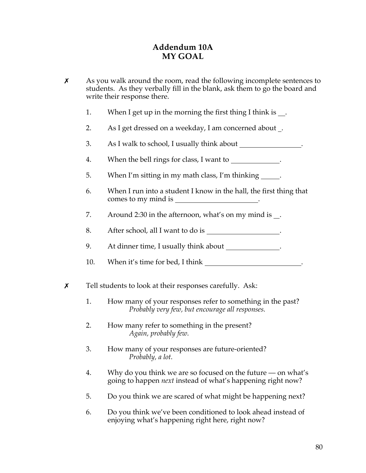# **Addendum 10A MY GOAL**

- $\boldsymbol{\chi}$  As you walk around the room, read the following incomplete sentences to students. As they verbally fill in the blank, ask them to go the board and write their response there.
	- 1. When I get up in the morning the first thing I think is .
	- 2. As I get dressed on a weekday, I am concerned about .
	- 3. As I walk to school, I usually think about .
	- 4. When the bell rings for class, I want to \_\_\_\_\_\_\_\_\_\_\_\_\_.
	- 5. When I'm sitting in my math class, I'm thinking .
	- 6. When I run into a student I know in the hall, the first thing that comes to my mind is .
	- 7. Around 2:30 in the afternoon, what's on my mind is .
	- 8. After school, all I want to do is \_
	- 9. At dinner time, I usually think about .
	- 10. When it's time for bed, I think .
- $x$  Tell students to look at their responses carefully. Ask:
	- 1. How many of your responses refer to something in the past? *Probably very few, but encourage all responses.*
	- 2. How many refer to something in the present? *Again, probably few.*
	- 3. How many of your responses are future-oriented? *Probably, a lot.*
	- 4. Why do you think we are so focused on the future on what's going to happen *next* instead of what's happening right now?
	- 5. Do you think we are scared of what might be happening next?
	- 6. Do you think we've been conditioned to look ahead instead of enjoying what's happening right here, right now?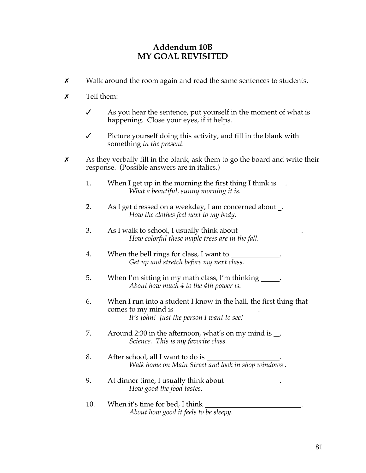# **Addendum 10B MY GOAL REVISITED**

- $\boldsymbol{\chi}$  Walk around the room again and read the same sentences to students.
- $\boldsymbol{x}$  Tell them:
	- $\mathcal I$  As you hear the sentence, put yourself in the moment of what is happening. Close your eyes, if it helps.
	- $\checkmark$  Picture yourself doing this activity, and fill in the blank with something *in the present.*
- $\boldsymbol{\chi}$  As they verbally fill in the blank, ask them to go the board and write their response. (Possible answers are in italics.)
	- 1. When I get up in the morning the first thing I think is . *What a beautiful, sunny morning it is.*
	- 2. As I get dressed on a weekday, I am concerned about . *How the clothes feel next to my body.*
	- 3. As I walk to school, I usually think about . *How colorful these maple trees are in the fall.*
	- 4. When the bell rings for class, I want to \_\_\_\_\_\_\_\_\_\_\_\_. *Get up and stretch before my next class.*
	- 5. When I'm sitting in my math class, I'm thinking . *About how much 4 to the 4th power is.*
	- 6. When I run into a student I know in the hall, the first thing that comes to my mind is . *It's John! Just the person I want to see!*
	- 7. Around 2:30 in the afternoon, what's on my mind is . *Science. This is my favorite class.*
	- 8. After school, all I want to do is *Walk home on Main Street and look in shop windows .*
	- 9. At dinner time, I usually think about . *How good the food tastes.*
	- 10. When it's time for bed, I think *About how good it feels to be sleepy.*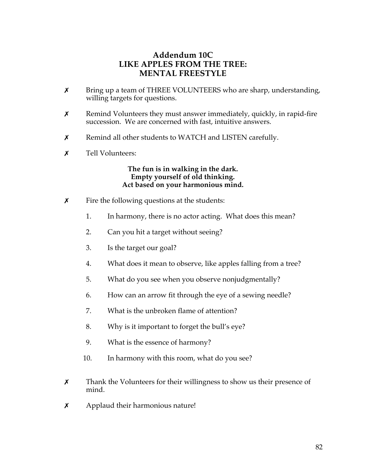# **Addendum 10C LIKE APPLES FROM THE TREE: MENTAL FREESTYLE**

- X Bring up a team of THREE VOLUNTEERS who are sharp, understanding, willing targets for questions.
- $x$  Remind Volunteers they must answer immediately, quickly, in rapid-fire succession. We are concerned with fast, intuitive answers.
- $\chi$  Remind all other students to WATCH and LISTEN carefully.
- $\boldsymbol{x}$  Tell Volunteers:

### **The fun is in walking in the dark. Empty yourself of old thinking. Act based on your harmonious mind.**

- $x$  Fire the following questions at the students:
	- 1. In harmony, there is no actor acting. What does this mean?
	- 2. Can you hit a target without seeing?
	- 3. Is the target our goal?
	- 4. What does it mean to observe, like apples falling from a tree?
	- 5. What do you see when you observe nonjudgmentally?
	- 6. How can an arrow fit through the eye of a sewing needle?
	- 7. What is the unbroken flame of attention?
	- 8. Why is it important to forget the bull's eye?
	- 9. What is the essence of harmony?
	- 10. In harmony with this room, what do you see?
- $\chi$  Thank the Volunteers for their willingness to show us their presence of mind.
- $x$  Applaud their harmonious nature!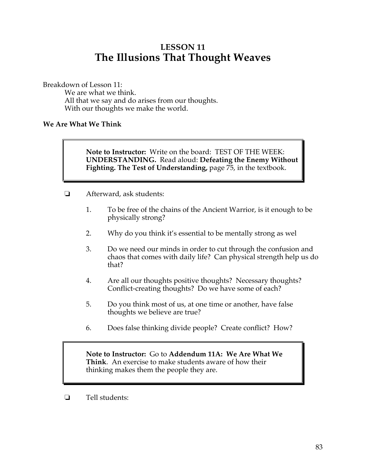# **LESSON 11 The Illusions That Thought Weaves**

Breakdown of Lesson 11:

We are what we think. All that we say and do arises from our thoughts. With our thoughts we make the world.

## **We Are What We Think**

**Note to Instructor:** Write on the board: TEST OF THE WEEK: **UNDERSTANDING.** Read aloud: **Defeating the Enemy Without Fighting. The Test of Understanding,** page 75, in the textbook.

- ! Afterward, ask students:
	- 1. To be free of the chains of the Ancient Warrior, is it enough to be physically strong?
	- 2. Why do you think it's essential to be mentally strong as wel
	- 3. Do we need our minds in order to cut through the confusion and chaos that comes with daily life? Can physical strength help us do that?
	- 4. Are all our thoughts positive thoughts? Necessary thoughts? Conflict-creating thoughts? Do we have some of each?
	- 5. Do you think most of us, at one time or another, have false thoughts we believe are true?
	- 6. Does false thinking divide people? Create conflict? How?

**Note to Instructor:** Go to **Addendum 11A: We Are What We Think**. An exercise to make students aware of how their thinking makes them the people they are.

 $\Box$  Tell students: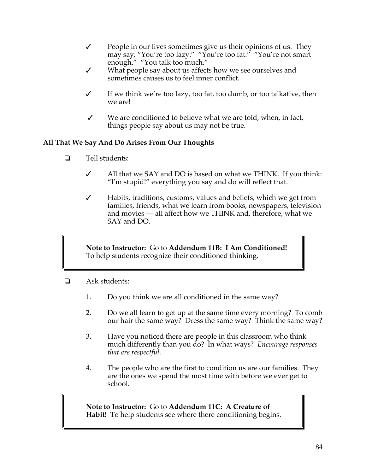- $\checkmark$  People in our lives sometimes give us their opinions of us. They may say, "You're too lazy." "You're too fat." "You're not smart enough." "You talk too much."
- What people say about us affects how we see ourselves and sometimes causes us to feel inner conflict.
- $\checkmark$  If we think we're too lazy, too fat, too dumb, or too talkative, then we are!
- $\checkmark$  We are conditioned to believe what we are told, when, in fact, things people say about us may not be true.

# **All That We Say And Do Arises From Our Thoughts**

- $\Box$  Tell students:
	- All that we SAY and DO is based on what we THINK. If you think: "I'm stupid!" everything you say and do will reflect that.
	- $\checkmark$  Habits, traditions, customs, values and beliefs, which we get from families, friends, what we learn from books, newspapers, television and movies — all affect how we THINK and, therefore, what we SAY and DO.

**Note to Instructor:** Go to **Addendum 11B: I Am Conditioned!** To help students recognize their conditioned thinking.

- $\Box$  Ask students:
	- 1. Do you think we are all conditioned in the same way?
	- 2. Do we all learn to get up at the same time every morning? To comb our hair the same way? Dress the same way? Think the same way?
	- 3. Have you noticed there are people in this classroom who think much differently than you do? In what ways? *Encourage responses that are respectful.*
	- 4. The people who are the first to condition us are our families. They are the ones we spend the most time with before we ever get to school.

### **Note to Instructor:** Go to **Addendum 11C: A Creature of Habit!** To help students see where there conditioning begins.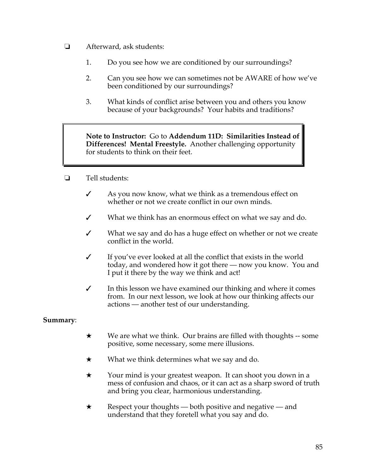- **E** Afterward, ask students:
	- 1. Do you see how we are conditioned by our surroundings?
	- 2. Can you see how we can sometimes not be AWARE of how we've been conditioned by our surroundings?
	- 3. What kinds of conflict arise between you and others you know because of your backgrounds? Your habits and traditions?

**Note to Instructor:** Go to **Addendum 11D: Similarities Instead of Differences! Mental Freestyle.** Another challenging opportunity for students to think on their feet.

- $\Box$  Tell students:
	- Subset As you now know, what we think as a tremendous effect on whether or not we create conflict in our own minds.
	- $\checkmark$  What we think has an enormous effect on what we say and do.
	- $\checkmark$  What we say and do has a huge effect on whether or not we create conflict in the world.
	- $\checkmark$  If you've ever looked at all the conflict that exists in the world today, and wondered how it got there — now you know. You and I put it there by the way we think and act!
	- $\checkmark$  In this lesson we have examined our thinking and where it comes from. In our next lesson, we look at how our thinking affects our actions — another test of our understanding.

## **Summary**:

- $\star$  We are what we think. Our brains are filled with thoughts -- some positive, some necessary, some mere illusions.
- $\star$  What we think determines what we say and do.
- $\star$  Your mind is your greatest weapon. It can shoot you down in a mess of confusion and chaos, or it can act as a sharp sword of truth and bring you clear, harmonious understanding.
- $\star$  Respect your thoughts both positive and negative and understand that they foretell what you say and do.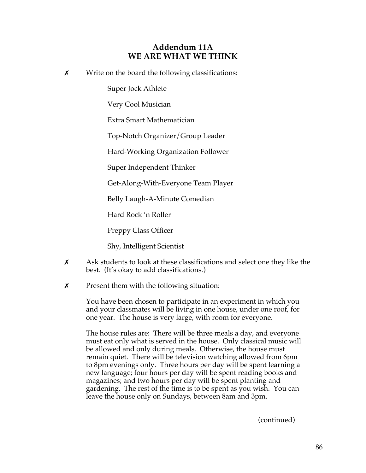# **Addendum 11A WE ARE WHAT WE THINK**

 $x$  Write on the board the following classifications:

Super Jock Athlete

Very Cool Musician

Extra Smart Mathematician

Top-Notch Organizer/Group Leader

Hard-Working Organization Follower

Super Independent Thinker

Get-Along-With-Everyone Team Player

Belly Laugh-A-Minute Comedian

Hard Rock 'n Roller

Preppy Class Officer

Shy, Intelligent Scientist

- $\boldsymbol{\chi}$  Ask students to look at these classifications and select one they like the best. (It's okay to add classifications.)
- $\boldsymbol{\chi}$  Present them with the following situation:

You have been chosen to participate in an experiment in which you and your classmates will be living in one house, under one roof, for one year. The house is very large, with room for everyone.

The house rules are: There will be three meals a day, and everyone must eat only what is served in the house. Only classical music will be allowed and only during meals. Otherwise, the house must remain quiet. There will be television watching allowed from 6pm to 8pm evenings only. Three hours per day will be spent learning a new language; four hours per day will be spent reading books and magazines; and two hours per day will be spent planting and gardening. The rest of the time is to be spent as you wish. You can leave the house only on Sundays, between 8am and 3pm.

(continued)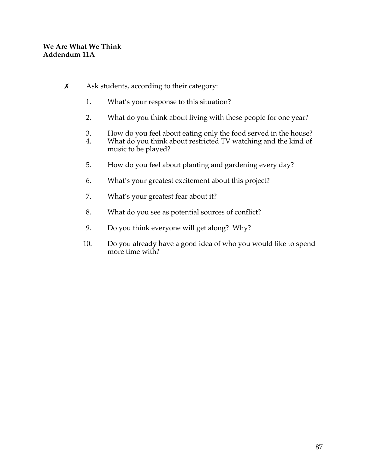- $x$  Ask students, according to their category:
	- 1. What's your response to this situation?
	- 2. What do you think about living with these people for one year?
	- 3. How do you feel about eating only the food served in the house?<br>4. What do you think about restricted TV watching and the kind of
	- What do you think about restricted TV watching and the kind of music to be played?
	- 5. How do you feel about planting and gardening every day?
	- 6. What's your greatest excitement about this project?
	- 7. What's your greatest fear about it?
	- 8. What do you see as potential sources of conflict?
	- 9. Do you think everyone will get along? Why?
	- 10. Do you already have a good idea of who you would like to spend more time with?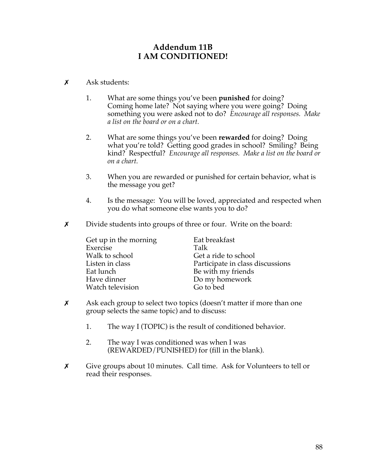# **Addendum 11B I AM CONDITIONED!**

- $x$  Ask students:
	- 1. What are some things you've been **punished** for doing? Coming home late? Not saying where you were going? Doing something you were asked not to do? *Encourage all responses. Make a list on the board or on a chart.*
	- 2. What are some things you've been **rewarded** for doing? Doing what you're told? Getting good grades in school? Smiling? Being kind? Respectful? *Encourage all responses. Make a list on the board or on a chart.*
	- 3. When you are rewarded or punished for certain behavior, what is the message you get?
	- 4. Is the message: You will be loved, appreciated and respected when you do what someone else wants you to do?
- $\chi$  Divide students into groups of three or four. Write on the board:

Get up in the morning Eat breakfast Exercise Talk Walk to school Get a ride to school<br>Listen in class **Example 2** Participate in class Eat lunch<br>
Have dinner<br>
Have dinner<br>
Bo my homework Watch television

Participate in class discussions Do my homework<br>Go to bed

- $\chi$  Ask each group to select two topics (doesn't matter if more than one group selects the same topic) and to discuss:
	- 1. The way I (TOPIC) is the result of conditioned behavior.
	- 2. The way I was conditioned was when I was (REWARDED/PUNISHED) for (fill in the blank).
- \$ Give groups about 10 minutes. Call time. Ask for Volunteers to tell or read their responses.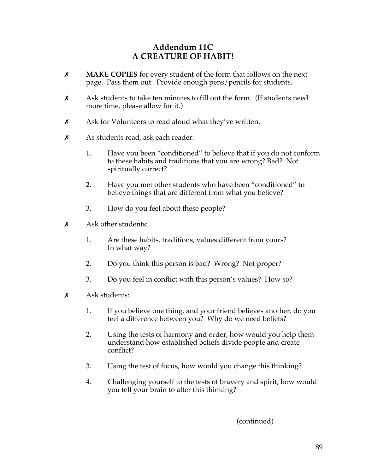# **Addendum 11C A CREATURE OF HABIT!**

- \$ **MAKE COPIES** for every student of the form that follows on the next page. Pass them out. Provide enough pens/pencils for students.
- $\boldsymbol{\chi}$  Ask students to take ten minutes to fill out the form. (If students need more time, please allow for it.)
- **x** Ask for Volunteers to read aloud what they've written.
- $x$  As students read, ask each reader:
	- 1. Have you been "conditioned" to believe that if you do not conform to these habits and traditions that you are wrong? Bad? Not spiritually correct?
	- 2. Have you met other students who have been "conditioned" to believe things that are different from what you believe?
	- 3. How do you feel about these people?
- $x$  Ask other students:
	- 1. Are these habits, traditions, values different from yours? In what way?
	- 2. Do you think this person is bad? Wrong? Not proper?
	- 3. Do you feel in conflict with this person's values? How so?
- $\boldsymbol{\mathsf{x}}$  Ask students:
	- 1. If you believe one thing, and your friend believes another, do you feel a difference between you? Why do we need beliefs?
	- 2. Using the tests of harmony and order, how would you help them understand how established beliefs divide people and create conflict?
	- 3. Using the test of focus, how would you change this thinking?
	- 4. Challenging yourself to the tests of bravery and spirit, how would you tell your brain to alter this thinking?

(continued)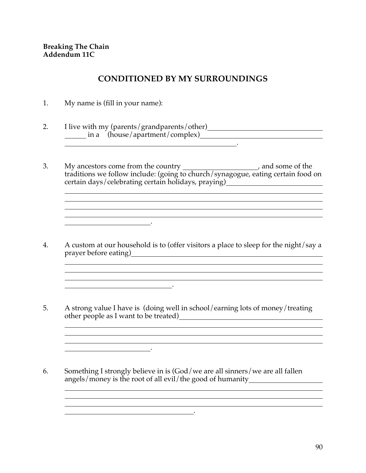# **CONDITIONED BY MY SURROUNDINGS**

1. My name is (fill in your name):

.

.

**.** The contract of the contract of the contract of the contract of the contract of the contract of the contract of

- 2. I live with my (parents/grandparents/other) in a (house/apartment/complex) .
- 3. My ancestors come from the country \_\_\_\_\_\_\_\_\_\_\_\_\_\_\_\_\_\_\_\_\_, and some of the traditions we follow include: (going to church/synagogue, eating certain food on certain days/celebrating certain holidays, praying) [100]
- 4. A custom at our household is to (offer visitors a place to sleep for the night/say a prayer before eating) <u> 1989 - Johann Stoff, deutscher Stoffen und der Stoffen und der Stoffen und der Stoffen und der Stoffen und de</u>

<u>. In the second control of the second control of the second control of the second control of the second control of the second control of the second control of the second control of the second control of the second control</u>

<u> 1989 - Johann Stoff, die staatskriuw fan de Amerikaansk kommunister († 1908)</u>

<u> 1989 - Johann Stoff, amerikansk politiker (\* 1908)</u>

<u> 1989 - Johann Stoff, amerikansk politiker (d. 1989)</u>

- 5. A strong value I have is (doing well in school/earning lots of money/treating other people as I want to be treated) <u> 1989 - Andrea Station Barbara, amerikan personal (h. 1989).</u>
- 6. Something I strongly believe in is (God/we are all sinners/we are all fallen angels/money is the root of all evil/the good of humanity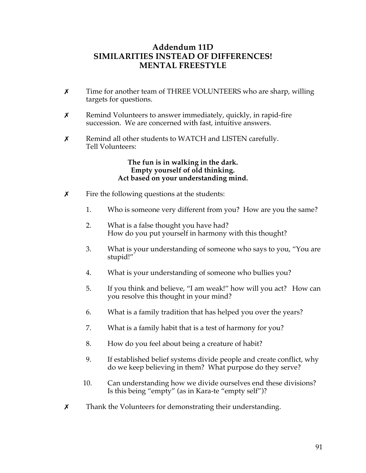# **Addendum 11D SIMILARITIES INSTEAD OF DIFFERENCES! MENTAL FREESTYLE**

- **x** Time for another team of THREE VOLUNTEERS who are sharp, willing targets for questions.
- $x$  Remind Volunteers to answer immediately, quickly, in rapid-fire succession. We are concerned with fast, intuitive answers.
- $x$  Remind all other students to WATCH and LISTEN carefully. Tell Volunteers:

### **The fun is in walking in the dark. Empty yourself of old thinking. Act based on your understanding mind.**

- $\boldsymbol{\chi}$  Fire the following questions at the students:
	- 1. Who is someone very different from you? How are you the same?
	- 2. What is a false thought you have had? How do you put yourself in harmony with this thought?
	- 3. What is your understanding of someone who says to you, "You are stupid!"
	- 4. What is your understanding of someone who bullies you?
	- 5. If you think and believe, "I am weak!" how will you act? How can you resolve this thought in your mind?
	- 6. What is a family tradition that has helped you over the years?
	- 7. What is a family habit that is a test of harmony for you?
	- 8. How do you feel about being a creature of habit?
	- 9. If established belief systems divide people and create conflict, why do we keep believing in them? What purpose do they serve?
	- 10. Can understanding how we divide ourselves end these divisions? Is this being "empty" (as in Kara-te "empty self")?
- **x** Thank the Volunteers for demonstrating their understanding.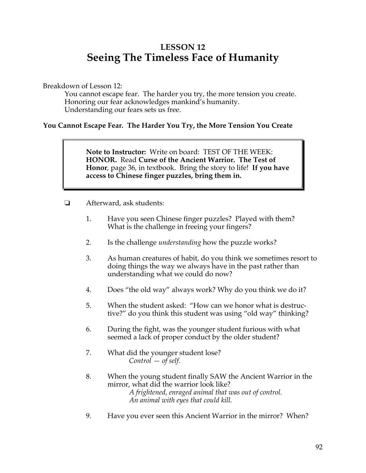# **LESSON 12 Seeing The Timeless Face of Humanity**

Breakdown of Lesson 12:

You cannot escape fear. The harder you try, the more tension you create. Honoring our fear acknowledges mankind's humanity. Understanding our fears sets us free.

# **You Cannot Escape Fear. The Harder You Try, the More Tension You Create**

**Note to Instructor:** Write on board: TEST OF THE WEEK: **HONOR.** Read **Curse of the Ancient Warrior. The Test of Honor**, page 36, in textbook. Bring the story to life! **If you have access to Chinese finger puzzles, bring them in.** 

- $\Box$  Afterward, ask students:
	- 1. Have you seen Chinese finger puzzles? Played with them? What is the challenge in freeing your fingers?
	- 2. Is the challenge *understanding* how the puzzle works?
	- 3. As human creatures of habit, do you think we sometimes resort to doing things the way we always have in the past rather than understanding what we could do now?
	- 4. Does "the old way" always work? Why do you think we do it?
	- 5. When the student asked: "How can we honor what is destructive?" do you think this student was using "old way" thinking?
	- 6. During the fight, was the younger student furious with what seemed a lack of proper conduct by the older student?
	- 7. What did the younger student lose? *Control — of self.*
	- 8. When the young student finally SAW the Ancient Warrior in the mirror, what did the warrior look like? *A frightened, enraged animal that was out of control. An animal with eyes that could kill.*
	- 9. Have you ever seen this Ancient Warrior in the mirror? When?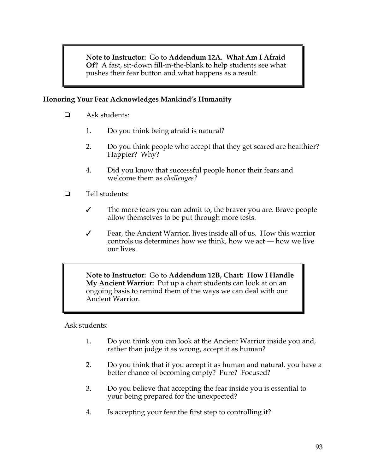**Note to Instructor:** Go to **Addendum 12A. What Am I Afraid Of?** A fast, sit-down fill-in-the-blank to help students see what pushes their fear button and what happens as a result.

# **Honoring Your Fear Acknowledges Mankind's Humanity**

- $\Box$  Ask students:
	- 1. Do you think being afraid is natural?
	- 2. Do you think people who accept that they get scared are healthier? Happier? Why?
	- 4. Did you know that successful people honor their fears and welcome them as *challenges?*
- $\Box$  Tell students:
	- $\checkmark$  The more fears you can admit to, the braver you are. Brave people allow themselves to be put through more tests.
	- $\checkmark$  Fear, the Ancient Warrior, lives inside all of us. How this warrior controls us determines how we think, how we act — how we live our lives.

**Note to Instructor:** Go to **Addendum 12B, Chart: How I Handle My Ancient Warrior:** Put up a chart students can look at on an ongoing basis to remind them of the ways we can deal with our Ancient Warrior.

Ask students:

- 1. Do you think you can look at the Ancient Warrior inside you and, rather than judge it as wrong, accept it as human?
- 2. Do you think that if you accept it as human and natural, you have a better chance of becoming empty? Pure? Focused?
- 3. Do you believe that accepting the fear inside you is essential to your being prepared for the unexpected?
- 4. Is accepting your fear the first step to controlling it?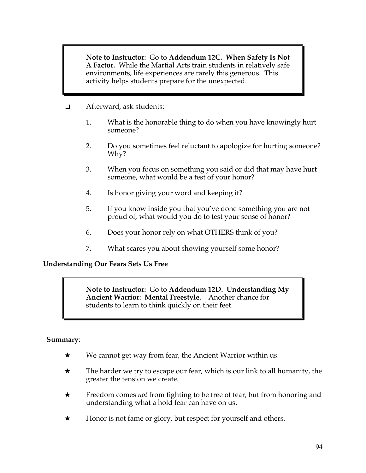**Note to Instructor:** Go to **Addendum 12C. When Safety Is Not A Factor.** While the Martial Arts train students in relatively safe environments, life experiences are rarely this generous. This activity helps students prepare for the unexpected.

- **E** Afterward, ask students:
	- 1. What is the honorable thing to do when you have knowingly hurt someone?
	- 2. Do you sometimes feel reluctant to apologize for hurting someone? Why?
	- 3. When you focus on something you said or did that may have hurt someone, what would be a test of your honor?
	- 4. Is honor giving your word and keeping it?
	- 5. If you know inside you that you've done something you are not proud of, what would you do to test your sense of honor?
	- 6. Does your honor rely on what OTHERS think of you?
	- 7. What scares you about showing yourself some honor?

## **Understanding Our Fears Sets Us Free**

**Note to Instructor:** Go to **Addendum 12D. Understanding My Ancient Warrior: Mental Freestyle.** Another chance for students to learn to think quickly on their feet.

## **Summary**:

- $\star$  We cannot get way from fear, the Ancient Warrior within us.
- $\star$  The harder we try to escape our fear, which is our link to all humanity, the greater the tension we create.
- \* Freedom comes *not* from fighting to be free of fear, but from honoring and understanding what a hold fear can have on us.
- $\star$  Honor is not fame or glory, but respect for yourself and others.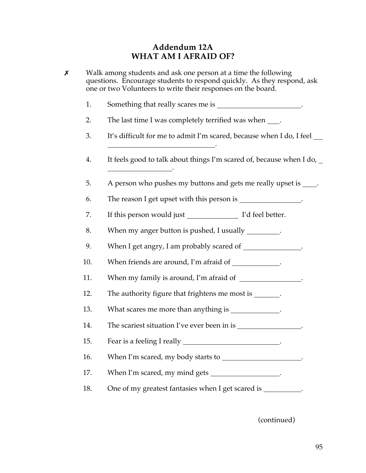# **Addendum 12A WHAT AM I AFRAID OF?**

| Х | Walk among students and ask one person at a time the following<br>questions. Encourage students to respond quickly. As they respond, ask<br>one or two Volunteers to write their responses on the board. |                                                                      |
|---|----------------------------------------------------------------------------------------------------------------------------------------------------------------------------------------------------------|----------------------------------------------------------------------|
|   | 1.                                                                                                                                                                                                       | Something that really scares me is _________________________.        |
|   | 2.                                                                                                                                                                                                       | The last time I was completely terrified was when ____.              |
|   | 3.                                                                                                                                                                                                       | It's difficult for me to admit I'm scared, because when I do, I feel |
|   | 4.                                                                                                                                                                                                       | It feels good to talk about things I'm scared of, because when I do, |
|   | 5.                                                                                                                                                                                                       | A person who pushes my buttons and gets me really upset is _____.    |
|   | 6.                                                                                                                                                                                                       | The reason I get upset with this person is _________________.        |
|   | 7.                                                                                                                                                                                                       |                                                                      |
|   | 8.                                                                                                                                                                                                       | When my anger button is pushed, I usually _________.                 |
|   | 9.                                                                                                                                                                                                       | When I get angry, I am probably scared of ______________.            |
|   | 10.                                                                                                                                                                                                      | When friends are around, I'm afraid of ____________.                 |
|   | 11.                                                                                                                                                                                                      | When my family is around, I'm afraid of                              |
|   | 12.                                                                                                                                                                                                      | The authority figure that frightens me most is _______.              |
|   | 13.                                                                                                                                                                                                      | What scares me more than anything is ______________.                 |
|   | 14.                                                                                                                                                                                                      |                                                                      |
|   | 15.                                                                                                                                                                                                      | Fear is a feeling I really __________________________________.       |
|   | 16.                                                                                                                                                                                                      | When I'm scared, my body starts to ________________________.         |
|   | 17.                                                                                                                                                                                                      | When I'm scared, my mind gets ___________________.                   |
|   | 18.                                                                                                                                                                                                      | One of my greatest fantasies when I get scared is __________.        |
|   |                                                                                                                                                                                                          |                                                                      |

(continued)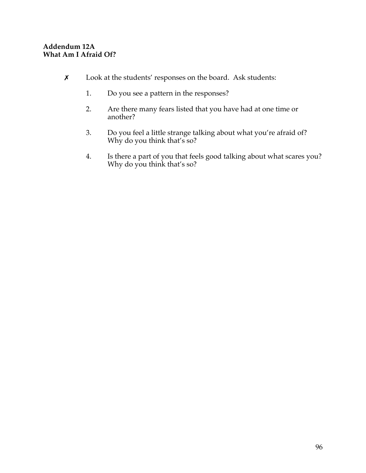# **Addendum 12A What Am I Afraid Of?**

- \$ Look at the students' responses on the board. Ask students:
	- 1. Do you see a pattern in the responses?
	- 2. Are there many fears listed that you have had at one time or another?
	- 3. Do you feel a little strange talking about what you're afraid of? Why do you think that's so?
	- 4. Is there a part of you that feels good talking about what scares you? Why do you think that's so?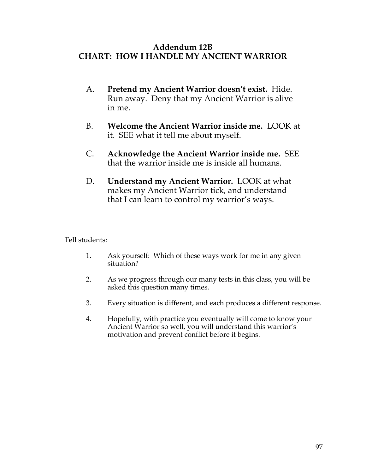# **Addendum 12B CHART: HOW I HANDLE MY ANCIENT WARRIOR**

- A. **Pretend my Ancient Warrior doesn't exist.** Hide. Run away. Deny that my Ancient Warrior is alive in me.
- B. **Welcome the Ancient Warrior inside me.** LOOK at it. SEE what it tell me about myself.
- C. **Acknowledge the Ancient Warrior inside me.** SEE that the warrior inside me is inside all humans.
- D. **Understand my Ancient Warrior.** LOOK at what makes my Ancient Warrior tick, and understand that I can learn to control my warrior's ways.

Tell students:

- 1. Ask yourself: Which of these ways work for me in any given situation?
- 2. As we progress through our many tests in this class, you will be asked this question many times.
- 3. Every situation is different, and each produces a different response.
- 4. Hopefully, with practice you eventually will come to know your Ancient Warrior so well, you will understand this warrior's motivation and prevent conflict before it begins.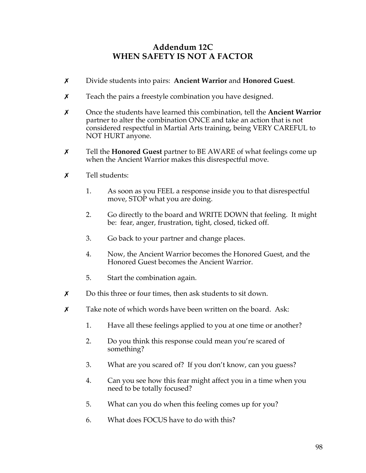# **Addendum 12C WHEN SAFETY IS NOT A FACTOR**

- \$ Divide students into pairs: **Ancient Warrior** and **Honored Guest**.
- $x$  Teach the pairs a freestyle combination you have designed.
- \$ Once the students have learned this combination, tell the **Ancient Warrior** partner to alter the combination ONCE and take an action that is not considered respectful in Martial Arts training, being VERY CAREFUL to NOT HURT anyone.
- \$ Tell the **Honored Guest** partner to BE AWARE of what feelings come up when the Ancient Warrior makes this disrespectful move.
- $\boldsymbol{\mathsf{x}}$  Tell students:
	- 1. As soon as you FEEL a response inside you to that disrespectful move, STOP what you are doing.
	- 2. Go directly to the board and WRITE DOWN that feeling. It might be: fear, anger, frustration, tight, closed, ticked off.
	- 3. Go back to your partner and change places.
	- 4. Now, the Ancient Warrior becomes the Honored Guest, and the Honored Guest becomes the Ancient Warrior.
	- 5. Start the combination again.
- $\boldsymbol{\chi}$  Do this three or four times, then ask students to sit down.
- $\boldsymbol{\chi}$  Take note of which words have been written on the board. Ask:
	- 1. Have all these feelings applied to you at one time or another?
	- 2. Do you think this response could mean you're scared of something?
	- 3. What are you scared of? If you don't know, can you guess?
	- 4. Can you see how this fear might affect you in a time when you need to be totally focused?
	- 5. What can you do when this feeling comes up for you?
	- 6. What does FOCUS have to do with this?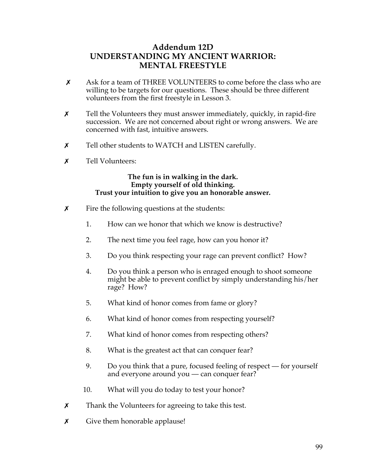# **Addendum 12D UNDERSTANDING MY ANCIENT WARRIOR: MENTAL FREESTYLE**

- $\chi$  Ask for a team of THREE VOLUNTEERS to come before the class who are willing to be targets for our questions. These should be three different volunteers from the first freestyle in Lesson 3.
- $x$  Tell the Volunteers they must answer immediately, quickly, in rapid-fire succession. We are not concerned about right or wrong answers. We are concerned with fast, intuitive answers.
- $\chi$  Tell other students to WATCH and LISTEN carefully.
- **x** Tell Volunteers:

### **The fun is in walking in the dark. Empty yourself of old thinking. Trust your intuition to give you an honorable answer.**

- $\boldsymbol{\chi}$  Fire the following questions at the students:
	- 1. How can we honor that which we know is destructive?
	- 2. The next time you feel rage, how can you honor it?
	- 3. Do you think respecting your rage can prevent conflict? How?
	- 4. Do you think a person who is enraged enough to shoot someone might be able to prevent conflict by simply understanding his/her rage? How?
	- 5. What kind of honor comes from fame or glory?
	- 6. What kind of honor comes from respecting yourself?
	- 7. What kind of honor comes from respecting others?
	- 8. What is the greatest act that can conquer fear?
	- 9. Do you think that a pure, focused feeling of respect for yourself and everyone around you — can conquer fear?
	- 10. What will you do today to test your honor?
- $x$  Thank the Volunteers for agreeing to take this test.
- $\boldsymbol{\chi}$  Give them honorable applause!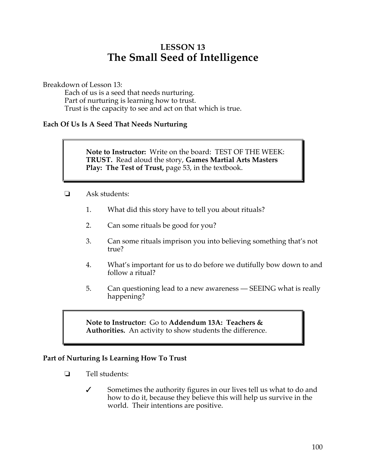# **LESSON 13 The Small Seed of Intelligence**

Breakdown of Lesson 13:

Each of us is a seed that needs nurturing. Part of nurturing is learning how to trust. Trust is the capacity to see and act on that which is true.

## **Each Of Us Is A Seed That Needs Nurturing**

**Note to Instructor:** Write on the board: TEST OF THE WEEK: **TRUST.** Read aloud the story, **Games Martial Arts Masters Play: The Test of Trust,** page 53, in the textbook.

- $\Box$  Ask students:
	- 1. What did this story have to tell you about rituals?
	- 2. Can some rituals be good for you?
	- 3. Can some rituals imprison you into believing something that's not true?
	- 4. What's important for us to do before we dutifully bow down to and follow a ritual?
	- 5. Can questioning lead to a new awareness SEEING what is really happening?

### **Note to Instructor:** Go to **Addendum 13A: Teachers & Authorities.** An activity to show students the difference.

## **Part of Nurturing Is Learning How To Trust**

- $\Box$  Tell students:
	- $\checkmark$  Sometimes the authority figures in our lives tell us what to do and how to do it, because they believe this will help us survive in the world. Their intentions are positive.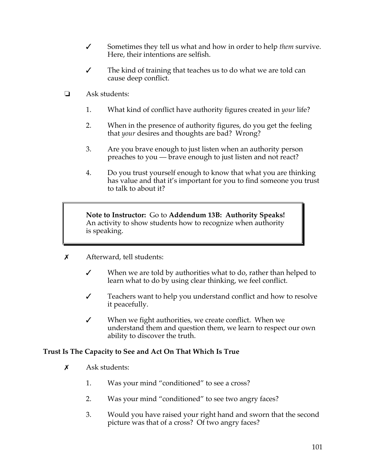- " Sometimes they tell us what and how in order to help *them* survive. Here, their intentions are selfish.
- $\checkmark$  The kind of training that teaches us to do what we are told can cause deep conflict.
- $\Box$  Ask students:
	- 1. What kind of conflict have authority figures created in *your* life?
	- 2. When in the presence of authority figures, do you get the feeling that *your* desires and thoughts are bad? Wrong?
	- 3. Are you brave enough to just listen when an authority person preaches to you — brave enough to just listen and not react?
	- 4. Do you trust yourself enough to know that what you are thinking has value and that it's important for you to find someone you trust to talk to about it?

**Note to Instructor:** Go to **Addendum 13B: Authority Speaks!** An activity to show students how to recognize when authority is speaking.

- $\boldsymbol{\mathsf{x}}$  Afterward, tell students:
	- $\checkmark$  When we are told by authorities what to do, rather than helped to learn what to do by using clear thinking, we feel conflict.
	- $\checkmark$  Teachers want to help you understand conflict and how to resolve it peacefully.
	- $\checkmark$  When we fight authorities, we create conflict. When we understand them and question them, we learn to respect our own ability to discover the truth.

## **Trust Is The Capacity to See and Act On That Which Is True**

- $\boldsymbol{\mathsf{x}}$  Ask students:
	- 1. Was your mind "conditioned" to see a cross?
	- 2. Was your mind "conditioned" to see two angry faces?
	- 3. Would you have raised your right hand and sworn that the second picture was that of a cross? Of two angry faces?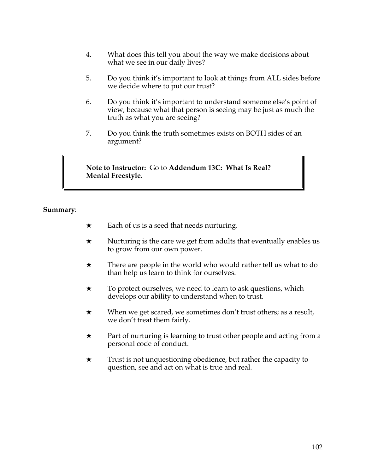- 4. What does this tell you about the way we make decisions about what we see in our daily lives?
- 5. Do you think it's important to look at things from ALL sides before we decide where to put our trust?
- 6. Do you think it's important to understand someone else's point of view, because what that person is seeing may be just as much the truth as what you are seeing?
- 7. Do you think the truth sometimes exists on BOTH sides of an argument?

**Note to Instructor:** Go to **Addendum 13C: What Is Real? Mental Freestyle.**

### **Summary**:

- $\star$  Each of us is a seed that needs nurturing.
- $\star$  Nurturing is the care we get from adults that eventually enables us to grow from our own power.
- $\star$  There are people in the world who would rather tell us what to do than help us learn to think for ourselves.
- $\star$  To protect ourselves, we need to learn to ask questions, which develops our ability to understand when to trust.
- $\star$  When we get scared, we sometimes don't trust others; as a result, we don't treat them fairly.
- $\star$  Part of nurturing is learning to trust other people and acting from a personal code of conduct.
- $\star$  Trust is not unquestioning obedience, but rather the capacity to question, see and act on what is true and real.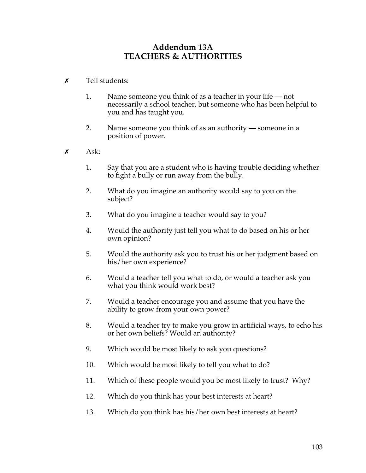### **Addendum 13A TEACHERS & AUTHORITIES**

- $\boldsymbol{\mathsf{x}}$  Tell students:
	- 1. Name someone you think of as a teacher in your life not necessarily a school teacher, but someone who has been helpful to you and has taught you.
	- 2. Name someone you think of as an authority someone in a position of power.
- $x \quad \text{Ask:}$ 
	- 1. Say that you are a student who is having trouble deciding whether to fight a bully or run away from the bully.
	- 2. What do you imagine an authority would say to you on the subject?
	- 3. What do you imagine a teacher would say to you?
	- 4. Would the authority just tell you what to do based on his or her own opinion?
	- 5. Would the authority ask you to trust his or her judgment based on his/her own experience?
	- 6. Would a teacher tell you what to do, or would a teacher ask you what you think would work best?
	- 7. Would a teacher encourage you and assume that you have the ability to grow from your own power?
	- 8. Would a teacher try to make you grow in artificial ways, to echo his or her own beliefs? Would an authority?
	- 9. Which would be most likely to ask you questions?
	- 10. Which would be most likely to tell you what to do?
	- 11. Which of these people would you be most likely to trust? Why?
	- 12. Which do you think has your best interests at heart?
	- 13. Which do you think has his/her own best interests at heart?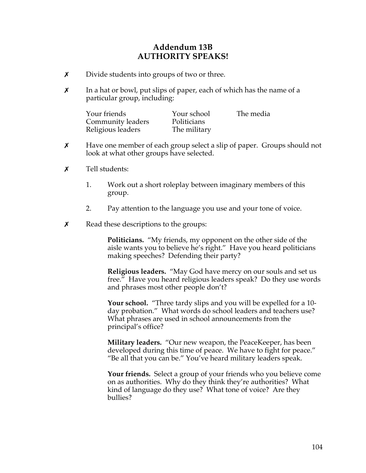### **Addendum 13B AUTHORITY SPEAKS!**

- **x** Divide students into groups of two or three.
- $x$  In a hat or bowl, put slips of paper, each of which has the name of a particular group, including:

| Your friends      | Your school  | The media |
|-------------------|--------------|-----------|
| Community leaders | Politicians  |           |
| Religious leaders | The military |           |

- $\chi$  Have one member of each group select a slip of paper. Groups should not look at what other groups have selected.
- $\boldsymbol{x}$  Tell students:
	- 1. Work out a short roleplay between imaginary members of this group.
	- 2. Pay attention to the language you use and your tone of voice.
- $\boldsymbol{\chi}$  Read these descriptions to the groups:

**Politicians.** "My friends, my opponent on the other side of the aisle wants you to believe he's right." Have you heard politicians making speeches? Defending their party?

**Religious leaders.** "May God have mercy on our souls and set us free." Have you heard religious leaders speak? Do they use words and phrases most other people don't?

**Your school.** "Three tardy slips and you will be expelled for a 10 day probation." What words do school leaders and teachers use? What phrases are used in school announcements from the principal's office?

**Military leaders.** "Our new weapon, the PeaceKeeper, has been developed during this time of peace. We have to fight for peace." "Be all that you can be." You've heard military leaders speak.

**Your friends.** Select a group of your friends who you believe come on as authorities. Why do they think they're authorities? What kind of language do they use? What tone of voice? Are they bullies?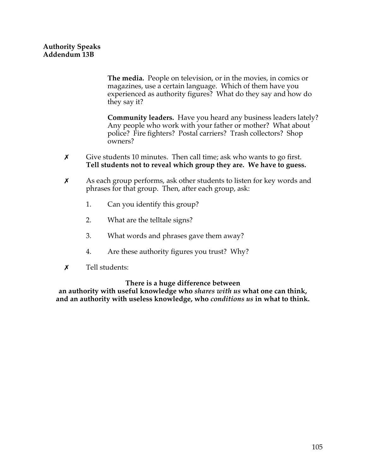**The media.** People on television, or in the movies, in comics or magazines, use a certain language. Which of them have you experienced as authority figures? What do they say and how do they say it?

**Community leaders.** Have you heard any business leaders lately? Any people who work with your father or mother? What about police? Fire fighters? Postal carriers? Trash collectors? Shop owners?

- $\chi$  Give students 10 minutes. Then call time; ask who wants to go first. **Tell students not to reveal which group they are. We have to guess.**
- $\chi$  As each group performs, ask other students to listen for key words and phrases for that group. Then, after each group, ask:
	- 1. Can you identify this group?
	- 2. What are the telltale signs?
	- 3. What words and phrases gave them away?
	- 4. Are these authority figures you trust? Why?
- $\boldsymbol{x}$  Tell students:

#### **There is a huge difference between**

**an authority with useful knowledge who** *shares with us* **what one can think, and an authority with useless knowledge, who** *conditions us* **in what to think.**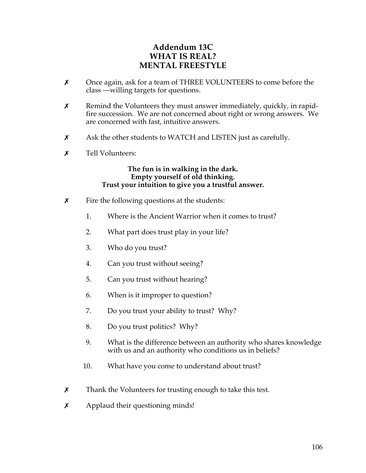## **Addendum 13C WHAT IS REAL? MENTAL FREESTYLE**

- $\times$  Once again, ask for a team of THREE VOLUNTEERS to come before the class —willing targets for questions.
- $\chi$  Remind the Volunteers they must answer immediately, quickly, in rapidfire succession. We are not concerned about right or wrong answers. We are concerned with fast, intuitive answers.
- $\chi$  Ask the other students to WATCH and LISTEN just as carefully.
- $\boldsymbol{x}$  Tell Volunteers:

**The fun is in walking in the dark. Empty yourself of old thinking. Trust your intuition to give you a trustful answer.** 

- $\boldsymbol{\chi}$  Fire the following questions at the students:
	- 1. Where is the Ancient Warrior when it comes to trust?
	- 2. What part does trust play in your life?
	- 3. Who do you trust?
	- 4. Can you trust without seeing?
	- 5. Can you trust without hearing?
	- 6. When is it improper to question?
	- 7. Do you trust your ability to trust? Why?
	- 8. Do you trust politics? Why?
	- 9. What is the difference between an authority who shares knowledge with us and an authority who conditions us in beliefs?
	- 10. What have you come to understand about trust?
- $\chi$  Thank the Volunteers for trusting enough to take this test.
- $x$  Applaud their questioning minds!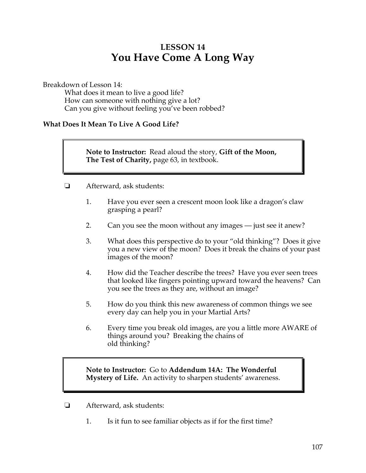# **LESSON 14 You Have Come A Long Way**

Breakdown of Lesson 14:

What does it mean to live a good life? How can someone with nothing give a lot? Can you give without feeling you've been robbed?

#### **What Does It Mean To Live A Good Life?**

**Note to Instructor:** Read aloud the story, **Gift of the Moon, The Test of Charity,** page 63, in textbook.

- ! Afterward, ask students:
	- 1. Have you ever seen a crescent moon look like a dragon's claw grasping a pearl?
	- 2. Can you see the moon without any images just see it anew?
	- 3. What does this perspective do to your "old thinking"? Does it give you a new view of the moon? Does it break the chains of your past images of the moon?
	- 4. How did the Teacher describe the trees? Have you ever seen trees that looked like fingers pointing upward toward the heavens? Can you see the trees as they are, without an image?
	- 5. How do you think this new awareness of common things we see every day can help you in your Martial Arts?
	- 6. Every time you break old images, are you a little more AWARE of things around you? Breaking the chains of old thinking?

**Note to Instructor:** Go to **Addendum 14A: The Wonderful Mystery of Life.** An activity to sharpen students' awareness.

- **E** Afterward, ask students:
	- 1. Is it fun to see familiar objects as if for the first time?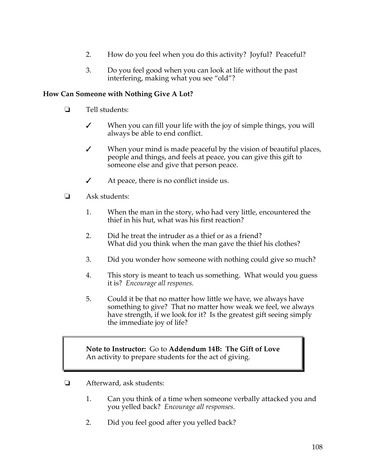- 2. How do you feel when you do this activity? Joyful? Peaceful?
- 3. Do you feel good when you can look at life without the past interfering, making what you see "old"?

#### **How Can Someone with Nothing Give A Lot?**

- $\Box$  Tell students:
	- $\checkmark$  When you can fill your life with the joy of simple things, you will always be able to end conflict.
	- $\checkmark$  When your mind is made peaceful by the vision of beautiful places, people and things, and feels at peace, you can give this gift to someone else and give that person peace.
	- $\checkmark$  At peace, there is no conflict inside us.
- $\Box$  Ask students:
	- 1. When the man in the story, who had very little, encountered the thief in his hut, what was his first reaction?
	- 2. Did he treat the intruder as a thief or as a friend? What did you think when the man gave the thief his clothes?
	- 3. Did you wonder how someone with nothing could give so much?
	- 4. This story is meant to teach us something. What would you guess it is? *Encourage all respones.*
	- 5. Could it be that no matter how little we have, we always have something to give? That no matter how weak we feel, we always have strength, if we look for it? Is the greatest gift seeing simply the immediate joy of life?

**Note to Instructor:** Go to **Addendum 14B: The Gift of Love** An activity to prepare students for the act of giving.

- $\Box$  Afterward, ask students:
	- 1. Can you think of a time when someone verbally attacked you and you yelled back? *Encourage all responses.*
	- 2. Did you feel good after you yelled back?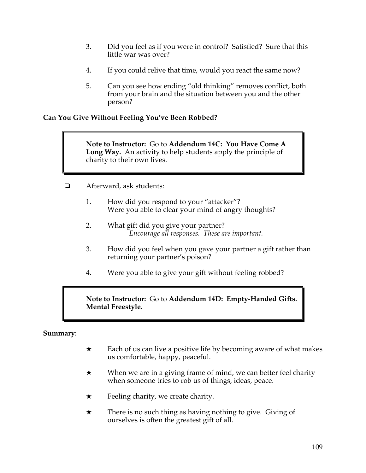- 3. Did you feel as if you were in control? Satisfied? Sure that this little war was over?
- 4. If you could relive that time, would you react the same now?
- 5. Can you see how ending "old thinking" removes conflict, both from your brain and the situation between you and the other person?

#### **Can You Give Without Feeling You've Been Robbed?**

**Note to Instructor:** Go to **Addendum 14C: You Have Come A Long Way.** An activity to help students apply the principle of charity to their own lives.

- ! Afterward, ask students:
	- 1. How did you respond to your "attacker"? Were you able to clear your mind of angry thoughts?
	- 2. What gift did you give your partner? *Encourage all responses. These are important.*
	- 3. How did you feel when you gave your partner a gift rather than returning your partner's poison?
	- 4. Were you able to give your gift without feeling robbed?

**Note to Instructor:** Go to **Addendum 14D: Empty-Handed Gifts. Mental Freestyle.**

#### **Summary**:

- $\star$  Each of us can live a positive life by becoming aware of what makes us comfortable, happy, peaceful.
- $\star$  When we are in a giving frame of mind, we can better feel charity when someone tries to rob us of things, ideas, peace.
- $\star$  Feeling charity, we create charity.
- $\star$  There is no such thing as having nothing to give. Giving of ourselves is often the greatest gift of all.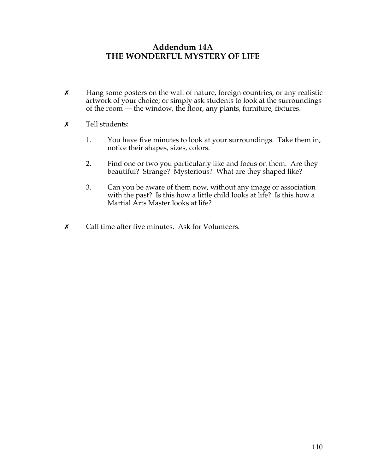### **Addendum 14A THE WONDERFUL MYSTERY OF LIFE**

- **X** Hang some posters on the wall of nature, foreign countries, or any realistic artwork of your choice; or simply ask students to look at the surroundings of the room — the window, the floor, any plants, furniture, fixtures.
- **x** Tell students:
	- 1. You have five minutes to look at your surroundings. Take them in, notice their shapes, sizes, colors.
	- 2. Find one or two you particularly like and focus on them. Are they beautiful? Strange? Mysterious? What are they shaped like?
	- 3. Can you be aware of them now, without any image or association with the past? Is this how a little child looks at life? Is this how a Martial Arts Master looks at life?
- $\boldsymbol{\chi}$  Call time after five minutes. Ask for Volunteers.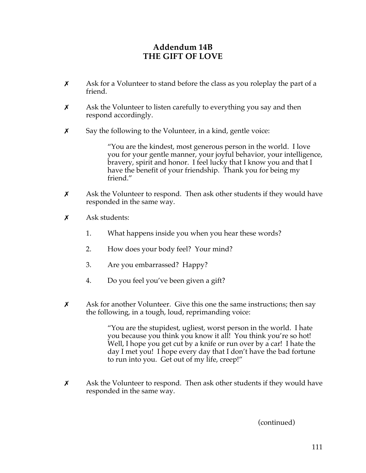## **Addendum 14B THE GIFT OF LOVE**

- $\boldsymbol{\chi}$  Ask for a Volunteer to stand before the class as you roleplay the part of a friend.
- $x$  Ask the Volunteer to listen carefully to everything you say and then respond accordingly.
- $\boldsymbol{\chi}$  Say the following to the Volunteer, in a kind, gentle voice:

"You are the kindest, most generous person in the world. I love you for your gentle manner, your joyful behavior, your intelligence, bravery, spirit and honor. I feel lucky that I know you and that I have the benefit of your friendship. Thank you for being my friend."

- $\chi$  Ask the Volunteer to respond. Then ask other students if they would have responded in the same way.
- $\boldsymbol{\mathsf{x}}$  Ask students:
	- 1. What happens inside you when you hear these words?
	- 2. How does your body feel? Your mind?
	- 3. Are you embarrassed? Happy?
	- 4. Do you feel you've been given a gift?
- $\boldsymbol{\chi}$  Ask for another Volunteer. Give this one the same instructions; then say the following, in a tough, loud, reprimanding voice:

"You are the stupidest, ugliest, worst person in the world. I hate you because you think you know it all! You think you're so hot! Well, I hope you get cut by a knife or run over by a car! I hate the day I met you! I hope every day that I don't have the bad fortune to run into you. Get out of my life, creep!"

 $\boldsymbol{\chi}$  Ask the Volunteer to respond. Then ask other students if they would have responded in the same way.

(continued)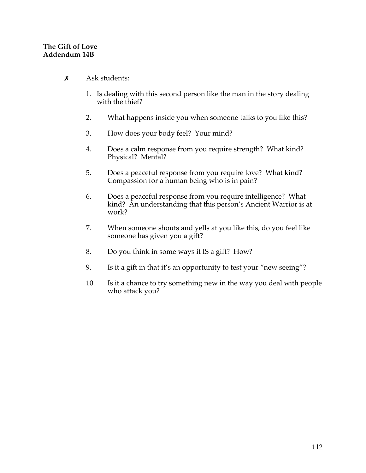#### **The Gift of Love Addendum 14B**

- $x$  Ask students:
	- 1. Is dealing with this second person like the man in the story dealing with the thief?
	- 2. What happens inside you when someone talks to you like this?
	- 3. How does your body feel? Your mind?
	- 4. Does a calm response from you require strength? What kind? Physical? Mental?
	- 5. Does a peaceful response from you require love? What kind? Compassion for a human being who is in pain?
	- 6. Does a peaceful response from you require intelligence? What kind? An understanding that this person's Ancient Warrior is at work?
	- 7. When someone shouts and yells at you like this, do you feel like someone has given you a gift?
	- 8. Do you think in some ways it IS a gift? How?
	- 9. Is it a gift in that it's an opportunity to test your "new seeing"?
	- 10. Is it a chance to try something new in the way you deal with people who attack you?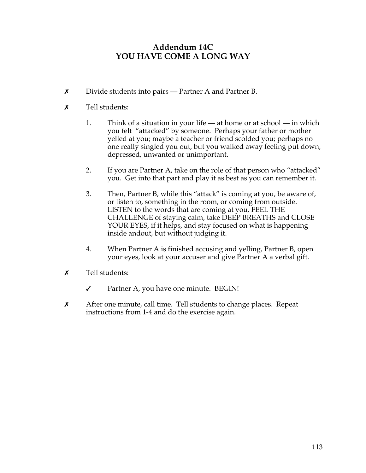## **Addendum 14C YOU HAVE COME A LONG WAY**

- **x** Divide students into pairs Partner A and Partner B.
- $\boldsymbol{x}$  Tell students:
	- 1. Think of a situation in your life at home or at school in which you felt "attacked" by someone. Perhaps your father or mother yelled at you; maybe a teacher or friend scolded you; perhaps no one really singled you out, but you walked away feeling put down, depressed, unwanted or unimportant.
	- 2. If you are Partner A, take on the role of that person who "attacked" you. Get into that part and play it as best as you can remember it.
	- 3. Then, Partner B, while this "attack" is coming at you, be aware of, or listen to, something in the room, or coming from outside. LISTEN to the words that are coming at you, FEEL THE CHALLENGE of staying calm, take DEEP BREATHS and CLOSE YOUR EYES, if it helps, and stay focused on what is happening inside andout, but without judging it.
	- 4. When Partner A is finished accusing and yelling, Partner B, open your eyes, look at your accuser and give Partner A a verbal gift.
- $\boldsymbol{x}$  Tell students:
	- $\checkmark$  Partner A, you have one minute. BEGIN!
- X After one minute, call time. Tell students to change places. Repeat instructions from 1-4 and do the exercise again.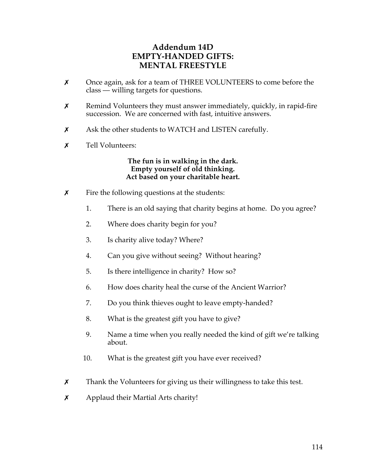## **Addendum 14D EMPTY-HANDED GIFTS: MENTAL FREESTYLE**

- $\times$  Once again, ask for a team of THREE VOLUNTEERS to come before the class — willing targets for questions.
- $x$  Remind Volunteers they must answer immediately, quickly, in rapid-fire succession. We are concerned with fast, intuitive answers.
- **x** Ask the other students to WATCH and LISTEN carefully.
- **x** Tell Volunteers:

#### **The fun is in walking in the dark. Empty yourself of old thinking. Act based on your charitable heart.**

- $\boldsymbol{\chi}$  Fire the following questions at the students:
	- 1. There is an old saying that charity begins at home. Do you agree?
	- 2. Where does charity begin for you?
	- 3. Is charity alive today? Where?
	- 4. Can you give without seeing? Without hearing?
	- 5. Is there intelligence in charity? How so?
	- 6. How does charity heal the curse of the Ancient Warrior?
	- 7. Do you think thieves ought to leave empty-handed?
	- 8. What is the greatest gift you have to give?
	- 9. Name a time when you really needed the kind of gift we're talking about.
	- 10. What is the greatest gift you have ever received?
- $\chi$  Thank the Volunteers for giving us their willingness to take this test.
- $x$  Applaud their Martial Arts charity!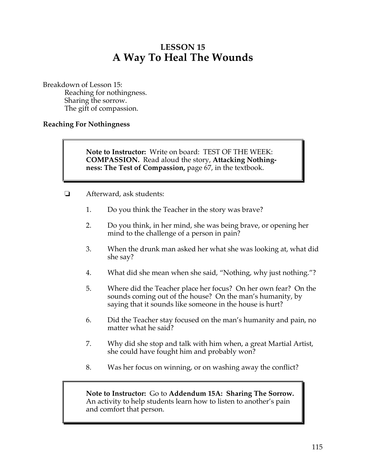# **LESSON 15 A Way To Heal The Wounds**

Breakdown of Lesson 15: Reaching for nothingness. Sharing the sorrow. The gift of compassion.

#### **Reaching For Nothingness**

**Note to Instructor:** Write on board: TEST OF THE WEEK: **COMPASSION.** Read aloud the story, **Attacking Nothingness: The Test of Compassion,** page 67, in the textbook.

- ! Afterward, ask students:
	- 1. Do you think the Teacher in the story was brave?
	- 2. Do you think, in her mind, she was being brave, or opening her mind to the challenge of a person in pain?
	- 3. When the drunk man asked her what she was looking at, what did she say?
	- 4. What did she mean when she said, "Nothing, why just nothing."?
	- 5. Where did the Teacher place her focus? On her own fear? On the sounds coming out of the house? On the man's humanity, by saying that it sounds like someone in the house is hurt?
	- 6. Did the Teacher stay focused on the man's humanity and pain, no matter what he said?
	- 7. Why did she stop and talk with him when, a great Martial Artist, she could have fought him and probably won?
	- 8. Was her focus on winning, or on washing away the conflict?

**Note to Instructor:** Go to **Addendum 15A: Sharing The Sorrow.** An activity to help students learn how to listen to another's pain and comfort that person.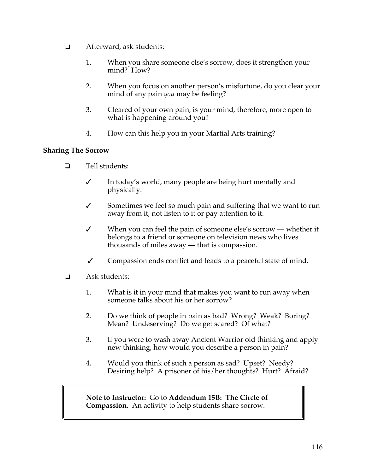- **E** Afterward, ask students:
	- 1. When you share someone else's sorrow, does it strengthen your mind? How?
	- 2. When you focus on another person's misfortune, do you clear your mind of any pain *you* may be feeling?
	- 3. Cleared of your own pain, is your mind, therefore, more open to what is happening around you?
	- 4. How can this help you in your Martial Arts training?

#### **Sharing The Sorrow**

- $\Box$  Tell students:
	- $\checkmark$  In today's world, many people are being hurt mentally and physically.
	- $\checkmark$  Sometimes we feel so much pain and suffering that we want to run away from it, not listen to it or pay attention to it.
	- $\checkmark$  When you can feel the pain of someone else's sorrow whether it belongs to a friend or someone on television news who lives thousands of miles away — that is compassion.
	- $\checkmark$  Compassion ends conflict and leads to a peaceful state of mind.
- $\Box$  Ask students:
	- 1. What is it in your mind that makes you want to run away when someone talks about his or her sorrow?
	- 2. Do we think of people in pain as bad? Wrong? Weak? Boring? Mean? Undeserving? Do we get scared? Of what?
	- 3. If you were to wash away Ancient Warrior old thinking and apply new thinking, how would you describe a person in pain?
	- 4. Would you think of such a person as sad? Upset? Needy? Desiring help? A prisoner of his/her thoughts? Hurt? Afraid?

**Note to Instructor:** Go to **Addendum 15B: The Circle of Compassion.** An activity to help students share sorrow.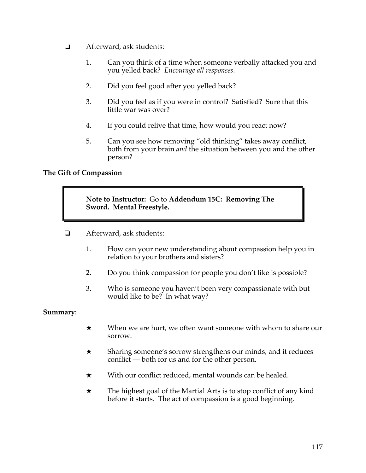- **E** Afterward, ask students:
	- 1. Can you think of a time when someone verbally attacked you and you yelled back? *Encourage all responses.*
	- 2. Did you feel good after you yelled back?
	- 3. Did you feel as if you were in control? Satisfied? Sure that this little war was over?
	- 4. If you could relive that time, how would you react now?
	- 5. Can you see how removing "old thinking" takes away conflict, both from your brain *and* the situation between you and the other person?

#### **The Gift of Compassion**

**Note to Instructor:** Go to **Addendum 15C: Removing The Sword. Mental Freestyle.** 

- ! Afterward, ask students:
	- 1. How can your new understanding about compassion help you in relation to your brothers and sisters?
	- 2. Do you think compassion for people you don't like is possible?
	- 3. Who is someone you haven't been very compassionate with but would like to be? In what way?

#### **Summary**:

- $\star$  When we are hurt, we often want someone with whom to share our sorrow.
- $\star$  Sharing someone's sorrow strengthens our minds, and it reduces conflict — both for us and for the other person.
- $\star$  With our conflict reduced, mental wounds can be healed.
- $\star$  The highest goal of the Martial Arts is to stop conflict of any kind before it starts. The act of compassion is a good beginning.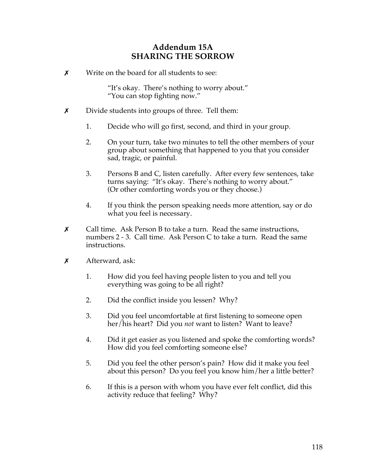## **Addendum 15A SHARING THE SORROW**

 $\boldsymbol{\mathsf{x}}$  Write on the board for all students to see:

"It's okay. There's nothing to worry about." "You can stop fighting now."

- $\chi$  Divide students into groups of three. Tell them:
	- 1. Decide who will go first, second, and third in your group.
	- 2. On your turn, take two minutes to tell the other members of your group about something that happened to you that you consider sad, tragic, or painful.
	- 3. Persons B and C, listen carefully. After every few sentences, take turns saying: "It's okay. There's nothing to worry about." (Or other comforting words you or they choose.)
	- 4. If you think the person speaking needs more attention, say or do what you feel is necessary.
- \$ Call time. Ask Person B to take a turn. Read the same instructions, numbers 2 - 3. Call time. Ask Person C to take a turn. Read the same instructions.
- $x$  Afterward, ask:
	- 1. How did you feel having people listen to you and tell you everything was going to be all right?
	- 2. Did the conflict inside you lessen? Why?
	- 3. Did you feel uncomfortable at first listening to someone open her/his heart? Did you *not* want to listen? Want to leave?
	- 4. Did it get easier as you listened and spoke the comforting words? How did you feel comforting someone else?
	- 5. Did you feel the other person's pain? How did it make you feel about this person? Do you feel you know him/her a little better?
	- 6. If this is a person with whom you have ever felt conflict, did this activity reduce that feeling? Why?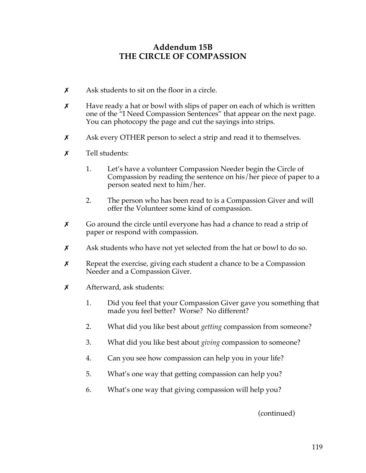### **Addendum 15B THE CIRCLE OF COMPASSION**

- $\boldsymbol{x}$  Ask students to sit on the floor in a circle.
- $\chi$  Have ready a hat or bowl with slips of paper on each of which is written one of the "I Need Compassion Sentences" that appear on the next page. You can photocopy the page and cut the sayings into strips.
- $\chi$  Ask every OTHER person to select a strip and read it to themselves.
- $\boldsymbol{x}$  Tell students:
	- 1. Let's have a volunteer Compassion Needer begin the Circle of Compassion by reading the sentence on his/her piece of paper to a person seated next to him/her.
	- 2. The person who has been read to is a Compassion Giver and will offer the Volunteer some kind of compassion.
- $\chi$  Go around the circle until everyone has had a chance to read a strip of paper or respond with compassion.
- $x$  Ask students who have not yet selected from the hat or bowl to do so.
- $\chi$  Repeat the exercise, giving each student a chance to be a Compassion Needer and a Compassion Giver.
- $x$  Afterward, ask students:
	- 1. Did you feel that your Compassion Giver gave you something that made you feel better? Worse? No different?
	- 2. What did you like best about *getting* compassion from someone?
	- 3. What did you like best about *giving* compassion to someone?
	- 4. Can you see how compassion can help you in your life?
	- 5. What's one way that getting compassion can help you?
	- 6. What's one way that giving compassion will help you?

(continued)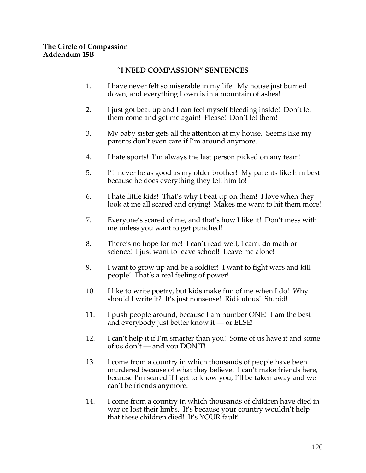#### **The Circle of Compassion Addendum 15B**

#### "**I NEED COMPASSION" SENTENCES**

- 1. I have never felt so miserable in my life. My house just burned down, and everything I own is in a mountain of ashes!
- 2. I just got beat up and I can feel myself bleeding inside! Don't let them come and get me again! Please! Don't let them!
- 3. My baby sister gets all the attention at my house. Seems like my parents don't even care if I'm around anymore.
- 4. I hate sports! I'm always the last person picked on any team!
- 5. I'll never be as good as my older brother! My parents like him best because he does everything they tell him to!
- 6. I hate little kids! That's why I beat up on them! I love when they look at me all scared and crying! Makes me want to hit them more!
- 7. Everyone's scared of me, and that's how I like it! Don't mess with me unless you want to get punched!
- 8. There's no hope for me! I can't read well, I can't do math or science! I just want to leave school! Leave me alone!
- 9. I want to grow up and be a soldier! I want to fight wars and kill people! That's a real feeling of power!
- 10. I like to write poetry, but kids make fun of me when I do! Why should I write it? It's just nonsense! Ridiculous! Stupid!
- 11. I push people around, because I am number ONE! I am the best and everybody just better know it — or ELSE!
- 12. I can't help it if I'm smarter than you! Some of us have it and some of us don't — and you DON'T!
- 13. I come from a country in which thousands of people have been murdered because of what they believe. I can't make friends here, because I'm scared if I get to know you, I'll be taken away and we can't be friends anymore.
- 14. I come from a country in which thousands of children have died in war or lost their limbs. It's because your country wouldn't help that these children died! It's YOUR fault!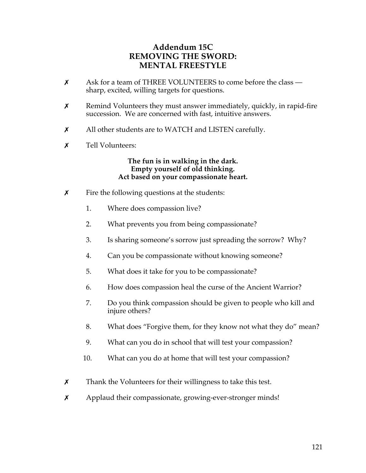## **Addendum 15C REMOVING THE SWORD: MENTAL FREESTYLE**

- $x$  Ask for a team of THREE VOLUNTEERS to come before the class sharp, excited, willing targets for questions.
- $x$  Remind Volunteers they must answer immediately, quickly, in rapid-fire succession. We are concerned with fast, intuitive answers.
- X All other students are to WATCH and LISTEN carefully.
- **x** Tell Volunteers:

#### **The fun is in walking in the dark. Empty yourself of old thinking. Act based on your compassionate heart.**

- $\boldsymbol{\chi}$  Fire the following questions at the students:
	- 1. Where does compassion live?
	- 2. What prevents you from being compassionate?
	- 3. Is sharing someone's sorrow just spreading the sorrow? Why?
	- 4. Can you be compassionate without knowing someone?
	- 5. What does it take for you to be compassionate?
	- 6. How does compassion heal the curse of the Ancient Warrior?
	- 7. Do you think compassion should be given to people who kill and injure others?
	- 8. What does "Forgive them, for they know not what they do" mean?
	- 9. What can you do in school that will test your compassion?
	- 10. What can you do at home that will test your compassion?
- $\chi$  Thank the Volunteers for their willingness to take this test.
- **x** Applaud their compassionate, growing-ever-stronger minds!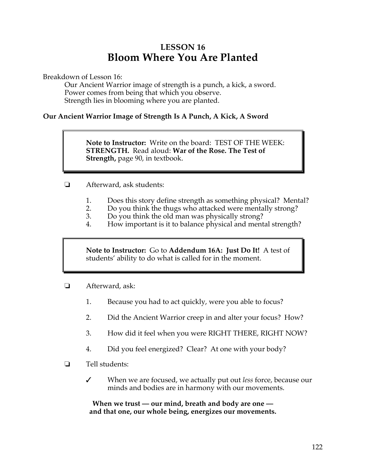# **LESSON 16 Bloom Where You Are Planted**

Breakdown of Lesson 16:

Our Ancient Warrior image of strength is a punch, a kick, a sword. Power comes from being that which you observe. Strength lies in blooming where you are planted.

#### **Our Ancient Warrior Image of Strength Is A Punch, A Kick, A Sword**

**Note to Instructor:** Write on the board: TEST OF THE WEEK: **STRENGTH.** Read aloud: **War of the Rose. The Test of Strength,** page 90, in textbook.

- **E** Afterward, ask students:
	- 1. Does this story define strength as something physical? Mental?<br>2. Do you think the thugs who attacked were mentally strong?
	- 2. Do you think the thugs who attacked were mentally strong?
	- 3. Do you think the old man was physically strong?
	- 4. How important is it to balance physical and mental strength?

**Note to Instructor:** Go to **Addendum 16A: Just Do It!** A test of students' ability to do what is called for in the moment.

- **E** Afterward, ask:
	- 1. Because you had to act quickly, were you able to focus?
	- 2. Did the Ancient Warrior creep in and alter your focus? How?
	- 3. How did it feel when you were RIGHT THERE, RIGHT NOW?
	- 4. Did you feel energized? Clear? At one with your body?
- $\Box$  Tell students:
	- " When we are focused, we actually put out *less* force, because our minds and bodies are in harmony with our movements.

**When we trust — our mind, breath and body are one and that one, our whole being, energizes our movements.**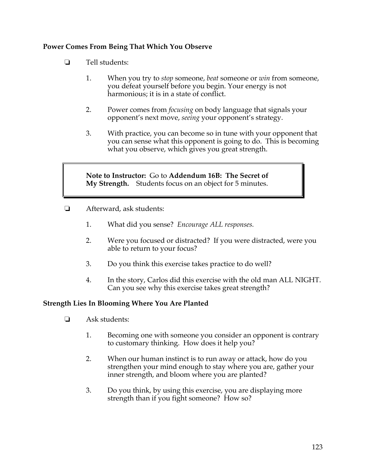#### **Power Comes From Being That Which You Observe**

- $\Box$  Tell students:
	- 1. When you try to *stop* someone, *beat* someone or *win* from someone, you defeat yourself before you begin. Your energy is not harmonious; it is in a state of conflict.
	- 2. Power comes from *focusing* on body language that signals your opponent's next move, *seeing* your opponent's strategy.
	- 3. With practice, you can become so in tune with your opponent that you can sense what this opponent is going to do. This is becoming what you observe, which gives you great strength.

**Note to Instructor:** Go to **Addendum 16B: The Secret of My Strength.** Students focus on an object for 5 minutes.

- **E** Afterward, ask students:
	- 1. What did you sense? *Encourage ALL responses.*
	- 2. Were you focused or distracted? If you were distracted, were you able to return to your focus?
	- 3. Do you think this exercise takes practice to do well?
	- 4. In the story, Carlos did this exercise with the old man ALL NIGHT. Can you see why this exercise takes great strength?

#### **Strength Lies In Blooming Where You Are Planted**

- $\Box$  Ask students:
	- 1. Becoming one with someone you consider an opponent is contrary to customary thinking. How does it help you?
	- 2. When our human instinct is to run away or attack, how do you strengthen your mind enough to stay where you are, gather your inner strength, and bloom where you are planted?
	- 3. Do you think, by using this exercise, you are displaying more strength than if you fight someone? How so?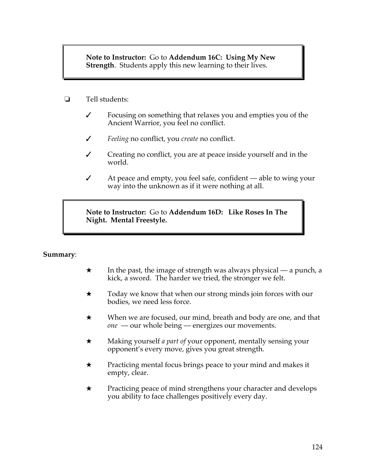**Note to Instructor:** Go to **Addendum 16C: Using My New Strength**.Students apply this new learning to their lives.

- **1** Tell students:
	- $\checkmark$  Focusing on something that relaxes you and empties you of the Ancient Warrior, you feel no conflict.
	- " *Feeling* no conflict, you *create* no conflict.
	- $\checkmark$  Creating no conflict, you are at peace inside yourself and in the world.
	- $\checkmark$  At peace and empty, you feel safe, confident able to wing your way into the unknown as if it were nothing at all.

**Note to Instructor:** Go to **Addendum 16D: Like Roses In The Night. Mental Freestyle.**

#### **Summary**:

- $\star$  In the past, the image of strength was always physical a punch, a kick, a sword. The harder we tried, the stronger we felt.
- $\star$  Today we know that when our strong minds join forces with our bodies, we need less force.
- $\star$  When we are focused, our mind, breath and body are one, and that *one* — our whole being — energizes our movements.
- # Making yourself *a part of* your opponent, mentally sensing your opponent's every move, gives you great strength.
- $\star$  Practicing mental focus brings peace to your mind and makes it empty, clear.
- $\star$  Practicing peace of mind strengthens your character and develops you ability to face challenges positively every day.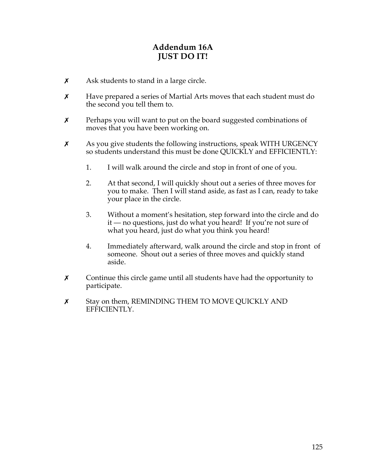## **Addendum 16A JUST DO IT!**

- $\boldsymbol{\chi}$  Ask students to stand in a large circle.
- **X** Have prepared a series of Martial Arts moves that each student must do the second you tell them to.
- $\boldsymbol{\chi}$  Perhaps you will want to put on the board suggested combinations of moves that you have been working on.
- $\chi$  As you give students the following instructions, speak WITH URGENCY so students understand this must be done QUICKLY and EFFICIENTLY:
	- 1. I will walk around the circle and stop in front of one of you.
	- 2. At that second, I will quickly shout out a series of three moves for you to make. Then I will stand aside, as fast as I can, ready to take your place in the circle.
	- 3. Without a moment's hesitation, step forward into the circle and do it — no questions, just do what you heard! If you're not sure of what you heard, just do what you think you heard!
	- 4. Immediately afterward, walk around the circle and stop in front of someone. Shout out a series of three moves and quickly stand aside.
- $\chi$  Continue this circle game until all students have had the opportunity to participate.
- **x** Stay on them, REMINDING THEM TO MOVE QUICKLY AND EFFICIENTLY.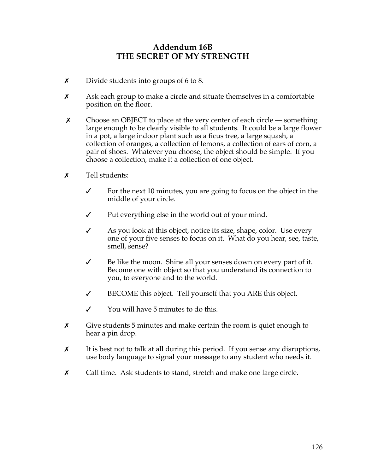### **Addendum 16B THE SECRET OF MY STRENGTH**

- $x$  Divide students into groups of 6 to 8.
- $x$  Ask each group to make a circle and situate themselves in a comfortable position on the floor.
- $\chi$  Choose an OBJECT to place at the very center of each circle something large enough to be clearly visible to all students. It could be a large flower in a pot, a large indoor plant such as a ficus tree, a large squash, a collection of oranges, a collection of lemons, a collection of ears of corn, a pair of shoes. Whatever you choose, the object should be simple. If you choose a collection, make it a collection of one object.
- $\boldsymbol{\mathsf{x}}$  Tell students:
	- $\checkmark$  For the next 10 minutes, you are going to focus on the object in the middle of your circle.
	- $\checkmark$  Put everything else in the world out of your mind.
	- $\mathcal I$  As you look at this object, notice its size, shape, color. Use every one of your five senses to focus on it. What do you hear, see, taste, smell, sense?
	- $\checkmark$  Be like the moon. Shine all your senses down on every part of it. Become one with object so that you understand its connection to you, to everyone and to the world.
	- $\checkmark$  BECOME this object. Tell yourself that you ARE this object.
	- $\checkmark$  You will have 5 minutes to do this.
- $x$  Give students 5 minutes and make certain the room is quiet enough to hear a pin drop.
- $\chi$  It is best not to talk at all during this period. If you sense any disruptions, use body language to signal your message to any student who needs it.
- $\chi$  Call time. Ask students to stand, stretch and make one large circle.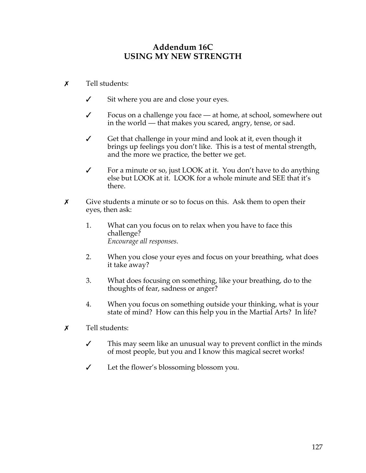## **Addendum 16C USING MY NEW STRENGTH**

- $\boldsymbol{x}$  Tell students:
	- $\checkmark$  Sit where you are and close your eyes.
	- $\checkmark$  Focus on a challenge you face at home, at school, somewhere out in the world — that makes you scared, angry, tense, or sad.
	- Get that challenge in your mind and look at it, even though it brings up feelings you don't like. This is a test of mental strength, and the more we practice, the better we get.
	- $\checkmark$  For a minute or so, just LOOK at it. You don't have to do anything else but LOOK at it. LOOK for a whole minute and SEE that it's there.
- $\boldsymbol{\chi}$  Give students a minute or so to focus on this. Ask them to open their eyes, then ask:
	- 1. What can you focus on to relax when you have to face this challenge? *Encourage all responses.*
	- 2. When you close your eyes and focus on your breathing, what does it take away?
	- 3. What does focusing on something, like your breathing, do to the thoughts of fear, sadness or anger?
	- 4. When you focus on something outside your thinking, what is your state of mind? How can this help you in the Martial Arts? In life?
- $\boldsymbol{x}$  Tell students:
	- $\checkmark$  This may seem like an unusual way to prevent conflict in the minds of most people, but you and I know this magical secret works!
	- $\checkmark$  Let the flower's blossoming blossom you.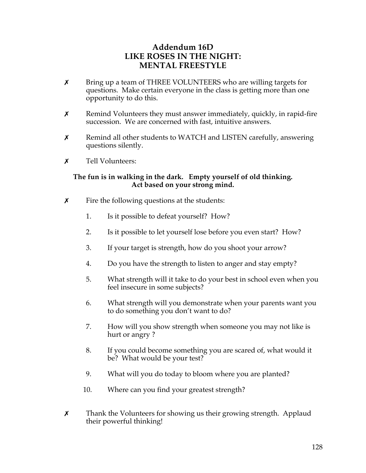## **Addendum 16D LIKE ROSES IN THE NIGHT: MENTAL FREESTYLE**

- **x** Bring up a team of THREE VOLUNTEERS who are willing targets for questions. Make certain everyone in the class is getting more than one opportunity to do this.
- $x$  Remind Volunteers they must answer immediately, quickly, in rapid-fire succession. We are concerned with fast, intuitive answers.
- $x$  Remind all other students to WATCH and LISTEN carefully, answering questions silently.
- **x** Tell Volunteers:

#### **The fun is in walking in the dark. Empty yourself of old thinking. Act based on your strong mind.**

- $\boldsymbol{\chi}$  Fire the following questions at the students:
	- 1. Is it possible to defeat yourself? How?
	- 2. Is it possible to let yourself lose before you even start? How?
	- 3. If your target is strength, how do you shoot your arrow?
	- 4. Do you have the strength to listen to anger and stay empty?
	- 5. What strength will it take to do your best in school even when you feel insecure in some subjects?
	- 6. What strength will you demonstrate when your parents want you to do something you don't want to do?
	- 7. How will you show strength when someone you may not like is hurt or angry ?
	- 8. If you could become something you are scared of, what would it be? What would be your test?
	- 9. What will you do today to bloom where you are planted?
	- 10. Where can you find your greatest strength?
- $x$  Thank the Volunteers for showing us their growing strength. Applaud their powerful thinking!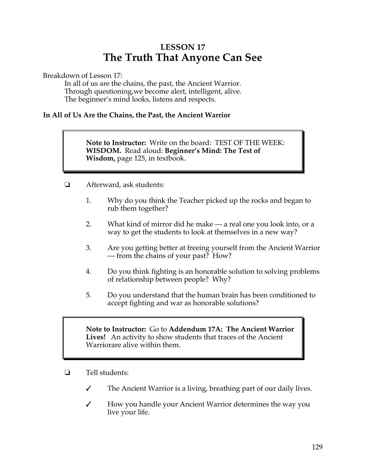# **LESSON 17 The Truth That Anyone Can See**

Breakdown of Lesson 17:

In all of us are the chains, the past, the Ancient Warrior. Through questioning,we become alert, intelligent, alive. The beginner's mind looks, listens and respects.

#### **In All of Us Are the Chains, the Past, the Ancient Warrior**

**Note to Instructor:** Write on the board: TEST OF THE WEEK: **WISDOM.** Read aloud: **Beginner's Mind: The Test of Wisdom,** page 125, in textbook.

- **E** Afterward, ask students:
	- 1. Why do you think the Teacher picked up the rocks and began to rub them together?
	- 2. What kind of mirror did he make a real one you look into, or a way to get the students to look at themselves in a new way?
	- 3. Are you getting better at freeing yourself from the Ancient Warrior — from the chains of your past? How?
	- 4. Do you think fighting is an honorable solution to solving problems of relationship between people? Why?
	- 5. Do you understand that the human brain has been conditioned to accept fighting and war as honorable solutions?

**Note to Instructor:** Go to **Addendum 17A: The Ancient Warrior Lives!** An activity to show students that traces of the Ancient Warriorare alive within them.

- $\Box$  Tell students:
	- $\checkmark$  The Ancient Warrior is a living, breathing part of our daily lives.
	- $\checkmark$  How you handle your Ancient Warrior determines the way you live your life.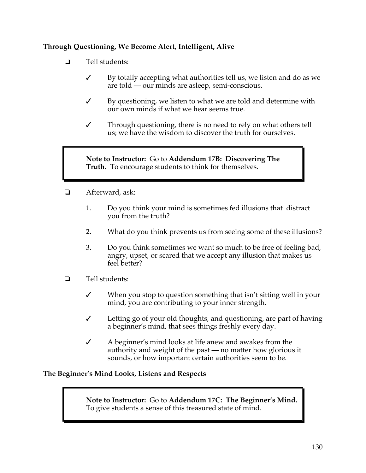#### **Through Questioning, We Become Alert, Intelligent, Alive**

- $\Box$  Tell students:
	- $\checkmark$  By totally accepting what authorities tell us, we listen and do as we are told — our minds are asleep, semi-conscious.
	- $\checkmark$  By questioning, we listen to what we are told and determine with our own minds if what we hear seems true.
	- " Through questioning, there is no need to rely on what others tell us; we have the wisdom to discover the truth for ourselves.

**Note to Instructor:** Go to **Addendum 17B: Discovering The Truth.** To encourage students to think for themselves.

- **E** Afterward, ask:
	- 1. Do you think your mind is sometimes fed illusions that distract you from the truth?
	- 2. What do you think prevents us from seeing some of these illusions?
	- 3. Do you think sometimes we want so much to be free of feeling bad, angry, upset, or scared that we accept any illusion that makes us feel better?
- $\Box$  Tell students:
	- $\checkmark$  When you stop to question something that isn't sitting well in your mind, you are contributing to your inner strength.
	- $\checkmark$  Letting go of your old thoughts, and questioning, are part of having a beginner's mind, that sees things freshly every day.
	- $\angle$  A beginner's mind looks at life anew and awakes from the authority and weight of the past — no matter how glorious it sounds, or how important certain authorities seem to be.

#### **The Beginner's Mind Looks, Listens and Respects**

**Note to Instructor:** Go to **Addendum 17C: The Beginner's Mind.**  To give students a sense of this treasured state of mind.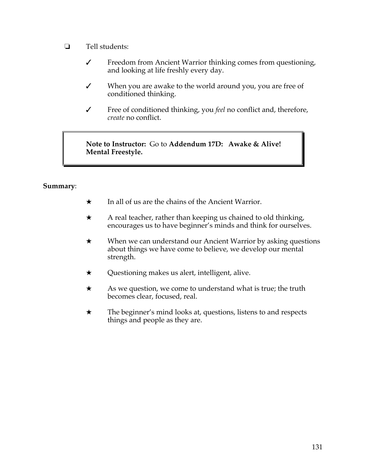- $\Box$  Tell students:
	- $\checkmark$  Freedom from Ancient Warrior thinking comes from questioning, and looking at life freshly every day.
	- $\checkmark$  When you are awake to the world around you, you are free of conditioned thinking.
	- " Free of conditioned thinking, you *feel* no conflict and, therefore, *create* no conflict.

**Note to Instructor:** Go to **Addendum 17D: Awake & Alive! Mental Freestyle.**

#### **Summary**:

- $\star$  In all of us are the chains of the Ancient Warrior.
- $\star$  A real teacher, rather than keeping us chained to old thinking, encourages us to have beginner's minds and think for ourselves.
- $\star$  When we can understand our Ancient Warrior by asking questions about things we have come to believe, we develop our mental strength.
- $\star$  Questioning makes us alert, intelligent, alive.
- $\star$  As we question, we come to understand what is true; the truth becomes clear, focused, real.
- $\star$  The beginner's mind looks at, questions, listens to and respects things and people as they are.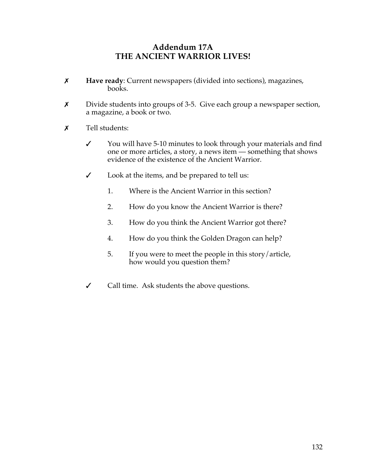### **Addendum 17A THE ANCIENT WARRIOR LIVES!**

- \$ **Have ready**: Current newspapers (divided into sections), magazines, books.
- **x** Divide students into groups of 3-5. Give each group a newspaper section, a magazine, a book or two.
- $\boldsymbol{x}$  Tell students:
	- $\checkmark$  You will have 5-10 minutes to look through your materials and find one or more articles, a story, a news item — something that shows evidence of the existence of the Ancient Warrior.
	- " Look at the items, and be prepared to tell us:
		- 1. Where is the Ancient Warrior in this section?
		- 2. How do you know the Ancient Warrior is there?
		- 3. How do you think the Ancient Warrior got there?
		- 4. How do you think the Golden Dragon can help?
		- 5. If you were to meet the people in this story/article, how would you question them?
	- $\checkmark$  Call time. Ask students the above questions.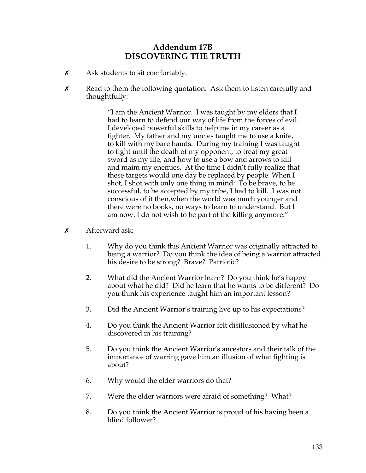## **Addendum 17B DISCOVERING THE TRUTH**

- $x$  Ask students to sit comfortably.
- $x$  Read to them the following quotation. Ask them to listen carefully and thoughtfully:

"I am the Ancient Warrior. I was taught by my elders that I had to learn to defend our way of life from the forces of evil. I developed powerful skills to help me in my career as a fighter. My father and my uncles taught me to use a knife, to kill with my bare hands. During my training I was taught to fight until the death of my opponent, to treat my great sword as my life, and how to use a bow and arrows to kill and maim my enemies. At the time I didn't fully realize that these targets would one day be replaced by people. When I shot, I shot with only one thing in mind: To be brave, to be successful, to be accepted by my tribe, I had to kill. I was not conscious of it then,when the world was much younger and there were no books, no ways to learn to understand. But I am now. I do not wish to be part of the killing anymore."

- $\boldsymbol{\mathsf{x}}$  Afterward ask:
	- 1. Why do you think this Ancient Warrior was originally attracted to being a warrior? Do you think the idea of being a warrior attracted his desire to be strong? Brave? Patriotic?
	- 2. What did the Ancient Warrior learn? Do you think he's happy about what he did? Did he learn that he wants to be different? Do you think his experience taught him an important lesson?
	- 3. Did the Ancient Warrior's training live up to his expectations?
	- 4. Do you think the Ancient Warrior felt disillusioned by what he discovered in his training?
	- 5. Do you think the Ancient Warrior's ancestors and their talk of the importance of warring gave him an illusion of what fighting is about?
	- 6. Why would the elder warriors do that?
	- 7. Were the elder warriors were afraid of something? What?
	- 8. Do you think the Ancient Warrior is proud of his having been a blind follower?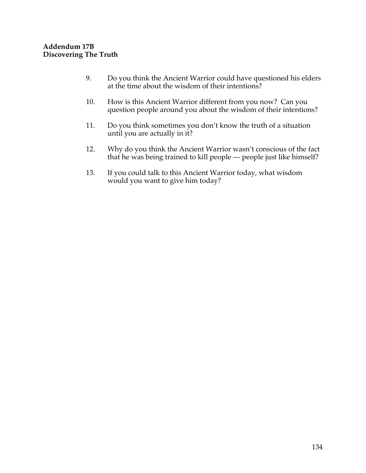- 9. Do you think the Ancient Warrior could have questioned his elders at the time about the wisdom of their intentions?
- 10. How is this Ancient Warrior different from you now? Can you question people around you about the wisdom of their intentions?
- 11. Do you think sometimes you don't know the truth of a situation until you are actually in it?
- 12. Why do you think the Ancient Warrior wasn't conscious of the fact that he was being trained to kill people — people just like himself?
- 13. If you could talk to this Ancient Warrior today, what wisdom would you want to give him today?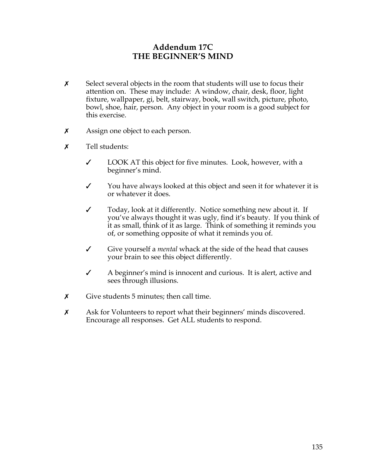### **Addendum 17C THE BEGINNER'S MIND**

- $\boldsymbol{\chi}$  Select several objects in the room that students will use to focus their attention on. These may include: A window, chair, desk, floor, light fixture, wallpaper, gi, belt, stairway, book, wall switch, picture, photo, bowl, shoe, hair, person. Any object in your room is a good subject for this exercise.
- $x$  Assign one object to each person.
- $\boldsymbol{x}$  Tell students:
	- $\checkmark$  LOOK AT this object for five minutes. Look, however, with a beginner's mind.
	- $\checkmark$  You have always looked at this object and seen it for whatever it is or whatever it does.
	- $\checkmark$  Today, look at it differently. Notice something new about it. If you've always thought it was ugly, find it's beauty. If you think of it as small, think of it as large. Think of something it reminds you of, or something opposite of what it reminds you of.
	- " Give yourself a *mental* whack at the side of the head that causes your brain to see this object differently.
	- " A beginner's mind is innocent and curious. It is alert, active and sees through illusions.
- $\boldsymbol{\chi}$  Give students 5 minutes; then call time.
- **x** Ask for Volunteers to report what their beginners' minds discovered. Encourage all responses. Get ALL students to respond.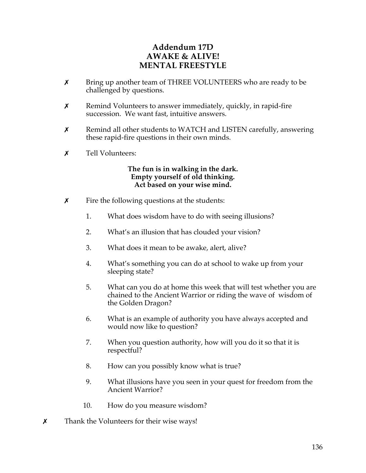## **Addendum 17D AWAKE & ALIVE! MENTAL FREESTYLE**

- **X** Bring up another team of THREE VOLUNTEERS who are ready to be challenged by questions.
- $x$  Remind Volunteers to answer immediately, quickly, in rapid-fire succession. We want fast, intuitive answers.
- $x$  Remind all other students to WATCH and LISTEN carefully, answering these rapid-fire questions in their own minds.
- $\boldsymbol{x}$  Tell Volunteers:

#### **The fun is in walking in the dark. Empty yourself of old thinking. Act based on your wise mind.**

- $\boldsymbol{\chi}$  Fire the following questions at the students:
	- 1. What does wisdom have to do with seeing illusions?
	- 2. What's an illusion that has clouded your vision?
	- 3. What does it mean to be awake, alert, alive?
	- 4. What's something you can do at school to wake up from your sleeping state?
	- 5. What can you do at home this week that will test whether you are chained to the Ancient Warrior or riding the wave of wisdom of the Golden Dragon?
	- 6. What is an example of authority you have always accepted and would now like to question?
	- 7. When you question authority, how will you do it so that it is respectful?
	- 8. How can you possibly know what is true?
	- 9. What illusions have you seen in your quest for freedom from the Ancient Warrior?
	- 10. How do you measure wisdom?
- $\boldsymbol{\chi}$  Thank the Volunteers for their wise ways!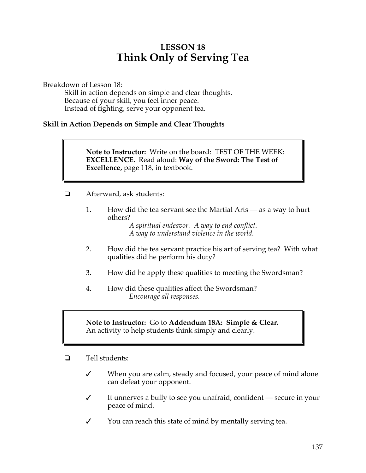# **LESSON 18 Think Only of Serving Tea**

Breakdown of Lesson 18:

Skill in action depends on simple and clear thoughts. Because of your skill, you feel inner peace. Instead of fighting, serve your opponent tea.

#### **Skill in Action Depends on Simple and Clear Thoughts**

**Note to Instructor:** Write on the board: TEST OF THE WEEK: **EXCELLENCE.** Read aloud: **Way of the Sword: The Test of Excellence,** page 118, in textbook.

- ! Afterward, ask students:
	- 1. How did the tea servant see the Martial Arts as a way to hurt others?

*A spiritual endeavor. A way to end conflict. A way to understand violence in the world.*

- 2. How did the tea servant practice his art of serving tea? With what qualities did he perform his duty?
- 3. How did he apply these qualities to meeting the Swordsman?
- 4. How did these qualities affect the Swordsman? *Encourage all responses.*

**Note to Instructor:** Go to **Addendum 18A: Simple & Clear.**  An activity to help students think simply and clearly.

- $\Box$  Tell students:
	- $\checkmark$  When you are calm, steady and focused, your peace of mind alone can defeat your opponent.
	- $\checkmark$  It unnerves a bully to see you unafraid, confident secure in your peace of mind.
	- $\checkmark$  You can reach this state of mind by mentally serving tea.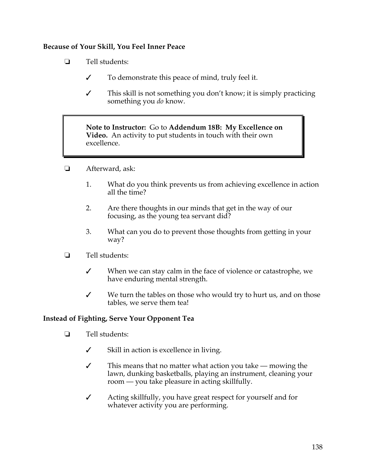#### **Because of Your Skill, You Feel Inner Peace**

- $\Box$  Tell students:
	- $\checkmark$  To demonstrate this peace of mind, truly feel it.
	- $\checkmark$  This skill is not something you don't know; it is simply practicing something you *do* know.

**Note to Instructor:** Go to **Addendum 18B: My Excellence on Video.** An activity to put students in touch with their own excellence.

- **E** Afterward, ask:
	- 1. What do you think prevents us from achieving excellence in action all the time?
	- 2. Are there thoughts in our minds that get in the way of our focusing, as the young tea servant did?
	- 3. What can you do to prevent those thoughts from getting in your way?
- $\Box$  Tell students:
	- $\checkmark$  When we can stay calm in the face of violence or catastrophe, we have enduring mental strength.
	- $\checkmark$  We turn the tables on those who would try to hurt us, and on those tables, we serve them tea!

#### **Instead of Fighting, Serve Your Opponent Tea**

- $\Box$  Tell students:
	- $\checkmark$  Skill in action is excellence in living.
	- $\checkmark$  This means that no matter what action you take mowing the lawn, dunking basketballs, playing an instrument, cleaning your room — you take pleasure in acting skillfully.
	- $\checkmark$  Acting skillfully, you have great respect for yourself and for whatever activity you are performing.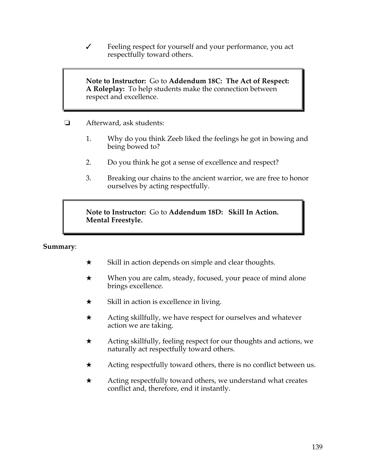$\checkmark$  Feeling respect for yourself and your performance, you act respectfully toward others.

**Note to Instructor:** Go to **Addendum 18C: The Act of Respect: A Roleplay:** To help students make the connection between respect and excellence.

- ! Afterward, ask students:
	- 1. Why do you think Zeeb liked the feelings he got in bowing and being bowed to?
	- 2. Do you think he got a sense of excellence and respect?
	- 3. Breaking our chains to the ancient warrior, we are free to honor ourselves by acting respectfully.

**Note to Instructor:** Go to **Addendum 18D: Skill In Action. Mental Freestyle.**

## **Summary**:

- $\star$  Skill in action depends on simple and clear thoughts.
- $\star$  When you are calm, steady, focused, your peace of mind alone brings excellence.
- $\star$  Skill in action is excellence in living.
- $\star$  Acting skillfully, we have respect for ourselves and whatever action we are taking.
- $\star$  Acting skillfully, feeling respect for our thoughts and actions, we naturally act respectfully toward others.
- $\star$  Acting respectfully toward others, there is no conflict between us.
- $\star$  Acting respectfully toward others, we understand what creates conflict and, therefore, end it instantly.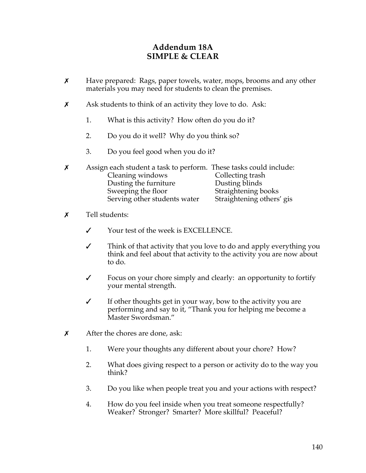## **Addendum 18A SIMPLE & CLEAR**

- $\chi$  Have prepared: Rags, paper towels, water, mops, brooms and any other materials you may need for students to clean the premises.
- $\boldsymbol{\chi}$  Ask students to think of an activity they love to do. Ask:
	- 1. What is this activity? How often do you do it?
	- 2. Do you do it well? Why do you think so?
	- 3. Do you feel good when you do it?
- $x$  Assign each student a task to perform. These tasks could include: Cleaning windows Collecting trash Dusting the furniture Dusting blinds<br>
Sweeping the floor Straightening b Straightening books Serving other students water Straightening others' gis
- $\boldsymbol{x}$  Tell students:
	- $\checkmark$  Your test of the week is EXCELLENCE.
	- $\checkmark$  Think of that activity that you love to do and apply everything you think and feel about that activity to the activity you are now about to do.
	- $\checkmark$  Focus on your chore simply and clearly: an opportunity to fortify your mental strength.
	- $\checkmark$  If other thoughts get in your way, bow to the activity you are performing and say to it, "Thank you for helping me become a Master Swordsman."
- $\chi$  After the chores are done, ask:
	- 1. Were your thoughts any different about your chore? How?
	- 2. What does giving respect to a person or activity do to the way you think?
	- 3. Do you like when people treat you and your actions with respect?
	- 4. How do you feel inside when you treat someone respectfully? Weaker? Stronger? Smarter? More skillful? Peaceful?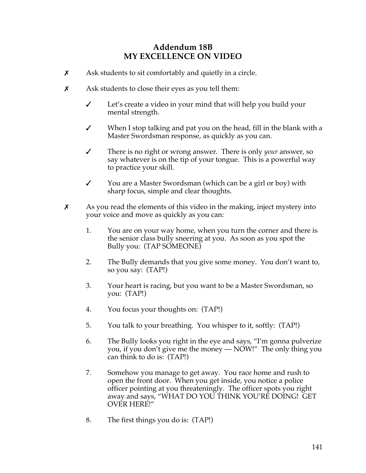## **Addendum 18B MY EXCELLENCE ON VIDEO**

- $x$  Ask students to sit comfortably and quietly in a circle.
- $x$  Ask students to close their eyes as you tell them:
	- $\checkmark$  Let's create a video in your mind that will help you build your mental strength.
	- $\checkmark$  When I stop talking and pat you on the head, fill in the blank with a Master Swordsman response, as quickly as you can.
	- " There is no right or wrong answer. There is only *your* answer, so say whatever is on the tip of your tongue. This is a powerful way to practice your skill.
	- Y vou are a Master Swordsman (which can be a girl or boy) with sharp focus, simple and clear thoughts.
- $\boldsymbol{\chi}$  As you read the elements of this video in the making, inject mystery into your voice and move as quickly as you can:
	- 1. You are on your way home, when you turn the corner and there is the senior class bully sneering at you. As soon as you spot the Bully you: (TAP SOMEONE)
	- 2. The Bully demands that you give some money. You don't want to, so you say: (TAP!)
	- 3. Your heart is racing, but you want to be a Master Swordsman, so you: (TAP!)
	- 4. You focus your thoughts on: (TAP!)
	- 5. You talk to your breathing. You whisper to it, softly: (TAP!)
	- 6. The Bully looks you right in the eye and says, "I'm gonna pulverize you, if you don't give me the money — NOW!" The only thing you can think to do is: (TAP!)
	- 7. Somehow you manage to get away. You race home and rush to open the front door. When you get inside, you notice a police officer pointing at you threateningly. The officer spots you right away and says, "WHAT DO YOU THINK YOU'RE DOING! GET OVER HERE!"
	- 8. The first things you do is: (TAP!)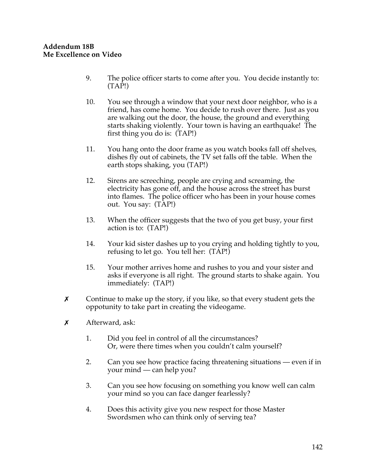- 9. The police officer starts to come after you. You decide instantly to:  $(TAP!)$
- 10. You see through a window that your next door neighbor, who is a friend, has come home. You decide to rush over there. Just as you are walking out the door, the house, the ground and everything starts shaking violently. Your town is having an earthquake! The first thing you do is: (TAP!)
- 11. You hang onto the door frame as you watch books fall off shelves, dishes fly out of cabinets, the TV set falls off the table. When the earth stops shaking, you (TAP!)
- 12. Sirens are screeching, people are crying and screaming, the electricity has gone off, and the house across the street has burst into flames. The police officer who has been in your house comes out. You say: (TAP!)
- 13. When the officer suggests that the two of you get busy, your first action is to: (TAP!)
- 14. Your kid sister dashes up to you crying and holding tightly to you, refusing to let go. You tell her: (TAP!)
- 15. Your mother arrives home and rushes to you and your sister and asks if everyone is all right. The ground starts to shake again. You immediately: (TAP!)
- $\boldsymbol{\chi}$  Continue to make up the story, if you like, so that every student gets the oppotunity to take part in creating the videogame.
- $x$  Afterward, ask:
	- 1. Did you feel in control of all the circumstances? Or, were there times when you couldn't calm yourself?
	- 2. Can you see how practice facing threatening situations even if in your mind — can help you?
	- 3. Can you see how focusing on something you know well can calm your mind so you can face danger fearlessly?
	- 4. Does this activity give you new respect for those Master Swordsmen who can think only of serving tea?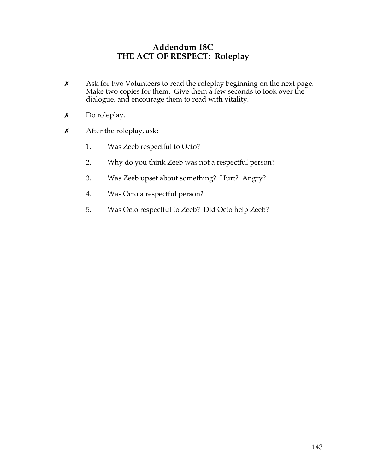## **Addendum 18C THE ACT OF RESPECT: Roleplay**

- **x** Ask for two Volunteers to read the roleplay beginning on the next page. Make two copies for them. Give them a few seconds to look over the dialogue, and encourage them to read with vitality.
- $x$  Do roleplay.
- $x$  After the roleplay, ask:
	- 1. Was Zeeb respectful to Octo?
	- 2. Why do you think Zeeb was not a respectful person?
	- 3. Was Zeeb upset about something? Hurt? Angry?
	- 4. Was Octo a respectful person?
	- 5. Was Octo respectful to Zeeb? Did Octo help Zeeb?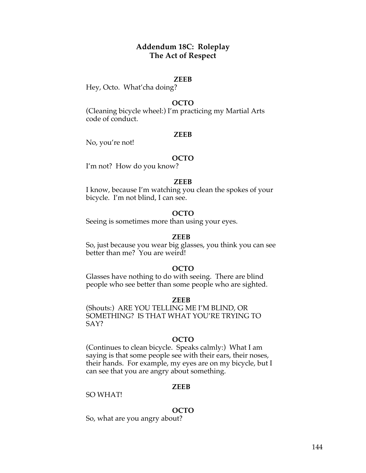## **Addendum 18C: Roleplay The Act of Respect**

### **ZEEB**

Hey, Octo. What'cha doing?

### **OCTO**

(Cleaning bicycle wheel:) I'm practicing my Martial Arts code of conduct.

### **ZEEB**

No, you're not!

### **OCTO**

I'm not? How do you know?

### **ZEEB**

I know, because I'm watching you clean the spokes of your bicycle. I'm not blind, I can see.

### **OCTO**

Seeing is sometimes more than using your eyes.

### **ZEEB**

So, just because you wear big glasses, you think you can see better than me? You are weird!

### **OCTO**

Glasses have nothing to do with seeing. There are blind people who see better than some people who are sighted.

#### **ZEEB**

(Shouts:) ARE YOU TELLING ME I'M BLIND, OR SOMETHING? IS THAT WHAT YOU'RE TRYING TO SAY?

### **OCTO**

(Continues to clean bicycle. Speaks calmly:) What I am saying is that some people see with their ears, their noses, their hands. For example, my eyes are on my bicycle, but I can see that you are angry about something.

#### **ZEEB**

SO WHAT!

### **OCTO**

So, what are you angry about?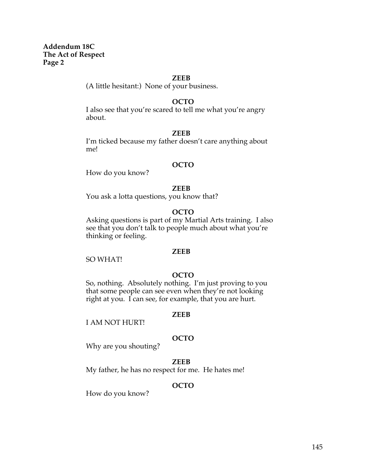**Addendum 18C The Act of Respect Page 2**

#### **ZEEB**

(A little hesitant:) None of your business.

### **OCTO**

I also see that you're scared to tell me what you're angry about.

#### **ZEEB**

I'm ticked because my father doesn't care anything about me!

#### **OCTO**

How do you know?

#### **ZEEB**

You ask a lotta questions, you know that?

#### **OCTO**

Asking questions is part of my Martial Arts training. I also see that you don't talk to people much about what you're thinking or feeling.

#### **ZEEB**

SO WHAT!

### **OCTO**

So, nothing. Absolutely nothing. I'm just proving to you that some people can see even when they're not looking right at you. I can see, for example, that you are hurt.

#### **ZEEB**

I AM NOT HURT!

### **OCTO**

Why are you shouting?

### **ZEEB**

My father, he has no respect for me. He hates me!

### **OCTO**

How do you know?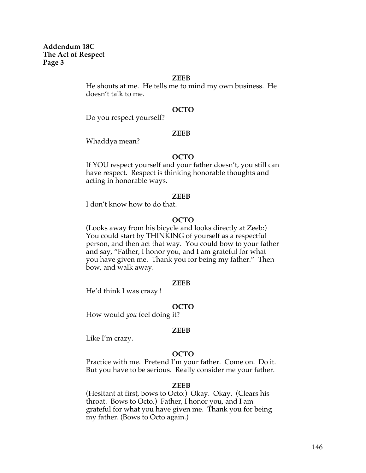**Addendum 18C The Act of Respect Page 3**

#### **ZEEB**

He shouts at me. He tells me to mind my own business. He doesn't talk to me.

### **OCTO**

Do you respect yourself?

#### **ZEEB**

Whaddya mean?

### **OCTO**

If YOU respect yourself and your father doesn't, you still can have respect. Respect is thinking honorable thoughts and acting in honorable ways.

#### **ZEEB**

I don't know how to do that.

### **OCTO**

(Looks away from his bicycle and looks directly at Zeeb:) You could start by THINKING of yourself as a respectful person, and then act that way. You could bow to your father and say, "Father, I honor you, and I am grateful for what you have given me. Thank you for being my father." Then bow, and walk away.

#### **ZEEB**

He'd think I was crazy !

#### **OCTO**

How would *you* feel doing it?

#### **ZEEB**

Like I'm crazy.

### **OCTO**

Practice with me. Pretend I'm your father. Come on. Do it. But you have to be serious. Really consider me your father.

#### **ZEEB**

(Hesitant at first, bows to Octo:) Okay. Okay. (Clears his throat. Bows to Octo.) Father, I honor you, and I am grateful for what you have given me. Thank you for being my father. (Bows to Octo again.)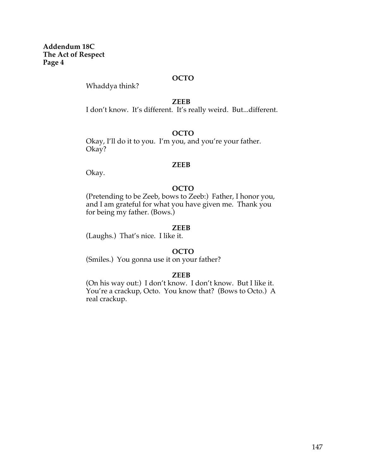**Addendum 18C The Act of Respect Page 4**

## **OCTO**

Whaddya think?

**ZEEB**

I don't know. It's different. It's really weird. But...different.

### **OCTO**

Okay, I'll do it to you. I'm you, and you're your father. Okay?

### **ZEEB**

Okay.

### **OCTO**

(Pretending to be Zeeb, bows to Zeeb:) Father, I honor you, and I am grateful for what you have given me. Thank you for being my father. (Bows.)

### **ZEEB**

(Laughs.) That's nice. I like it.

### **OCTO**

(Smiles.) You gonna use it on your father?

### **ZEEB**

(On his way out:) I don't know. I don't know. But I like it. You're a crackup, Octo. You know that? (Bows to Octo.) A real crackup.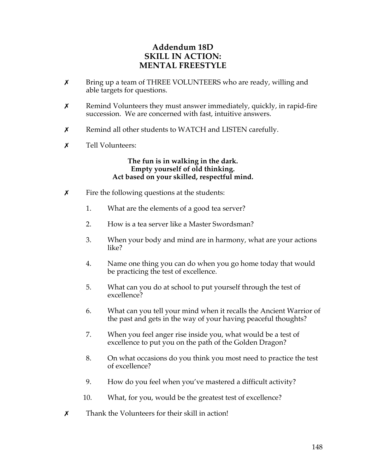## **Addendum 18D SKILL IN ACTION: MENTAL FREESTYLE**

- **x** Bring up a team of THREE VOLUNTEERS who are ready, willing and able targets for questions.
- $x$  Remind Volunteers they must answer immediately, quickly, in rapid-fire succession. We are concerned with fast, intuitive answers.
- $x$  Remind all other students to WATCH and LISTEN carefully.
- **x** Tell Volunteers:

## **The fun is in walking in the dark. Empty yourself of old thinking. Act based on your skilled, respectful mind.**

- $\boldsymbol{\chi}$  Fire the following questions at the students:
	- 1. What are the elements of a good tea server?
	- 2. How is a tea server like a Master Swordsman?
	- 3. When your body and mind are in harmony, what are your actions like?
	- 4. Name one thing you can do when you go home today that would be practicing the test of excellence.
	- 5. What can you do at school to put yourself through the test of excellence?
	- 6. What can you tell your mind when it recalls the Ancient Warrior of the past and gets in the way of your having peaceful thoughts?
	- 7. When you feel anger rise inside you, what would be a test of excellence to put you on the path of the Golden Dragon?
	- 8. On what occasions do you think you most need to practice the test of excellence?
	- 9. How do you feel when you've mastered a difficult activity?
	- 10. What, for you, would be the greatest test of excellence?
- $\boldsymbol{x}$  Thank the Volunteers for their skill in action!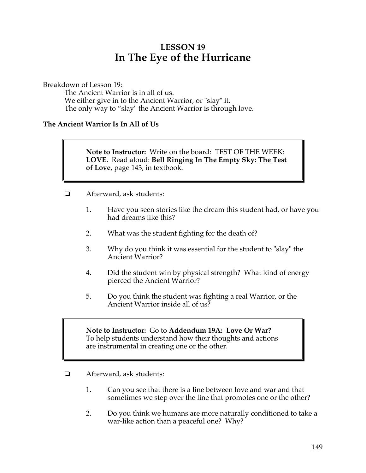# **LESSON 19 In The Eye of the Hurricane**

Breakdown of Lesson 19:

The Ancient Warrior is in all of us. We either give in to the Ancient Warrior, or "slay" it. The only way to "slay" the Ancient Warrior is through love.

## **The Ancient Warrior Is In All of Us**

**Note to Instructor:** Write on the board: TEST OF THE WEEK: **LOVE.** Read aloud: **Bell Ringing In The Empty Sky: The Test of Love,** page 143, in textbook.

- **E** Afterward, ask students:
	- 1. Have you seen stories like the dream this student had, or have you had dreams like this?
	- 2. What was the student fighting for the death of?
	- 3. Why do you think it was essential for the student to "slay" the Ancient Warrior?
	- 4. Did the student win by physical strength? What kind of energy pierced the Ancient Warrior?
	- 5. Do you think the student was fighting a real Warrior, or the Ancient Warrior inside all of us?

## **Note to Instructor:** Go to **Addendum 19A: Love Or War?** To help students understand how their thoughts and actions are instrumental in creating one or the other.

- $\Box$  Afterward, ask students:
	- 1. Can you see that there is a line between love and war and that sometimes we step over the line that promotes one or the other?
	- 2. Do you think we humans are more naturally conditioned to take a war-like action than a peaceful one? Why?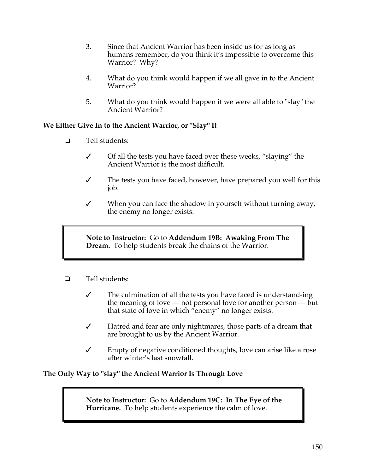- 3. Since that Ancient Warrior has been inside us for as long as humans remember, do you think it's impossible to overcome this Warrior? Why?
- 4. What do you think would happen if we all gave in to the Ancient Warrior?
- 5. What do you think would happen if we were all able to "slay" the Ancient Warrior?

## **We Either Give In to the Ancient Warrior, or "Slay" It**

- $\Box$  Tell students:
	- $\checkmark$  Of all the tests you have faced over these weeks, "slaying" the Ancient Warrior is the most difficult.
	- $\checkmark$  The tests you have faced, however, have prepared you well for this job.
	- $\checkmark$  When you can face the shadow in yourself without turning away, the enemy no longer exists.

**Note to Instructor:** Go to **Addendum 19B: Awaking From The Dream.** To help students break the chains of the Warrior.

- $\Box$  Tell students:
	- $\checkmark$  The culmination of all the tests you have faced is understand-ing the meaning of love — not personal love for another person — but that state of love in which "enemy" no longer exists.
	- $\checkmark$  Hatred and fear are only nightmares, those parts of a dream that are brought to us by the Ancient Warrior.
	- $\checkmark$  Empty of negative conditioned thoughts, love can arise like a rose after winter's last snowfall.

## **The Only Way to "slay" the Ancient Warrior Is Through Love**

**Note to Instructor:** Go to **Addendum 19C: In The Eye of the Hurricane.** To help students experience the calm of love.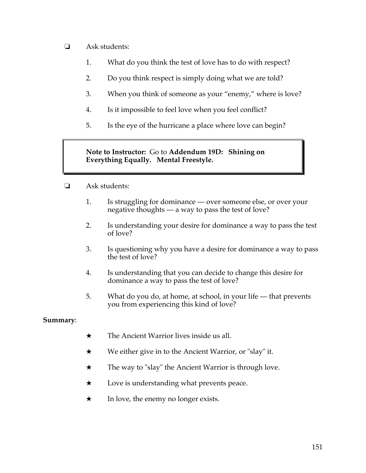- $\Box$  Ask students:
	- 1. What do you think the test of love has to do with respect?
	- 2. Do you think respect is simply doing what we are told?
	- 3. When you think of someone as your "enemy," where is love?
	- 4. Is it impossible to feel love when you feel conflict?
	- 5. Is the eye of the hurricane a place where love can begin?

## **Note to Instructor:** Go to **Addendum 19D: Shining on Everything Equally. Mental Freestyle.**

- $\Box$  Ask students:
	- 1. Is struggling for dominance over someone else, or over your negative thoughts — a way to pass the test of love?
	- 2. Is understanding your desire for dominance a way to pass the test of love?
	- 3. Is questioning why you have a desire for dominance a way to pass the test of love?
	- 4. Is understanding that you can decide to change this desire for dominance a way to pass the test of love?
	- 5. What do you do, at home, at school, in your life that prevents you from experiencing this kind of love?

## **Summary**:

- $\star$  The Ancient Warrior lives inside us all.
- $\star$  We either give in to the Ancient Warrior, or "slay" it.
- $\star$  The way to "slay" the Ancient Warrior is through love.
- $\star$  Love is understanding what prevents peace.
- $\star$  In love, the enemy no longer exists.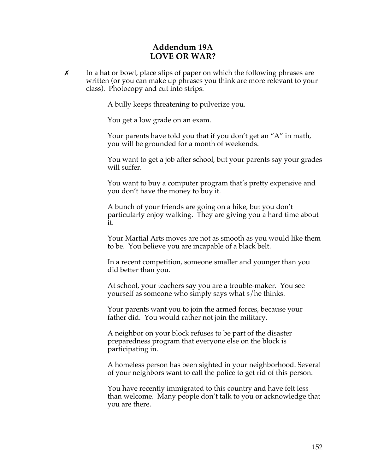## **Addendum 19A LOVE OR WAR?**

 $\chi$  In a hat or bowl, place slips of paper on which the following phrases are written (or you can make up phrases you think are more relevant to your class). Photocopy and cut into strips:

A bully keeps threatening to pulverize you.

You get a low grade on an exam.

Your parents have told you that if you don't get an "A" in math, you will be grounded for a month of weekends.

You want to get a job after school, but your parents say your grades will suffer.

You want to buy a computer program that's pretty expensive and you don't have the money to buy it.

A bunch of your friends are going on a hike, but you don't particularly enjoy walking. They are giving you a hard time about it.

Your Martial Arts moves are not as smooth as you would like them to be. You believe you are incapable of a black belt.

In a recent competition, someone smaller and younger than you did better than you.

At school, your teachers say you are a trouble-maker. You see yourself as someone who simply says what s/he thinks.

Your parents want you to join the armed forces, because your father did. You would rather not join the military.

A neighbor on your block refuses to be part of the disaster preparedness program that everyone else on the block is participating in.

A homeless person has been sighted in your neighborhood. Several of your neighbors want to call the police to get rid of this person.

You have recently immigrated to this country and have felt less than welcome. Many people don't talk to you or acknowledge that you are there.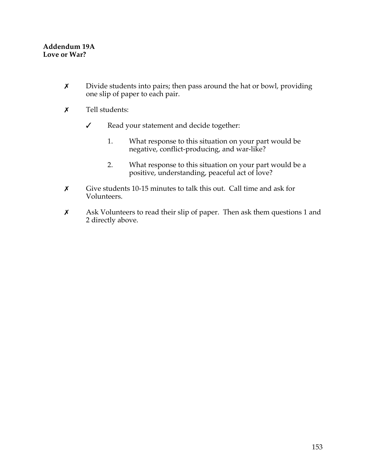- $x$  Divide students into pairs; then pass around the hat or bowl, providing one slip of paper to each pair.
- \$ Tell students:
	- $\checkmark$  Read your statement and decide together:
		- 1. What response to this situation on your part would be negative, conflict-producing, and war-like?
		- 2. What response to this situation on your part would be a positive, understanding, peaceful act of love?
- $\times$  Give students 10-15 minutes to talk this out. Call time and ask for Volunteers.
- **x** Ask Volunteers to read their slip of paper. Then ask them questions 1 and 2 directly above.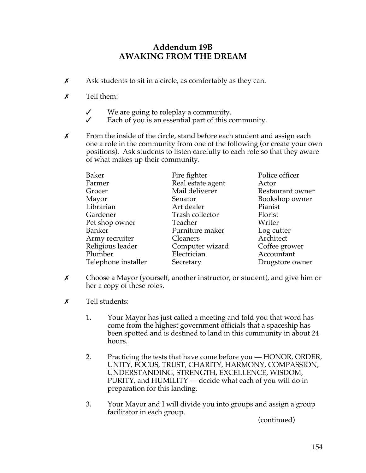## **Addendum 19B AWAKING FROM THE DREAM**

- $x$  Ask students to sit in a circle, as comfortably as they can.
- $\boldsymbol{x}$  Tell them:
	- $\checkmark$  We are going to roleplay a community.
	- $\checkmark$  Each of you is an essential part of this community.
- $x$  From the inside of the circle, stand before each student and assign each one a role in the community from one of the following (or create your own positions). Ask students to listen carefully to each role so that they aware of what makes up their community.

| <b>Baker</b>        | Fire fighter      | Police officer   |
|---------------------|-------------------|------------------|
| Farmer              | Real estate agent | Actor            |
| Grocer              | Mail deliverer    | Restaurant owner |
| Mayor               | Senator           | Bookshop owner   |
| Librarian           | Art dealer        | Pianist          |
| Gardener            | Trash collector   | Florist          |
| Pet shop owner      | Teacher           | Writer           |
| Banker              | Furniture maker   | Log cutter       |
| Army recruiter      | <b>Cleaners</b>   | Architect        |
| Religious leader    | Computer wizard   | Coffee grower    |
| Plumber             | Electrician       | Accountant       |
| Telephone installer | Secretary         | Drugstore owner  |

- $\boldsymbol{\chi}$  Choose a Mayor (yourself, another instructor, or student), and give him or her a copy of these roles.
- $\boldsymbol{x}$  Tell students:
	- 1. Your Mayor has just called a meeting and told you that word has come from the highest government officials that a spaceship has been spotted and is destined to land in this community in about 24 hours.
	- 2. Practicing the tests that have come before you HONOR, ORDER, UNITY, FOCUS, TRUST, CHARITY, HARMONY, COMPASSION, UNDERSTANDING, STRENGTH, EXCELLENCE, WISDOM, PURITY, and HUMILITY — decide what each of you will do in preparation for this landing.
	- 3. Your Mayor and I will divide you into groups and assign a group facilitator in each group.

(continued)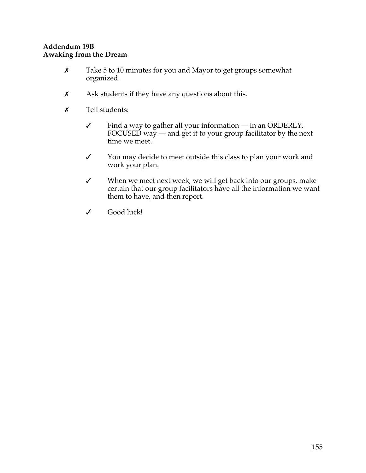## **Addendum 19B Awaking from the Dream**

- $x$  Take 5 to 10 minutes for you and Mayor to get groups somewhat organized.
- $x$  Ask students if they have any questions about this.
- \$ Tell students:
	- $\checkmark$  Find a way to gather all your information in an ORDERLY, FOCUSED way — and get it to your group facilitator by the next time we meet.
	- Y You may decide to meet outside this class to plan your work and work your plan.
	- $\checkmark$  When we meet next week, we will get back into our groups, make certain that our group facilitators have all the information we want them to have, and then report.
	- V Good luck!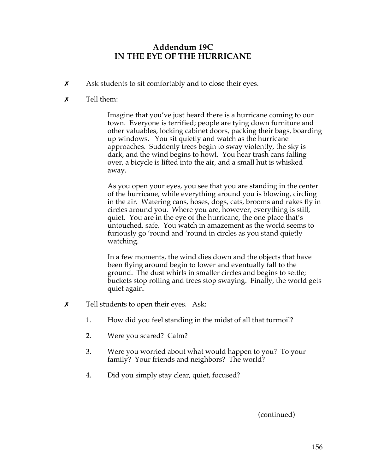## **Addendum 19C IN THE EYE OF THE HURRICANE**

- $\boldsymbol{\chi}$  Ask students to sit comfortably and to close their eyes.
- $\boldsymbol{x}$  Tell them:

Imagine that you've just heard there is a hurricane coming to our town. Everyone is terrified; people are tying down furniture and other valuables, locking cabinet doors, packing their bags, boarding up windows. You sit quietly and watch as the hurricane approaches. Suddenly trees begin to sway violently, the sky is dark, and the wind begins to howl. You hear trash cans falling over, a bicycle is lifted into the air, and a small hut is whisked away.

As you open your eyes, you see that you are standing in the center of the hurricane, while everything around you is blowing, circling in the air. Watering cans, hoses, dogs, cats, brooms and rakes fly in circles around you. Where you are, however, everything is still, quiet. You are in the eye of the hurricane, the one place that's untouched, safe. You watch in amazement as the world seems to furiously go 'round and 'round in circles as you stand quietly watching.

In a few moments, the wind dies down and the objects that have been flying around begin to lower and eventually fall to the ground. The dust whirls in smaller circles and begins to settle; buckets stop rolling and trees stop swaying. Finally, the world gets quiet again.

- $\chi$  Tell students to open their eyes. Ask:
	- 1. How did you feel standing in the midst of all that turmoil?
	- 2. Were you scared? Calm?
	- 3. Were you worried about what would happen to you? To your family? Your friends and neighbors? The world?
	- 4. Did you simply stay clear, quiet, focused?

(continued)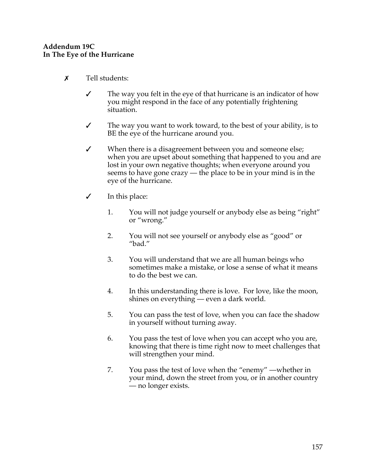## **Addendum 19C In The Eye of the Hurricane**

- $\boldsymbol{\mathsf{x}}$  Tell students:
	- $\checkmark$  The way you felt in the eye of that hurricane is an indicator of how you might respond in the face of any potentially frightening situation.
	- $\checkmark$  The way you want to work toward, to the best of your ability, is to BE the eye of the hurricane around you.
	- $\checkmark$  When there is a disagreement between you and someone else; when you are upset about something that happened to you and are lost in your own negative thoughts; when everyone around you seems to have gone crazy — the place to be in your mind is in the eye of the hurricane.
	- $\checkmark$  In this place:
		- 1. You will not judge yourself or anybody else as being "right" or "wrong."
		- 2. You will not see yourself or anybody else as "good" or "bad."
		- 3. You will understand that we are all human beings who sometimes make a mistake, or lose a sense of what it means to do the best we can.
		- 4. In this understanding there is love. For love, like the moon, shines on everything — even a dark world.
		- 5. You can pass the test of love, when you can face the shadow in yourself without turning away.
		- 6. You pass the test of love when you can accept who you are, knowing that there is time right now to meet challenges that will strengthen your mind.
		- 7. You pass the test of love when the "enemy" —whether in your mind, down the street from you, or in another country — no longer exists.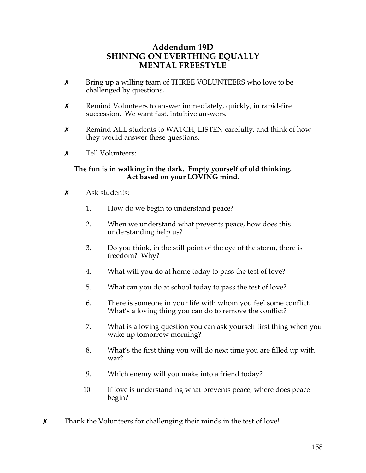## **Addendum 19D SHINING ON EVERTHING EQUALLY MENTAL FREESTYLE**

- $x$  Bring up a willing team of THREE VOLUNTEERS who love to be challenged by questions.
- $x$  Remind Volunteers to answer immediately, quickly, in rapid-fire succession. We want fast, intuitive answers.
- \$ Remind ALL students to WATCH, LISTEN carefully, and think of how they would answer these questions.
- $x$  Tell Volunteers:

## **The fun is in walking in the dark. Empty yourself of old thinking. Act based on your LOVING mind.**

- $\boldsymbol{\mathsf{x}}$  Ask students:
	- 1. How do we begin to understand peace?
	- 2. When we understand what prevents peace, how does this understanding help us?
	- 3. Do you think, in the still point of the eye of the storm, there is freedom? Why?
	- 4. What will you do at home today to pass the test of love?
	- 5. What can you do at school today to pass the test of love?
	- 6. There is someone in your life with whom you feel some conflict. What's a loving thing you can do to remove the conflict?
	- 7. What is a loving question you can ask yourself first thing when you wake up tomorrow morning?
	- 8. What's the first thing you will do next time you are filled up with war?
	- 9. Which enemy will you make into a friend today?
	- 10. If love is understanding what prevents peace, where does peace begin?
- $\chi$  Thank the Volunteers for challenging their minds in the test of love!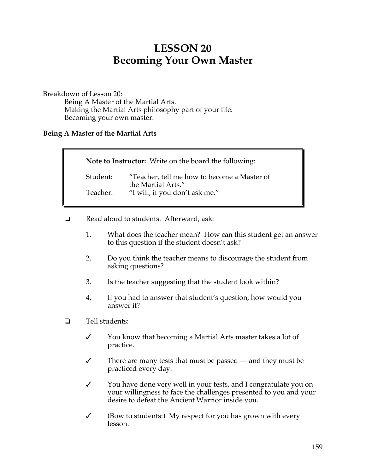# **LESSON 20 Becoming Your Own Master**

Breakdown of Lesson 20:

Being A Master of the Martial Arts. Making the Martial Arts philosophy part of your life. Becoming your own master.

## **Being A Master of the Martial Arts**

| Note to Instructor: Write on the board the following: |                                                                   |  |
|-------------------------------------------------------|-------------------------------------------------------------------|--|
| Student:                                              | "Teacher, tell me how to become a Master of<br>the Martial Arts." |  |
| Teacher:                                              | "I will, if you don't ask me."                                    |  |

- □ Read aloud to students. Afterward, ask:
	- 1. What does the teacher mean? How can this student get an answer to this question if the student doesn't ask?
	- 2. Do you think the teacher means to discourage the student from asking questions?
	- 3. Is the teacher suggesting that the student look within?
	- 4. If you had to answer that student's question, how would you answer it?
- $\Box$  Tell students:
	- $\checkmark$  You know that becoming a Martial Arts master takes a lot of practice.
	- $\checkmark$  There are many tests that must be passed and they must be practiced every day.
	- Y You have done very well in your tests, and I congratulate you on your willingness to face the challenges presented to you and your desire to defeat the Ancient Warrior inside you.
	- $\checkmark$  (Bow to students:) My respect for you has grown with every lesson.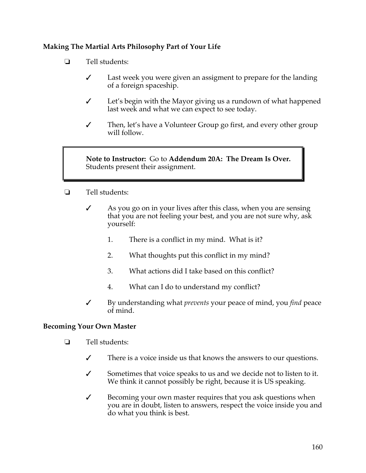## **Making The Martial Arts Philosophy Part of Your Life**

- $\Box$  Tell students:
	- $\checkmark$  Last week you were given an assigment to prepare for the landing of a foreign spaceship.
	- $\checkmark$  Let's begin with the Mayor giving us a rundown of what happened last week and what we can expect to see today.
	- $\checkmark$  Then, let's have a Volunteer Group go first, and every other group will follow.

**Note to Instructor:** Go to **Addendum 20A: The Dream Is Over.** Students present their assignment.

- □ Tell students:
	- $\mathcal I$  As you go on in your lives after this class, when you are sensing that you are not feeling your best, and you are not sure why, ask yourself:
		- 1. There is a conflict in my mind. What is it?
		- 2. What thoughts put this conflict in my mind?
		- 3. What actions did I take based on this conflict?
		- 4. What can I do to understand my conflict?
	- " By understanding what *prevents* your peace of mind, you *find* peace of mind.

## **Becoming Your Own Master**

- $\Box$  Tell students:
	- $\checkmark$  There is a voice inside us that knows the answers to our questions.
	- $\checkmark$  Sometimes that voice speaks to us and we decide not to listen to it. We think it cannot possibly be right, because it is US speaking.
	- $\checkmark$  Becoming your own master requires that you ask questions when you are in doubt, listen to answers, respect the voice inside you and do what you think is best.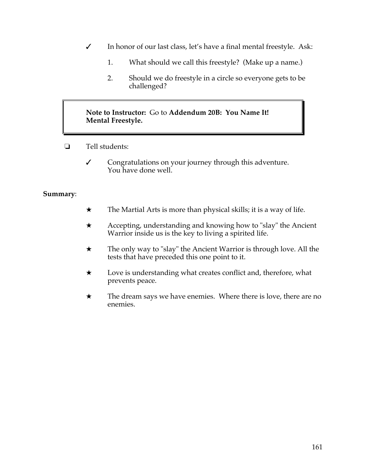- $\checkmark$  In honor of our last class, let's have a final mental freestyle. Ask:
	- 1. What should we call this freestyle? (Make up a name.)
	- 2. Should we do freestyle in a circle so everyone gets to be challenged?

## **Note to Instructor:** Go to **Addendum 20B: You Name It! Mental Freestyle.**

- $\Box$  Tell students:
	- " Congratulations on your journey through this adventure. You have done well.

## **Summary**:

- $\star$  The Martial Arts is more than physical skills; it is a way of life.
- $\star$  Accepting, understanding and knowing how to "slay" the Ancient Warrior inside us is the key to living a spirited life.
- $\star$  The only way to "slay" the Ancient Warrior is through love. All the tests that have preceded this one point to it.
- $\star$  Love is understanding what creates conflict and, therefore, what prevents peace.
- $\star$  The dream says we have enemies. Where there is love, there are no enemies.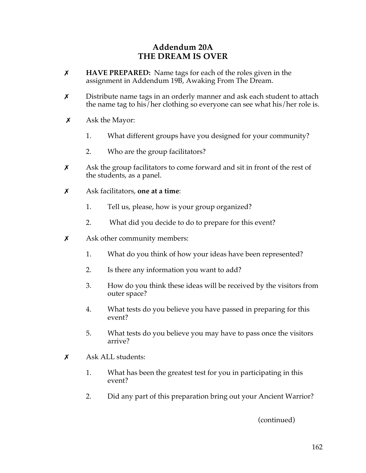## **Addendum 20A THE DREAM IS OVER**

- \$ **HAVE PREPARED:** Name tags for each of the roles given in the assignment in Addendum 19B, Awaking From The Dream.
- $x$  Distribute name tags in an orderly manner and ask each student to attach the name tag to his/her clothing so everyone can see what his/her role is.
- $\chi$  Ask the Mayor:
	- 1. What different groups have you designed for your community?
	- 2. Who are the group facilitators?
- $x$  Ask the group facilitators to come forward and sit in front of the rest of the students, as a panel.
- \$ Ask facilitators, **one at a time**:
	- 1. Tell us, please, how is your group organized?
	- 2. What did you decide to do to prepare for this event?
- $\boldsymbol{\chi}$  Ask other community members:
	- 1. What do you think of how your ideas have been represented?
	- 2. Is there any information you want to add?
	- 3. How do you think these ideas will be received by the visitors from outer space?
	- 4. What tests do you believe you have passed in preparing for this event?
	- 5. What tests do you believe you may have to pass once the visitors arrive?
- $x$  Ask ALL students:
	- 1. What has been the greatest test for you in participating in this event?
	- 2. Did any part of this preparation bring out your Ancient Warrior?

(continued)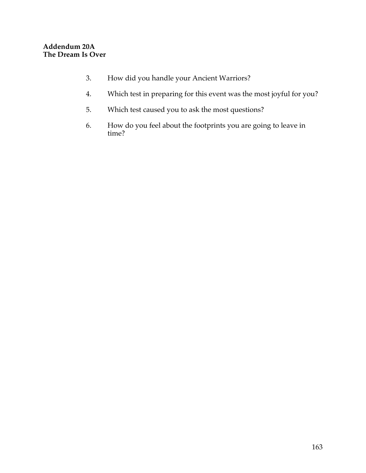- 3. How did you handle your Ancient Warriors?
- 4. Which test in preparing for this event was the most joyful for you?
- 5. Which test caused you to ask the most questions?
- 6. How do you feel about the footprints you are going to leave in time?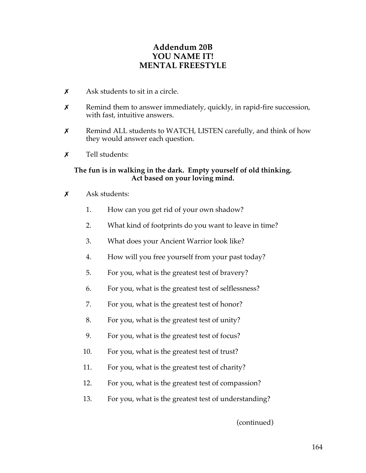## **Addendum 20B YOU NAME IT! MENTAL FREESTYLE**

- $\boldsymbol{\mathsf{x}}$  Ask students to sit in a circle.
- $x$  Remind them to answer immediately, quickly, in rapid-fire succession, with fast, intuitive answers.
- $x$  Remind ALL students to WATCH, LISTEN carefully, and think of how they would answer each question.
- $\boldsymbol{\mathsf{x}}$  Tell students:

## **The fun is in walking in the dark. Empty yourself of old thinking. Act based on your loving mind.**

- $x$  Ask students:
	- 1. How can you get rid of your own shadow?
	- 2. What kind of footprints do you want to leave in time?
	- 3. What does your Ancient Warrior look like?
	- 4. How will you free yourself from your past today?
	- 5. For you, what is the greatest test of bravery?
	- 6. For you, what is the greatest test of selflessness?
	- 7. For you, what is the greatest test of honor?
	- 8. For you, what is the greatest test of unity?
	- 9. For you, what is the greatest test of focus?
	- 10. For you, what is the greatest test of trust?
	- 11. For you, what is the greatest test of charity?
	- 12. For you, what is the greatest test of compassion?
	- 13. For you, what is the greatest test of understanding?

(continued)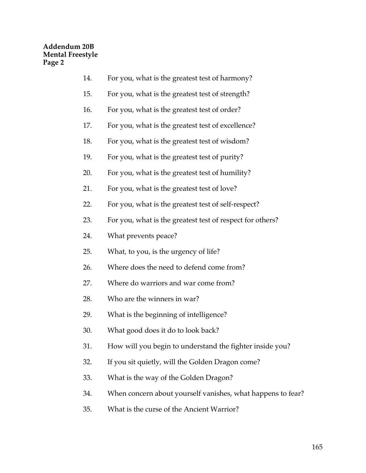- 14. For you, what is the greatest test of harmony?
- 15. For you, what is the greatest test of strength?
- 16. For you, what is the greatest test of order?
- 17. For you, what is the greatest test of excellence?
- 18. For you, what is the greatest test of wisdom?
- 19. For you, what is the greatest test of purity?
- 20. For you, what is the greatest test of humility?
- 21. For you, what is the greatest test of love?
- 22. For you, what is the greatest test of self-respect?
- 23. For you, what is the greatest test of respect for others?
- 24. What prevents peace?
- 25. What, to you, is the urgency of life?
- 26. Where does the need to defend come from?
- 27. Where do warriors and war come from?
- 28. Who are the winners in war?
- 29. What is the beginning of intelligence?
- 30. What good does it do to look back?
- 31. How will you begin to understand the fighter inside you?
- 32. If you sit quietly, will the Golden Dragon come?
- 33. What is the way of the Golden Dragon?
- 34. When concern about yourself vanishes, what happens to fear?
- 35. What is the curse of the Ancient Warrior?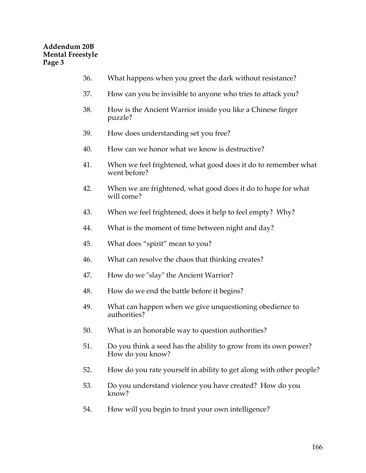- 36. What happens when you greet the dark without resistance?
- 37. How can you be invisible to anyone who tries to attack you?
- 38. How is the Ancient Warrior inside you like a Chinese finger puzzle?
- 39. How does understanding set you free?
- 40. How can we honor what we know is destructive?
- 41. When we feel frightened, what good does it do to remember what went before?
- 42. When we are frightened, what good does it do to hope for what will come?
- 43. When we feel frightened, does it help to feel empty? Why?
- 44. What is the moment of time between night and day?
- 45. What does "spirit" mean to you?
- 46. What can resolve the chaos that thinking creates?
- 47. How do we "slay" the Ancient Warrior?
- 48. How do we end the battle before it begins?
- 49. What can happen when we give unquestioning obedience to authorities?
- 50. What is an honorable way to question authorities?
- 51. Do you think a seed has the ability to grow from its own power? How do you know?
- 52. How do you rate yourself in ability to get along with other people?
- 53. Do you understand violence you have created? How do you know?
- 54. How will you begin to trust your own intelligence?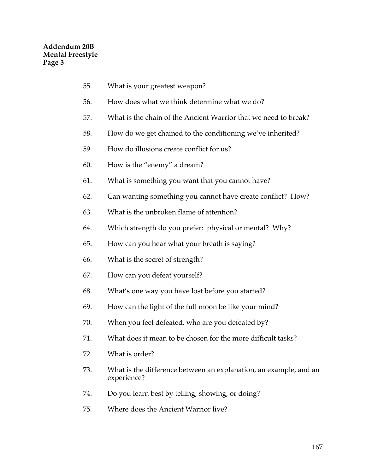- 55. What is your greatest weapon?
- 56. How does what we think determine what we do?
- 57. What is the chain of the Ancient Warrior that we need to break?
- 58. How do we get chained to the conditioning we've inherited?
- 59. How do illusions create conflict for us?
- 60. How is the "enemy" a dream?
- 61. What is something you want that you cannot have?
- 62. Can wanting something you cannot have create conflict? How?
- 63. What is the unbroken flame of attention?
- 64. Which strength do you prefer: physical or mental? Why?
- 65. How can you hear what your breath is saying?
- 66. What is the secret of strength?
- 67. How can you defeat yourself?
- 68. What's one way you have lost before you started?
- 69. How can the light of the full moon be like your mind?
- 70. When you feel defeated, who are you defeated by?
- 71. What does it mean to be chosen for the more difficult tasks?
- 72. What is order?
- 73. What is the difference between an explanation, an example, and an experience?
- 74. Do you learn best by telling, showing, or doing?
- 75. Where does the Ancient Warrior live?